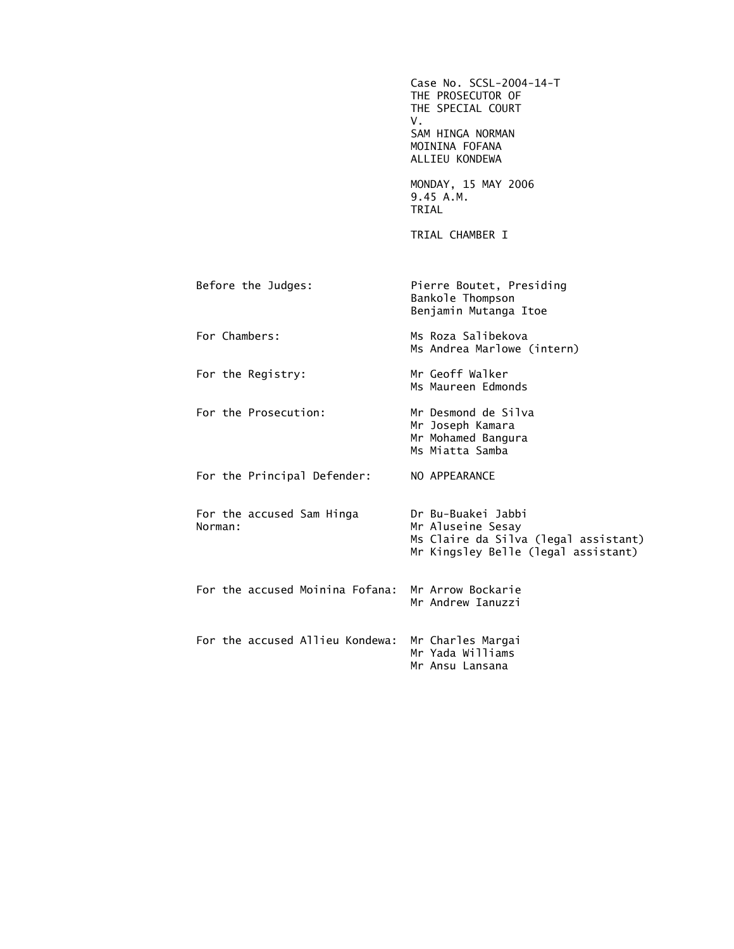|                                                   | Case No. SCSL-2004-14-T<br>THE PROSECUTOR OF<br>THE SPECIAL COURT<br>V.<br>SAM HINGA NORMAN<br>MOININA FOFANA<br>ALLIEU KONDEWA |
|---------------------------------------------------|---------------------------------------------------------------------------------------------------------------------------------|
|                                                   | MONDAY, 15 MAY 2006<br>9.45 A.M.<br>TRIAL                                                                                       |
|                                                   | TRIAL CHAMBER I                                                                                                                 |
| Before the Judges:                                | Pierre Boutet, Presiding<br>Bankole Thompson<br>Benjamin Mutanga Itoe                                                           |
| For Chambers:                                     | Ms Roza Salibekova<br>Ms Andrea Marlowe (intern)                                                                                |
| For the Registry:                                 | Mr Geoff Walker<br>Ms Maureen Edmonds                                                                                           |
| For the Prosecution:                              | Mr Desmond de Silva<br>Mr Joseph Kamara<br>Mr Mohamed Bangura<br>Ms Miatta Samba                                                |
| For the Principal Defender:                       | NO APPEARANCE                                                                                                                   |
| For the accused Sam Hinga<br>Norman:              | Dr Bu-Buakei Jabbi<br>Mr Aluseine Sesay<br>Ms Claire da Silva (legal assistant)<br>Mr Kingsley Belle (legal assistant)          |
| For the accused Moinina Fofana: Mr Arrow Bockarie | Mr Andrew Ianuzzi                                                                                                               |
| For the accused Allieu Kondewa:                   | Mr Charles Margai<br>Mr Yada Williams<br>Mr Ansu Lansana                                                                        |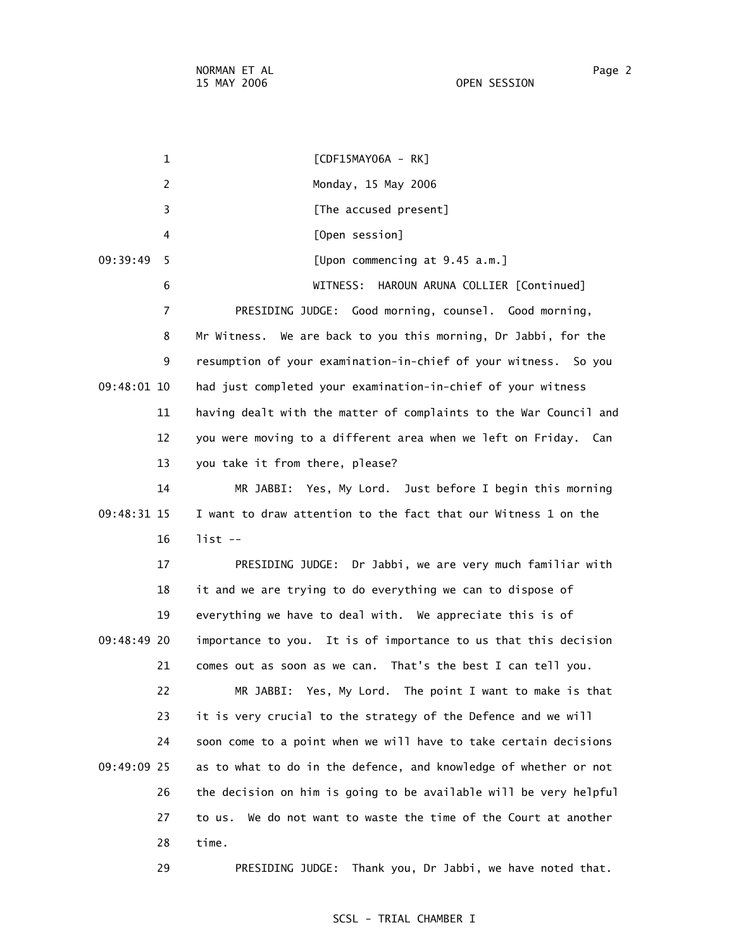15 MAY 2006 OPEN SESSION

 1 [CDF15MAY06A - RK] 2 Monday, 15 May 2006 3 **Example 2 [The accused present]**  4 [Open session] 09:39:49 5 [Upon commencing at 9.45 a.m.] 6 WITNESS: HAROUN ARUNA COLLIER [Continued] 7 PRESIDING JUDGE: Good morning, counsel. Good morning, 8 Mr Witness. We are back to you this morning, Dr Jabbi, for the 9 resumption of your examination-in-chief of your witness. So you 09:48:01 10 had just completed your examination-in-chief of your witness 11 having dealt with the matter of complaints to the War Council and 12 you were moving to a different area when we left on Friday. Can 13 you take it from there, please? 14 MR JABBI: Yes, My Lord. Just before I begin this morning 09:48:31 15 I want to draw attention to the fact that our Witness 1 on the 16 list -- 17 PRESIDING JUDGE: Dr Jabbi, we are very much familiar with 18 it and we are trying to do everything we can to dispose of 19 everything we have to deal with. We appreciate this is of 09:48:49 20 importance to you. It is of importance to us that this decision 21 comes out as soon as we can. That's the best I can tell you. 22 MR JABBI: Yes, My Lord. The point I want to make is that 23 it is very crucial to the strategy of the Defence and we will 24 soon come to a point when we will have to take certain decisions 09:49:09 25 as to what to do in the defence, and knowledge of whether or not 26 the decision on him is going to be available will be very helpful 27 to us. We do not want to waste the time of the Court at another 28 time. 29 PRESIDING JUDGE: Thank you, Dr Jabbi, we have noted that.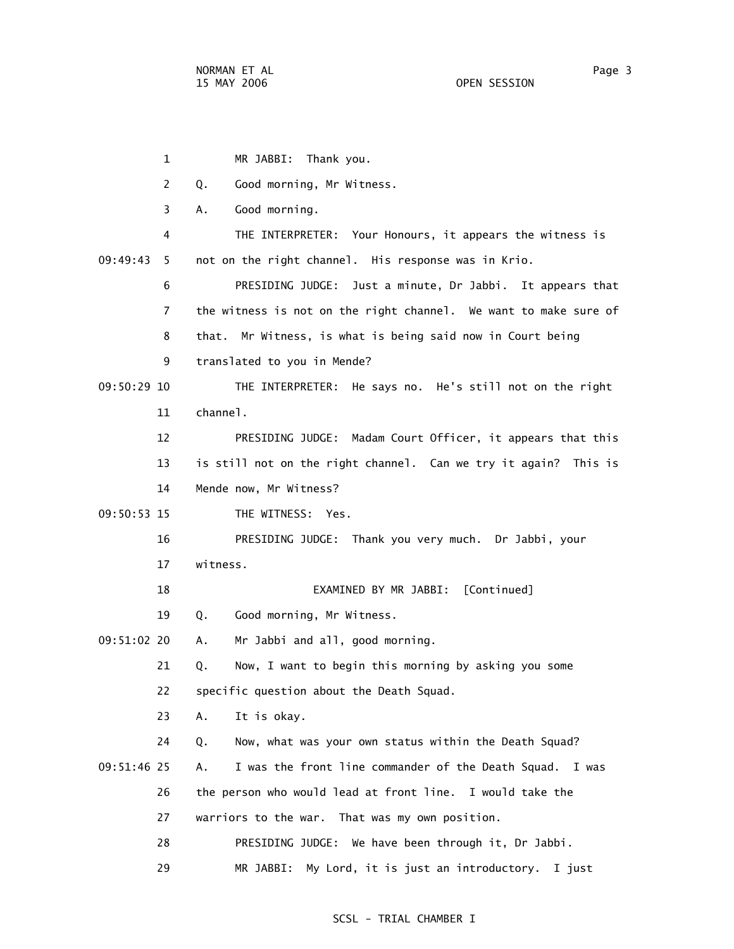1 MR JABBI: Thank you. 2 Q. Good morning, Mr Witness. 3 A. Good morning. 4 THE INTERPRETER: Your Honours, it appears the witness is 09:49:43 5 not on the right channel. His response was in Krio. 6 PRESIDING JUDGE: Just a minute, Dr Jabbi. It appears that 7 the witness is not on the right channel. We want to make sure of 8 that. Mr Witness, is what is being said now in Court being 9 translated to you in Mende? 09:50:29 10 THE INTERPRETER: He says no. He's still not on the right 11 channel. 12 PRESIDING JUDGE: Madam Court Officer, it appears that this 13 is still not on the right channel. Can we try it again? This is 14 Mende now, Mr Witness? 09:50:53 15 THE WITNESS: Yes. 16 PRESIDING JUDGE: Thank you very much. Dr Jabbi, your 17 witness. 18 EXAMINED BY MR JABBI: [Continued] 19 Q. Good morning, Mr Witness. 09:51:02 20 A. Mr Jabbi and all, good morning. 21 Q. Now, I want to begin this morning by asking you some 22 specific question about the Death Squad. 23 A. It is okay. 24 Q. Now, what was your own status within the Death Squad? 09:51:46 25 A. I was the front line commander of the Death Squad. I was 26 the person who would lead at front line. I would take the 27 warriors to the war. That was my own position. 28 PRESIDING JUDGE: We have been through it, Dr Jabbi. 29 MR JABBI: My Lord, it is just an introductory. I just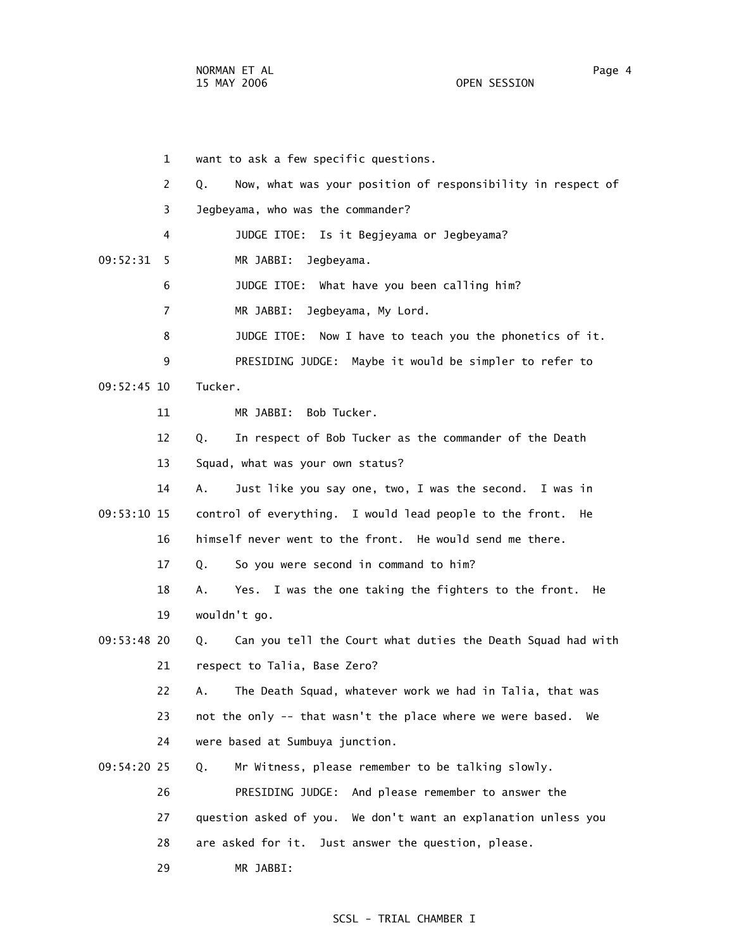1 want to ask a few specific questions. 2 Q. Now, what was your position of responsibility in respect of 3 Jegbeyama, who was the commander? 4 JUDGE ITOE: Is it Begjeyama or Jegbeyama? 09:52:31 5 MR JABBI: Jegbeyama. 6 JUDGE ITOE: What have you been calling him? 7 MR JABBI: Jegbeyama, My Lord. 8 JUDGE ITOE: Now I have to teach you the phonetics of it. 9 PRESIDING JUDGE: Maybe it would be simpler to refer to 09:52:45 10 Tucker. 11 MR JABBI: Bob Tucker. 12 Q. In respect of Bob Tucker as the commander of the Death 13 Squad, what was your own status? 14 A. Just like you say one, two, I was the second. I was in 09:53:10 15 control of everything. I would lead people to the front. He 16 himself never went to the front. He would send me there. 17 Q. So you were second in command to him? 18 A. Yes. I was the one taking the fighters to the front. He 19 wouldn't go. 09:53:48 20 Q. Can you tell the Court what duties the Death Squad had with 21 respect to Talia, Base Zero? 22 A. The Death Squad, whatever work we had in Talia, that was 23 not the only -- that wasn't the place where we were based. We 24 were based at Sumbuya junction. 09:54:20 25 Q. Mr Witness, please remember to be talking slowly. 26 PRESIDING JUDGE: And please remember to answer the 27 question asked of you. We don't want an explanation unless you 28 are asked for it. Just answer the question, please. 29 MR JABBI: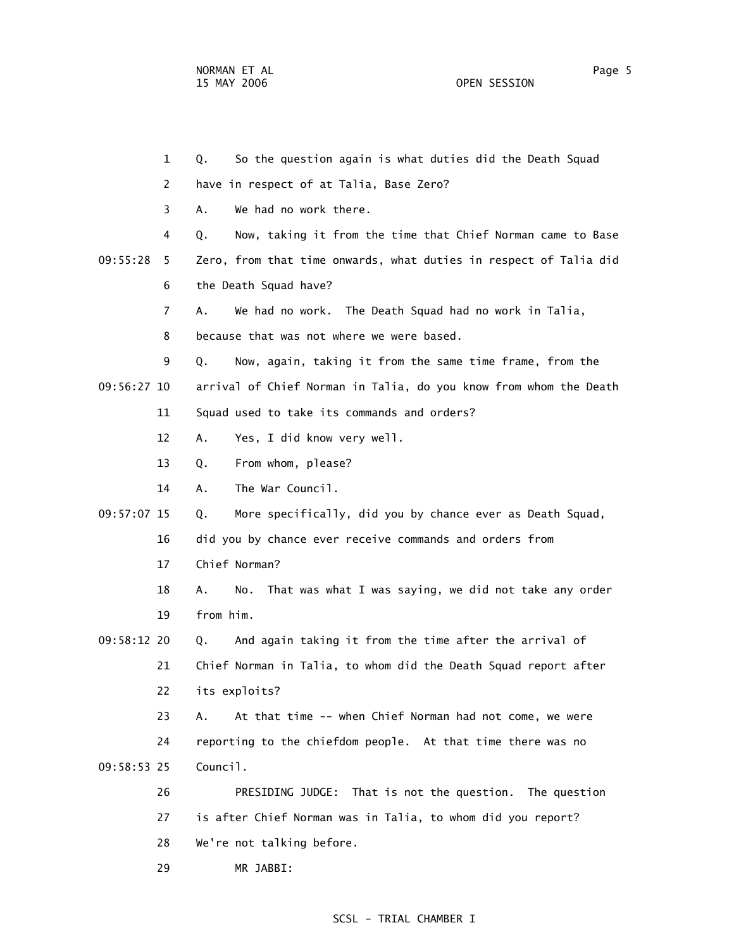1 Q. So the question again is what duties did the Death Squad 2 have in respect of at Talia, Base Zero? 3 A. We had no work there. 4 Q. Now, taking it from the time that Chief Norman came to Base 09:55:28 5 Zero, from that time onwards, what duties in respect of Talia did 6 the Death Squad have? 7 A. We had no work. The Death Squad had no work in Talia, 8 because that was not where we were based. 9 Q. Now, again, taking it from the same time frame, from the 09:56:27 10 arrival of Chief Norman in Talia, do you know from whom the Death 11 Squad used to take its commands and orders? 12 A. Yes, I did know very well. 13 Q. From whom, please? 14 A. The War Council. 09:57:07 15 Q. More specifically, did you by chance ever as Death Squad, 16 did you by chance ever receive commands and orders from 17 Chief Norman? 18 A. No. That was what I was saying, we did not take any order 19 from him. 09:58:12 20 Q. And again taking it from the time after the arrival of 21 Chief Norman in Talia, to whom did the Death Squad report after 22 its exploits? 23 A. At that time -- when Chief Norman had not come, we were 24 reporting to the chiefdom people. At that time there was no 09:58:53 25 Council. 26 PRESIDING JUDGE: That is not the question. The question 27 is after Chief Norman was in Talia, to whom did you report? 28 We're not talking before.

29 MR JABBI: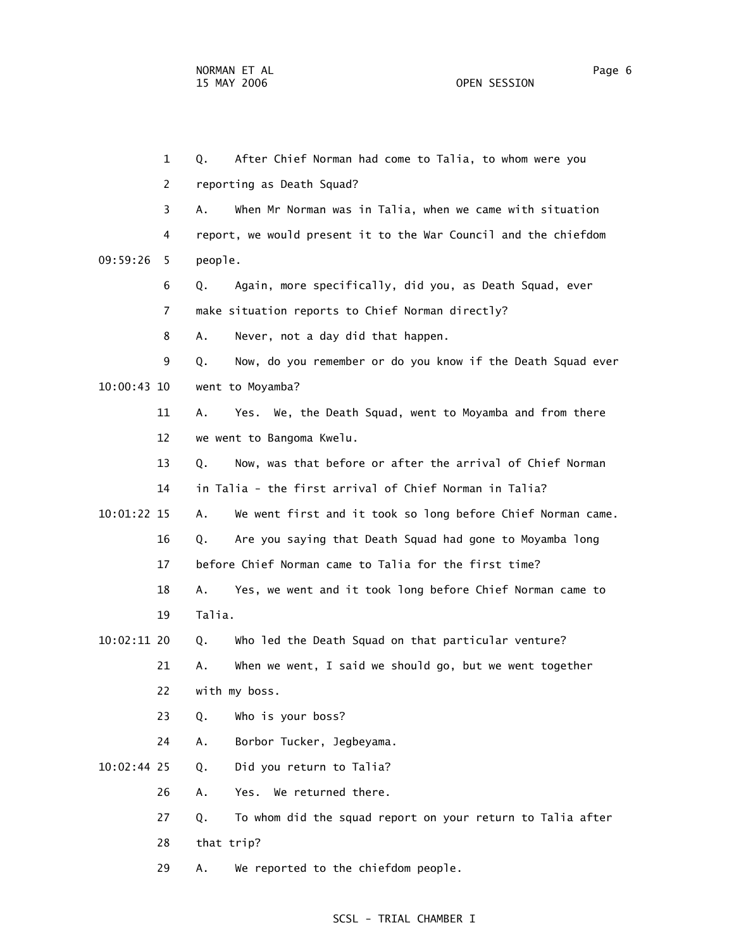|               | $\mathbf{1}$ | After Chief Norman had come to Talia, to whom were you<br>Q.      |
|---------------|--------------|-------------------------------------------------------------------|
|               | 2            | reporting as Death Squad?                                         |
|               | 3            | When Mr Norman was in Talia, when we came with situation<br>А.    |
|               | 4            | report, we would present it to the War Council and the chiefdom   |
| 09:59:26      | 5            | people.                                                           |
|               | 6            | Again, more specifically, did you, as Death Squad, ever<br>Q.     |
|               | 7            | make situation reports to Chief Norman directly?                  |
|               | 8            | Never, not a day did that happen.<br>Α.                           |
|               | 9            | Now, do you remember or do you know if the Death Squad ever<br>Q. |
| 10:00:43 10   |              | went to Moyamba?                                                  |
|               | 11           | Yes. We, the Death Squad, went to Moyamba and from there<br>Α.    |
|               | 12           | we went to Bangoma Kwelu.                                         |
|               | 13           | Now, was that before or after the arrival of Chief Norman<br>Q.   |
|               | 14           | in Talia - the first arrival of Chief Norman in Talia?            |
| 10:01:22 15   |              | We went first and it took so long before Chief Norman came.<br>Α. |
|               | 16           | Are you saying that Death Squad had gone to Moyamba long<br>Q.    |
|               | 17           | before Chief Norman came to Talia for the first time?             |
|               | 18           | Yes, we went and it took long before Chief Norman came to<br>Α.   |
|               | 19           | Talia.                                                            |
| 10:02:11 20   |              | Who led the Death Squad on that particular venture?<br>Q.         |
|               | 21           | When we went, I said we should go, but we went together<br>Α.     |
|               | 22           | with my boss.                                                     |
|               | 23           | Who is your boss?<br>Q.                                           |
|               | 24           | Α.<br>Borbor Tucker, Jegbeyama.                                   |
| $10:02:44$ 25 |              | Did you return to Talia?<br>Q.                                    |
|               | 26           | Yes. We returned there.<br>Α.                                     |
|               | 27           | To whom did the squad report on your return to Talia after<br>Q.  |
|               | 28           | that trip?                                                        |
|               | 29           | We reported to the chiefdom people.<br>Α.                         |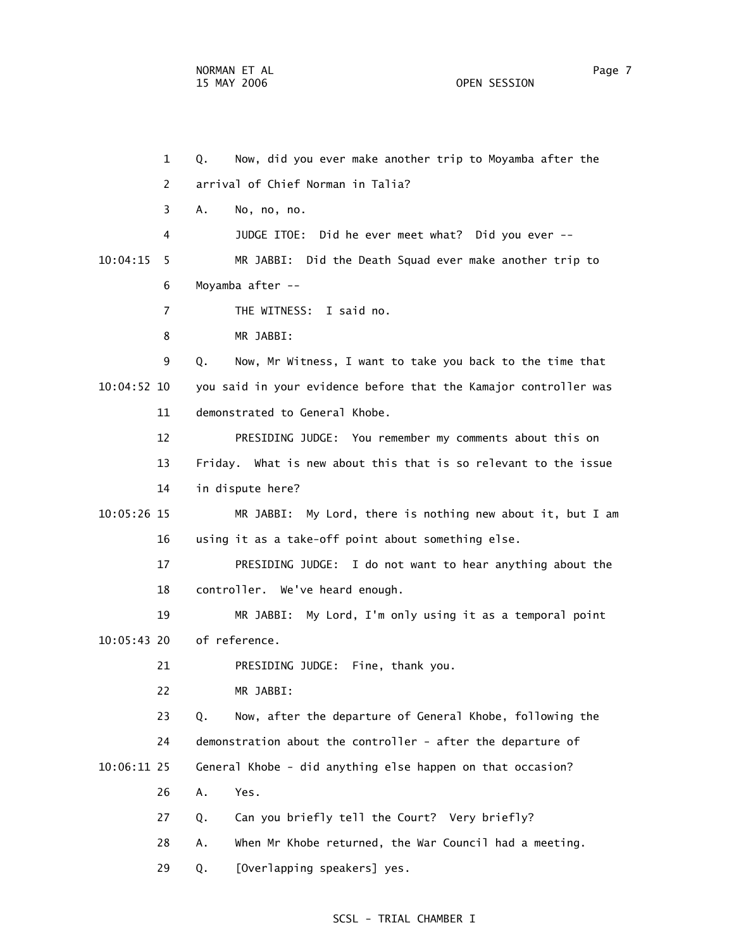1 Q. Now, did you ever make another trip to Moyamba after the 2 arrival of Chief Norman in Talia? 3 A. No, no, no. 4 JUDGE ITOE: Did he ever meet what? Did you ever -- 10:04:15 5 MR JABBI: Did the Death Squad ever make another trip to 6 Moyamba after -- 7 THE WITNESS: I said no. 8 MR JABBI: 9 Q. Now, Mr Witness, I want to take you back to the time that 10:04:52 10 you said in your evidence before that the Kamajor controller was 11 demonstrated to General Khobe. 12 PRESIDING JUDGE: You remember my comments about this on 13 Friday. What is new about this that is so relevant to the issue 14 in dispute here? 10:05:26 15 MR JABBI: My Lord, there is nothing new about it, but I am 16 using it as a take-off point about something else. 17 PRESIDING JUDGE: I do not want to hear anything about the 18 controller. We've heard enough. 19 MR JABBI: My Lord, I'm only using it as a temporal point 10:05:43 20 of reference. 21 PRESIDING JUDGE: Fine, thank you. 22 MR JABBI: 23 Q. Now, after the departure of General Khobe, following the 24 demonstration about the controller - after the departure of 10:06:11 25 General Khobe - did anything else happen on that occasion? 26 A. Yes. 27 Q. Can you briefly tell the Court? Very briefly? 28 A. When Mr Khobe returned, the War Council had a meeting. 29 Q. [Overlapping speakers] yes.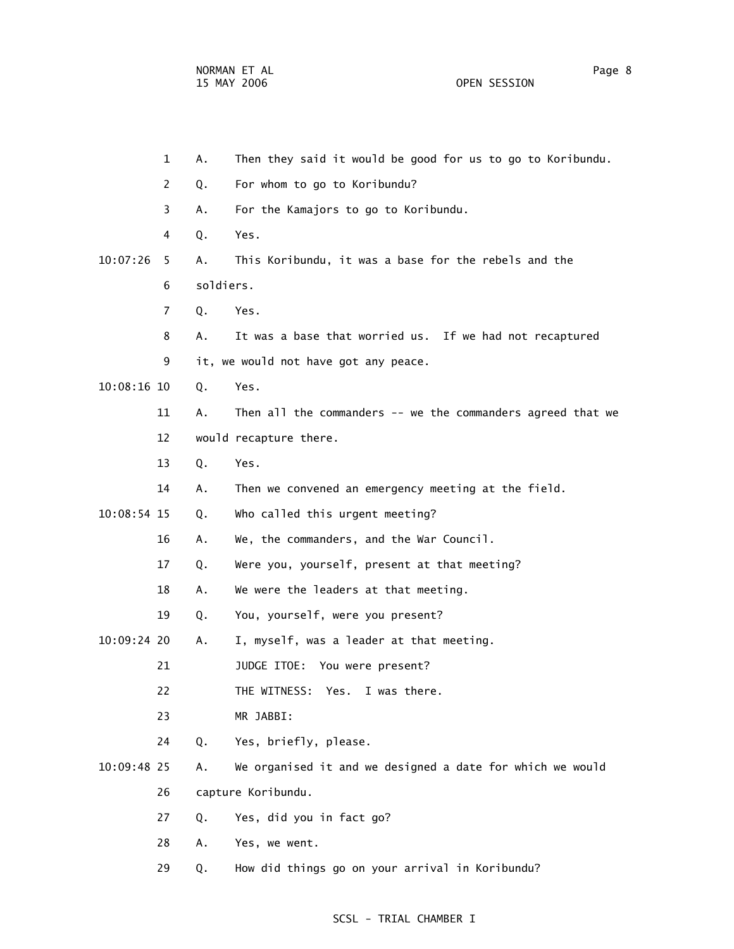1 A. Then they said it would be good for us to go to Koribundu. 2 Q. For whom to go to Koribundu? 3 A. For the Kamajors to go to Koribundu.

- 10:07:26 5 A. This Koribundu, it was a base for the rebels and the 6 soldiers.
	- 7 Q. Yes.

4 Q. Yes.

- 8 A. It was a base that worried us. If we had not recaptured
- 9 it, we would not have got any peace.
- 10:08:16 10 Q. Yes.
	- 11 A. Then all the commanders -- we the commanders agreed that we 12 would recapture there.
		- 13 Q. Yes.
	- 14 A. Then we convened an emergency meeting at the field.
- 10:08:54 15 Q. Who called this urgent meeting?
	- 16 A. We, the commanders, and the War Council.
	- 17 Q. Were you, yourself, present at that meeting?
	- 18 A. We were the leaders at that meeting.
	- 19 Q. You, yourself, were you present?
- 10:09:24 20 A. I, myself, was a leader at that meeting.
	- 21 JUDGE ITOE: You were present?
	- 22 THE WITNESS: Yes. I was there.
	- 23 MR JABBI:
	- 24 Q. Yes, briefly, please.
- 10:09:48 25 A. We organised it and we designed a date for which we would
	- 26 capture Koribundu.
	- 27 Q. Yes, did you in fact go?
	- 28 A. Yes, we went.
	- 29 Q. How did things go on your arrival in Koribundu?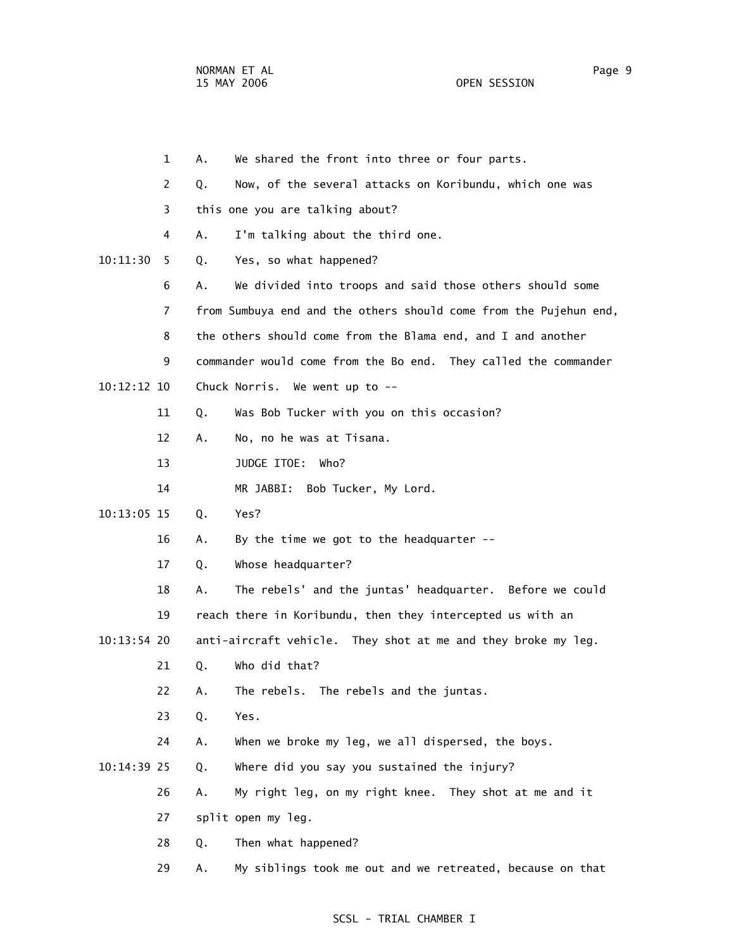|               | $\mathbf 1$ | А. | We shared the front into three or four parts.                     |
|---------------|-------------|----|-------------------------------------------------------------------|
|               | 2           | Q. | Now, of the several attacks on Koribundu, which one was           |
|               | 3           |    | this one you are talking about?                                   |
|               | 4           | А. | I'm talking about the third one.                                  |
| 10:11:30      | 5           | Q. | Yes, so what happened?                                            |
|               | 6           | А. | We divided into troops and said those others should some          |
|               | 7           |    | from Sumbuya end and the others should come from the Pujehun end, |
|               | 8           |    | the others should come from the Blama end, and I and another      |
|               | 9           |    | commander would come from the Bo end. They called the commander   |
| $10:12:12$ 10 |             |    | Chuck Norris. We went up to --                                    |
|               | 11          | Q. | Was Bob Tucker with you on this occasion?                         |
|               | 12          | Α. | No, no he was at Tisana.                                          |
|               | 13          |    | JUDGE ITOE:<br>Who?                                               |
|               | 14          |    | MR JABBI: Bob Tucker, My Lord.                                    |
| 10:13:05 15   |             | Q. | Yes?                                                              |
|               | 16          | Α. | By the time we got to the headquarter $--$                        |
|               | 17          | Q. | Whose headquarter?                                                |
|               | 18          | А. | The rebels' and the juntas' headquarter. Before we could          |
|               | 19          |    | reach there in Koribundu, then they intercepted us with an        |
| $10:13:54$ 20 |             |    | anti-aircraft vehicle. They shot at me and they broke my leg.     |
|               | 21          | Q. | Who did that?                                                     |
|               | 22          | Α. | The rebels. The rebels and the juntas.                            |
|               | 23          | Q. | Yes.                                                              |
|               | 24          | Α. | When we broke my leg, we all dispersed, the boys.                 |
| 10:14:39 25   |             | Q. | Where did you say you sustained the injury?                       |
|               | 26          | Α. | My right leg, on my right knee. They shot at me and it            |
|               | 27          |    | split open my leg.                                                |
|               | 28          | Q. | Then what happened?                                               |
|               |             |    |                                                                   |

29 A. My siblings took me out and we retreated, because on that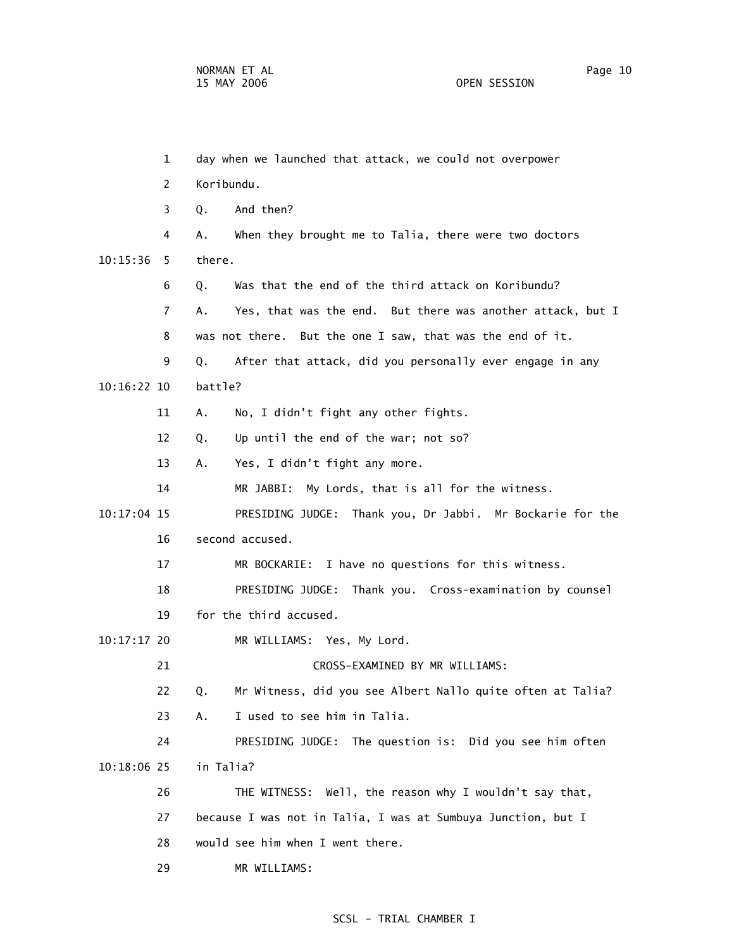1 day when we launched that attack, we could not overpower 2 Koribundu. 3 Q. And then? 4 A. When they brought me to Talia, there were two doctors 10:15:36 5 there. 6 Q. Was that the end of the third attack on Koribundu? 7 A. Yes, that was the end. But there was another attack, but I 8 was not there. But the one I saw, that was the end of it. 9 Q. After that attack, did you personally ever engage in any 10:16:22 10 battle? 11 A. No, I didn't fight any other fights. 12 Q. Up until the end of the war; not so? 13 A. Yes, I didn't fight any more. 14 MR JABBI: My Lords, that is all for the witness. 10:17:04 15 PRESIDING JUDGE: Thank you, Dr Jabbi. Mr Bockarie for the 16 second accused. 17 MR BOCKARIE: I have no questions for this witness. 18 PRESIDING JUDGE: Thank you. Cross-examination by counsel 19 for the third accused. 10:17:17 20 MR WILLIAMS: Yes, My Lord. 21 CROSS-EXAMINED BY MR WILLIAMS: 22 Q. Mr Witness, did you see Albert Nallo quite often at Talia? 23 A. I used to see him in Talia. 24 PRESIDING JUDGE: The question is: Did you see him often 10:18:06 25 in Talia? 26 THE WITNESS: Well, the reason why I wouldn't say that, 27 because I was not in Talia, I was at Sumbuya Junction, but I 28 would see him when I went there. 29 MR WILLIAMS: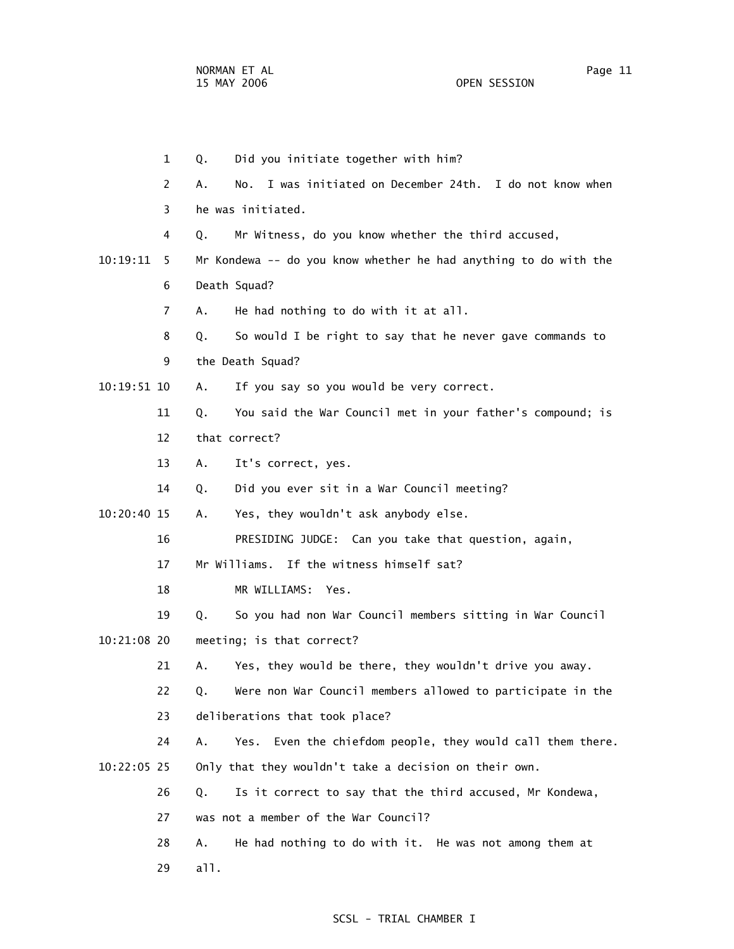1 Q. Did you initiate together with him? 2 A. No. I was initiated on December 24th. I do not know when 3 he was initiated. 4 Q. Mr Witness, do you know whether the third accused, 10:19:11 5 Mr Kondewa -- do you know whether he had anything to do with the 6 Death Squad? 7 A. He had nothing to do with it at all. 8 Q. So would I be right to say that he never gave commands to 9 the Death Squad? 10:19:51 10 A. If you say so you would be very correct. 11 Q. You said the War Council met in your father's compound; is 12 that correct? 13 A. It's correct, yes. 14 Q. Did you ever sit in a War Council meeting? 10:20:40 15 A. Yes, they wouldn't ask anybody else. 16 PRESIDING JUDGE: Can you take that question, again, 17 Mr Williams. If the witness himself sat? 18 MR WILLIAMS: Yes. 19 Q. So you had non War Council members sitting in War Council 10:21:08 20 meeting; is that correct? 21 A. Yes, they would be there, they wouldn't drive you away. 22 Q. Were non War Council members allowed to participate in the 23 deliberations that took place? 24 A. Yes. Even the chiefdom people, they would call them there. 10:22:05 25 Only that they wouldn't take a decision on their own. 26 Q. Is it correct to say that the third accused, Mr Kondewa, 27 was not a member of the War Council? 28 A. He had nothing to do with it. He was not among them at 29 all.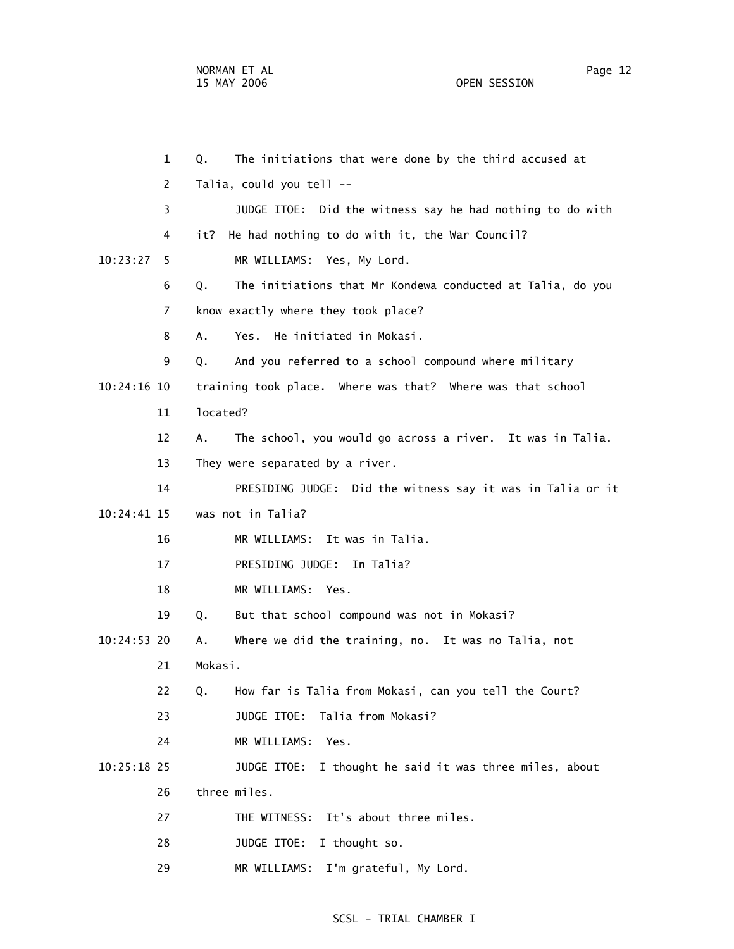1 Q. The initiations that were done by the third accused at 2 Talia, could you tell -- 3 JUDGE ITOE: Did the witness say he had nothing to do with 4 it? He had nothing to do with it, the War Council? 10:23:27 5 MR WILLIAMS: Yes, My Lord. 6 Q. The initiations that Mr Kondewa conducted at Talia, do you 7 know exactly where they took place? 8 A. Yes. He initiated in Mokasi. 9 Q. And you referred to a school compound where military 10:24:16 10 training took place. Where was that? Where was that school 11 located? 12 A. The school, you would go across a river. It was in Talia. 13 They were separated by a river. 14 PRESIDING JUDGE: Did the witness say it was in Talia or it 10:24:41 15 was not in Talia? 16 MR WILLIAMS: It was in Talia. 17 PRESIDING JUDGE: In Talia? 18 MR WILLIAMS: Yes. 19 Q. But that school compound was not in Mokasi? 10:24:53 20 A. Where we did the training, no. It was no Talia, not 21 Mokasi. 22 Q. How far is Talia from Mokasi, can you tell the Court? 23 JUDGE ITOE: Talia from Mokasi? 24 MR WILLIAMS: Yes. 10:25:18 25 JUDGE ITOE: I thought he said it was three miles, about 26 three miles. 27 THE WITNESS: It's about three miles. 28 JUDGE ITOE: I thought so. 29 MR WILLIAMS: I'm grateful, My Lord.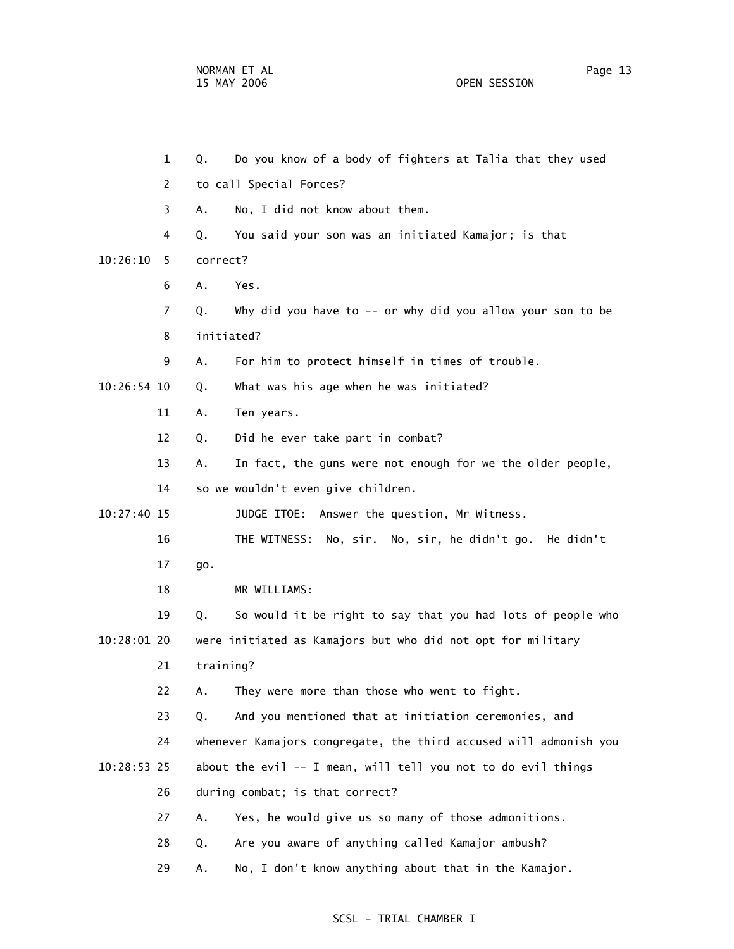|             | $\mathbf{1}$ | Q.         | Do you know of a body of fighters at Talia that they used         |
|-------------|--------------|------------|-------------------------------------------------------------------|
|             | 2            |            | to call Special Forces?                                           |
|             | 3            | А.         | No, I did not know about them.                                    |
|             | 4            | Q.         | You said your son was an initiated Kamajor; is that               |
| 10:26:10    | 5            | correct?   |                                                                   |
|             | 6            | Α.         | Yes.                                                              |
|             | 7            | Q.         | Why did you have to -- or why did you allow your son to be        |
|             | 8            | initiated? |                                                                   |
|             | 9            | Α.         | For him to protect himself in times of trouble.                   |
| 10:26:54 10 |              | Q.         | What was his age when he was initiated?                           |
|             | 11           | Α.         | Ten years.                                                        |
|             | 12           | Q.         | Did he ever take part in combat?                                  |
|             | 13           | Α.         | In fact, the guns were not enough for we the older people,        |
|             | 14           |            | so we wouldn't even give children.                                |
| 10:27:40 15 |              |            | JUDGE ITOE: Answer the question, Mr Witness.                      |
|             | 16           |            | THE WITNESS: No, sir. No, sir, he didn't go. He didn't            |
|             | 17           | go.        |                                                                   |
|             | 18           |            | MR WILLIAMS:                                                      |
|             | 19           | Q.         | So would it be right to say that you had lots of people who       |
| 10:28:01 20 |              |            | were initiated as Kamajors but who did not opt for military       |
|             | 21           | training?  |                                                                   |
|             | 22           |            | A. They were more than those who went to fight                    |
|             | 23           | Q.         | And you mentioned that at initiation ceremonies, and              |
|             | 24           |            | whenever Kamajors congregate, the third accused will admonish you |
| 10:28:53 25 |              |            | about the evil -- I mean, will tell you not to do evil things     |
|             | 26           |            | during combat; is that correct?                                   |
|             | 27           | Α.         | Yes, he would give us so many of those admonitions.               |
|             | 28           | Q.         | Are you aware of anything called Kamajor ambush?                  |
|             | 29           | Α.         | No, I don't know anything about that in the Kamajor.              |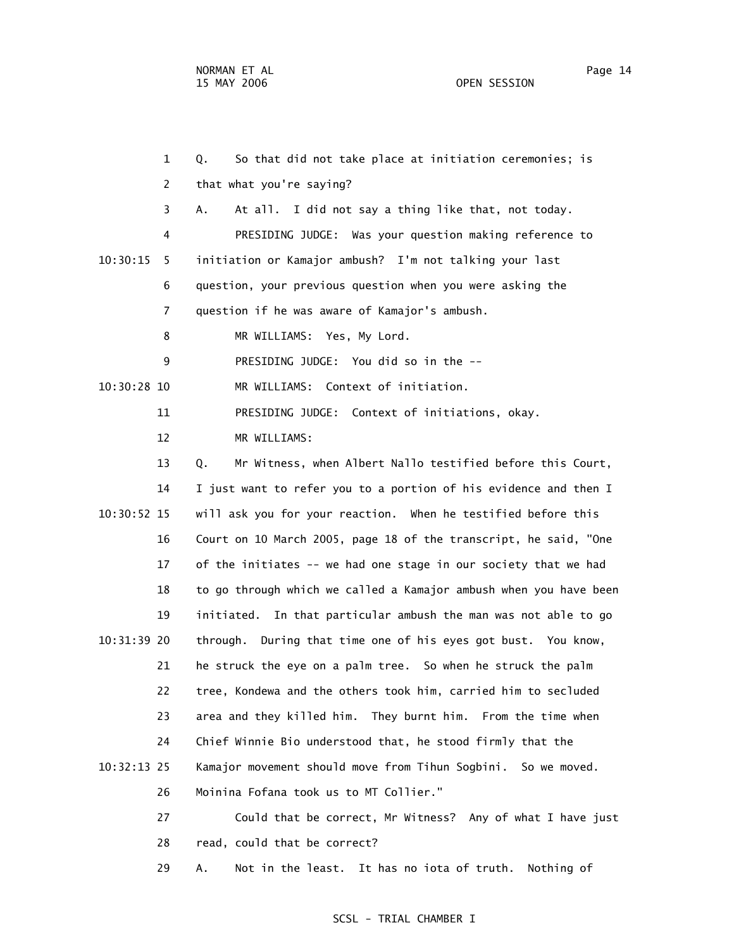1 Q. So that did not take place at initiation ceremonies; is 2 that what you're saying? 3 A. At all. I did not say a thing like that, not today. 4 PRESIDING JUDGE: Was your question making reference to 10:30:15 5 initiation or Kamajor ambush? I'm not talking your last 6 question, your previous question when you were asking the 7 question if he was aware of Kamajor's ambush. 8 MR WILLIAMS: Yes, My Lord. 9 PRESIDING JUDGE: You did so in the -- 10:30:28 10 MR WILLIAMS: Context of initiation. 11 PRESIDING JUDGE: Context of initiations, okay. 12 MR WILLIAMS: 13 Q. Mr Witness, when Albert Nallo testified before this Court, 14 I just want to refer you to a portion of his evidence and then I 10:30:52 15 will ask you for your reaction. When he testified before this 16 Court on 10 March 2005, page 18 of the transcript, he said, "One 17 of the initiates -- we had one stage in our society that we had 18 to go through which we called a Kamajor ambush when you have been 19 initiated. In that particular ambush the man was not able to go 10:31:39 20 through. During that time one of his eyes got bust. You know, 21 he struck the eye on a palm tree. So when he struck the palm 22 tree, Kondewa and the others took him, carried him to secluded 23 area and they killed him. They burnt him. From the time when 24 Chief Winnie Bio understood that, he stood firmly that the 10:32:13 25 Kamajor movement should move from Tihun Sogbini. So we moved. 26 Moinina Fofana took us to MT Collier." 27 Could that be correct, Mr Witness? Any of what I have just

28 read, could that be correct?

29 A. Not in the least. It has no iota of truth. Nothing of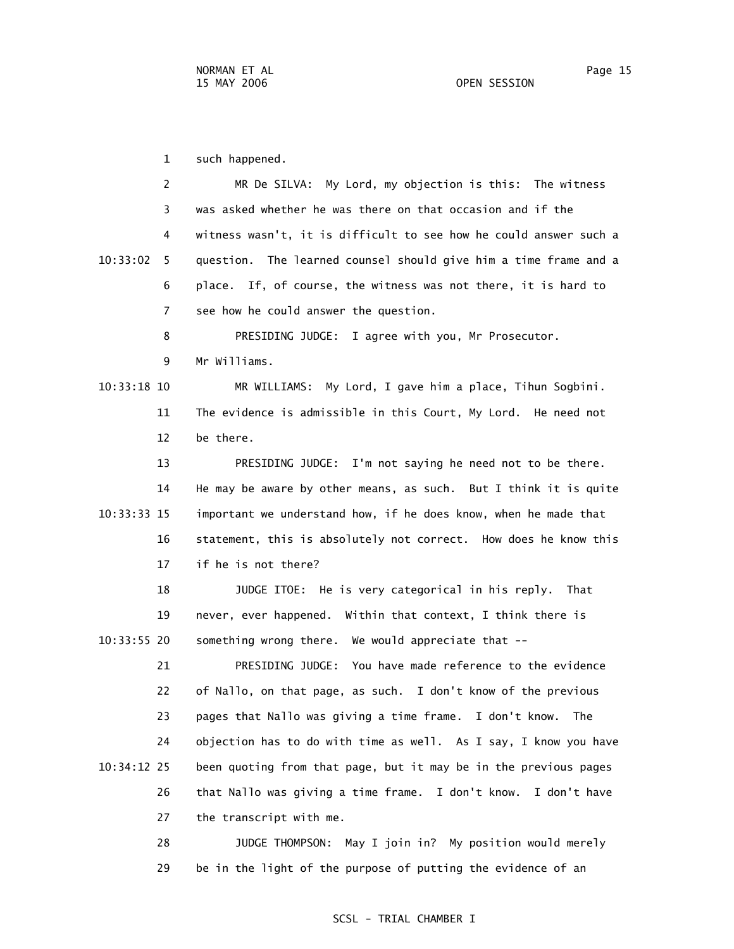| 2             | MR De SILVA: My Lord, my objection is this: The witness           |
|---------------|-------------------------------------------------------------------|
| 3             | was asked whether he was there on that occasion and if the        |
| 4             | witness wasn't, it is difficult to see how he could answer such a |
| 10:33:02<br>5 | question. The learned counsel should give him a time frame and a  |
| 6             | place. If, of course, the witness was not there, it is hard to    |
| 7             | see how he could answer the question.                             |
| 8             | PRESIDING JUDGE: I agree with you, Mr Prosecutor.                 |
| 9             | Mr Williams.                                                      |
| 10:33:18 10   | MR WILLIAMS: My Lord, I gave him a place, Tihun Sogbini.          |
| 11            | The evidence is admissible in this Court, My Lord. He need not    |
| 12            | be there.                                                         |
| 13            | PRESIDING JUDGE: I'm not saying he need not to be there.          |
| 14            | He may be aware by other means, as such. But I think it is quite  |
| 10:33:33 15   | important we understand how, if he does know, when he made that   |
| 16            | statement, this is absolutely not correct. How does he know this  |
| 17            | if he is not there?                                               |
| 18            | JUDGE ITOE: He is very categorical in his reply. That             |
| 19            | never, ever happened. Within that context, I think there is       |
| 10:33:55 20   | something wrong there. We would appreciate that --                |
| 21            | PRESIDING JUDGE: You have made reference to the evidence          |
| 22            | of Nallo, on that page, as such. I don't know of the previous     |
| 23            | pages that Nallo was giving a time frame. I don't know.<br>The    |
| 24            | objection has to do with time as well. As I say, I know you have  |
| 10:34:12 25   | been quoting from that page, but it may be in the previous pages  |
| 26            | that Nallo was giving a time frame. I don't know. I don't have    |
| 27            | the transcript with me.                                           |

 28 JUDGE THOMPSON: May I join in? My position would merely 29 be in the light of the purpose of putting the evidence of an

# SCSL - TRIAL CHAMBER I

1 such happened.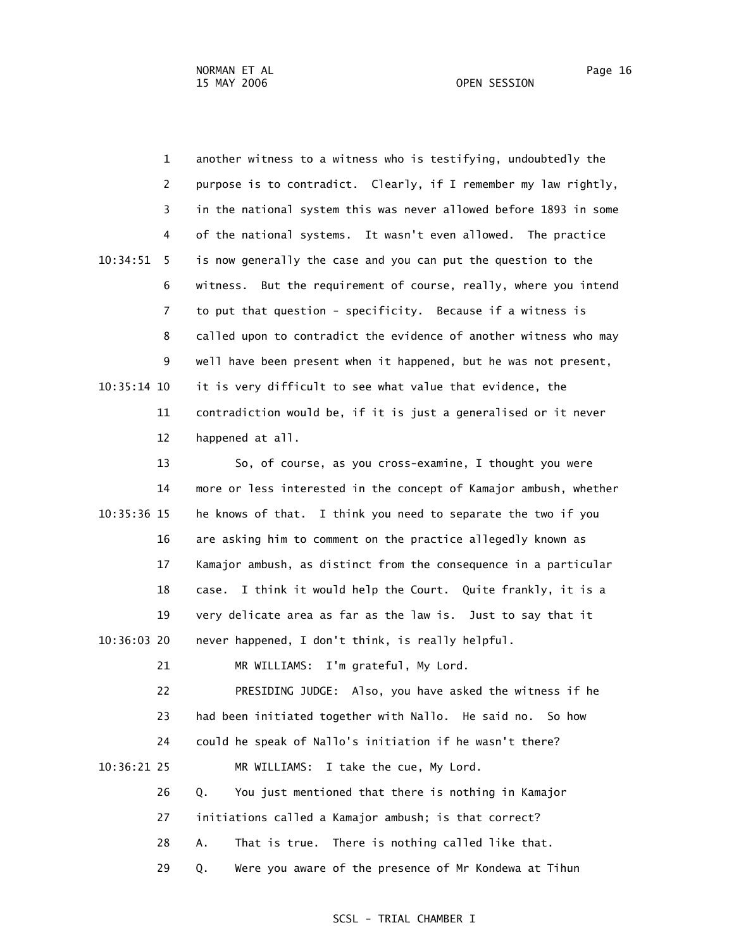1 another witness to a witness who is testifying, undoubtedly the 2 purpose is to contradict. Clearly, if I remember my law rightly, 3 in the national system this was never allowed before 1893 in some 4 of the national systems. It wasn't even allowed. The practice 10:34:51 5 is now generally the case and you can put the question to the 6 witness. But the requirement of course, really, where you intend 7 to put that question - specificity. Because if a witness is 8 called upon to contradict the evidence of another witness who may 9 well have been present when it happened, but he was not present, 10:35:14 10 it is very difficult to see what value that evidence, the 11 contradiction would be, if it is just a generalised or it never 12 happened at all.

 13 So, of course, as you cross-examine, I thought you were 14 more or less interested in the concept of Kamajor ambush, whether 10:35:36 15 he knows of that. I think you need to separate the two if you 16 are asking him to comment on the practice allegedly known as 17 Kamajor ambush, as distinct from the consequence in a particular 18 case. I think it would help the Court. Quite frankly, it is a 19 very delicate area as far as the law is. Just to say that it 10:36:03 20 never happened, I don't think, is really helpful. 21 MR WILLIAMS: I'm grateful, My Lord. 22 PRESIDING JUDGE: Also, you have asked the witness if he 23 had been initiated together with Nallo. He said no. So how 24 could he speak of Nallo's initiation if he wasn't there? 10:36:21 25 MR WILLIAMS: I take the cue, My Lord. 26 Q. You just mentioned that there is nothing in Kamajor 27 initiations called a Kamajor ambush; is that correct? 28 A. That is true. There is nothing called like that. 29 Q. Were you aware of the presence of Mr Kondewa at Tihun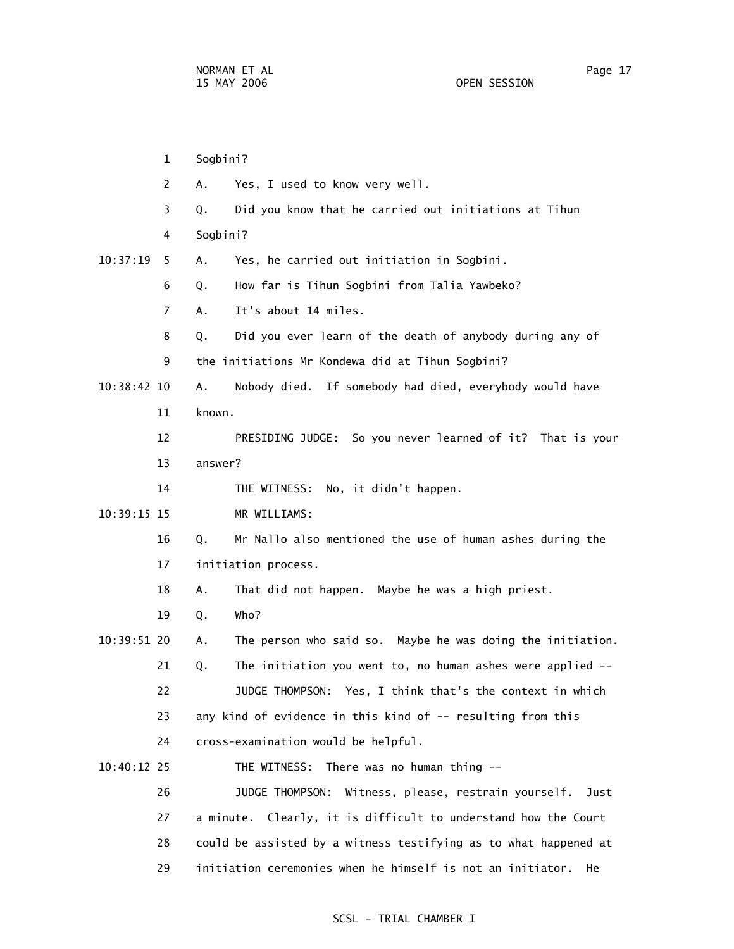1 Sogbini? 2 A. Yes, I used to know very well. 3 Q. Did you know that he carried out initiations at Tihun 4 Sogbini? 10:37:19 5 A. Yes, he carried out initiation in Sogbini. 6 Q. How far is Tihun Sogbini from Talia Yawbeko? 7 A. It's about 14 miles. 8 Q. Did you ever learn of the death of anybody during any of 9 the initiations Mr Kondewa did at Tihun Sogbini? 10:38:42 10 A. Nobody died. If somebody had died, everybody would have 11 known. 12 PRESIDING JUDGE: So you never learned of it? That is your 13 answer? 14 THE WITNESS: No, it didn't happen. 10:39:15 15 MR WILLIAMS: 16 Q. Mr Nallo also mentioned the use of human ashes during the 17 initiation process. 18 A. That did not happen. Maybe he was a high priest. 19 Q. Who? 10:39:51 20 A. The person who said so. Maybe he was doing the initiation. 21 Q. The initiation you went to, no human ashes were applied -- 22 JUDGE THOMPSON: Yes, I think that's the context in which 23 any kind of evidence in this kind of -- resulting from this 24 cross-examination would be helpful. 10:40:12 25 THE WITNESS: There was no human thing -- 26 JUDGE THOMPSON: Witness, please, restrain yourself. Just 27 a minute. Clearly, it is difficult to understand how the Court 28 could be assisted by a witness testifying as to what happened at 29 initiation ceremonies when he himself is not an initiator. He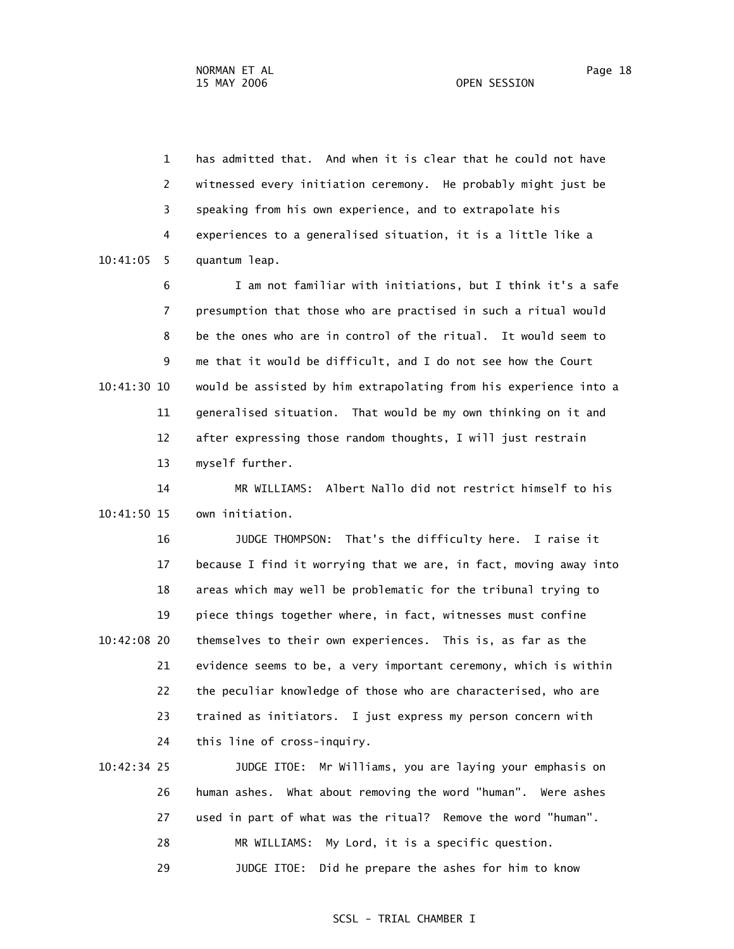1 has admitted that. And when it is clear that he could not have 2 witnessed every initiation ceremony. He probably might just be 3 speaking from his own experience, and to extrapolate his 4 experiences to a generalised situation, it is a little like a 10:41:05 5 quantum leap.

 6 I am not familiar with initiations, but I think it's a safe 7 presumption that those who are practised in such a ritual would 8 be the ones who are in control of the ritual. It would seem to 9 me that it would be difficult, and I do not see how the Court 10:41:30 10 would be assisted by him extrapolating from his experience into a 11 generalised situation. That would be my own thinking on it and 12 after expressing those random thoughts, I will just restrain 13 myself further.

 14 MR WILLIAMS: Albert Nallo did not restrict himself to his 10:41:50 15 own initiation.

 16 JUDGE THOMPSON: That's the difficulty here. I raise it 17 because I find it worrying that we are, in fact, moving away into 18 areas which may well be problematic for the tribunal trying to 19 piece things together where, in fact, witnesses must confine 10:42:08 20 themselves to their own experiences. This is, as far as the 21 evidence seems to be, a very important ceremony, which is within 22 the peculiar knowledge of those who are characterised, who are 23 trained as initiators. I just express my person concern with 24 this line of cross-inquiry.

 10:42:34 25 JUDGE ITOE: Mr Williams, you are laying your emphasis on 26 human ashes. What about removing the word "human". Were ashes 27 used in part of what was the ritual? Remove the word "human". 28 MR WILLIAMS: My Lord, it is a specific question. 29 JUDGE ITOE: Did he prepare the ashes for him to know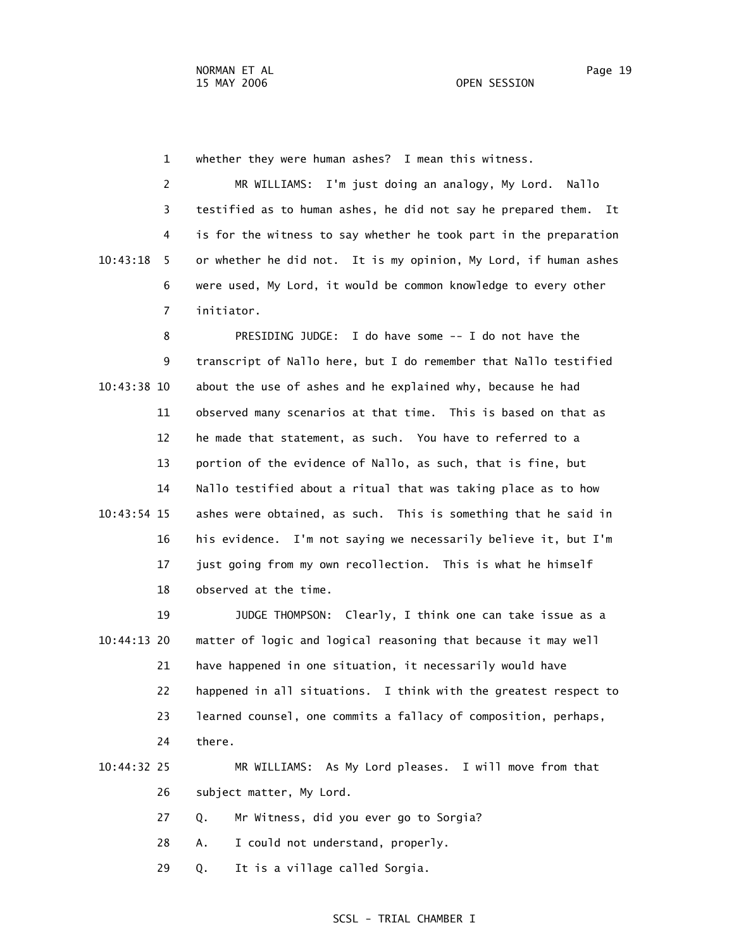1 whether they were human ashes? I mean this witness.

 2 MR WILLIAMS: I'm just doing an analogy, My Lord. Nallo 3 testified as to human ashes, he did not say he prepared them. It 4 is for the witness to say whether he took part in the preparation 10:43:18 5 or whether he did not. It is my opinion, My Lord, if human ashes 6 were used, My Lord, it would be common knowledge to every other 7 initiator.

 8 PRESIDING JUDGE: I do have some -- I do not have the 9 transcript of Nallo here, but I do remember that Nallo testified 10:43:38 10 about the use of ashes and he explained why, because he had 11 observed many scenarios at that time. This is based on that as 12 he made that statement, as such. You have to referred to a 13 portion of the evidence of Nallo, as such, that is fine, but 14 Nallo testified about a ritual that was taking place as to how 10:43:54 15 ashes were obtained, as such. This is something that he said in 16 his evidence. I'm not saying we necessarily believe it, but I'm 17 just going from my own recollection. This is what he himself 18 observed at the time.

 19 JUDGE THOMPSON: Clearly, I think one can take issue as a 10:44:13 20 matter of logic and logical reasoning that because it may well 21 have happened in one situation, it necessarily would have 22 happened in all situations. I think with the greatest respect to 23 learned counsel, one commits a fallacy of composition, perhaps, 24 there.

# 10:44:32 25 MR WILLIAMS: As My Lord pleases. I will move from that 26 subject matter, My Lord.

27 Q. Mr Witness, did you ever go to Sorgia?

28 A. I could not understand, properly.

29 Q. It is a village called Sorgia.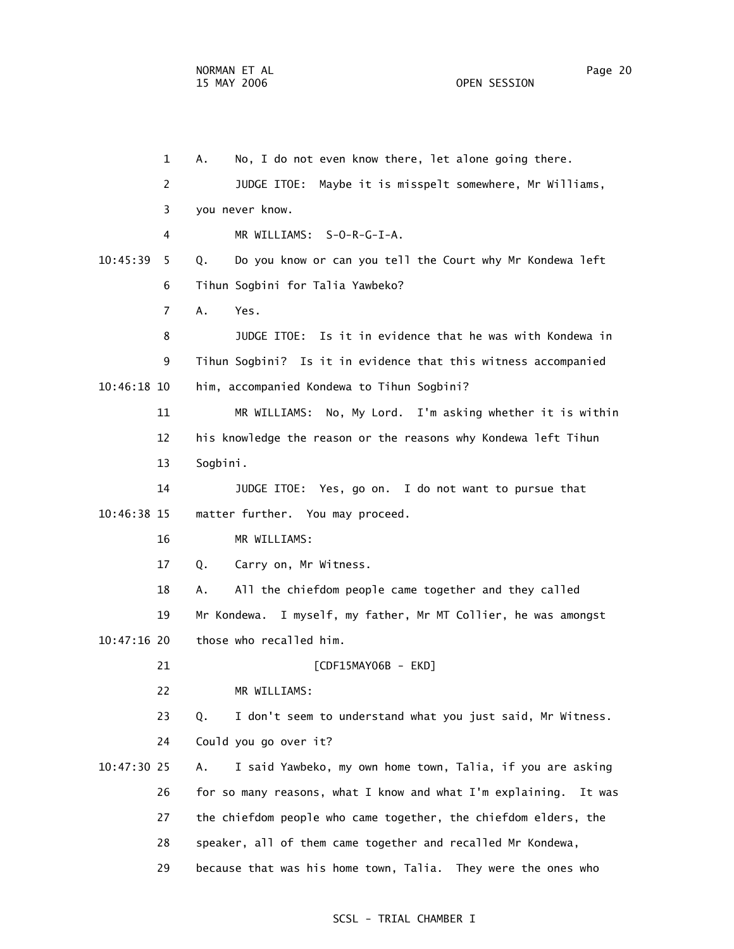1 A. No, I do not even know there, let alone going there. 2 JUDGE ITOE: Maybe it is misspelt somewhere, Mr Williams, 3 you never know. 4 MR WILLIAMS: S-O-R-G-I-A. 10:45:39 5 Q. Do you know or can you tell the Court why Mr Kondewa left 6 Tihun Sogbini for Talia Yawbeko? 7 A. Yes. 8 JUDGE ITOE: Is it in evidence that he was with Kondewa in 9 Tihun Sogbini? Is it in evidence that this witness accompanied 10:46:18 10 him, accompanied Kondewa to Tihun Sogbini? 11 MR WILLIAMS: No, My Lord. I'm asking whether it is within 12 his knowledge the reason or the reasons why Kondewa left Tihun 13 Sogbini. 14 JUDGE ITOE: Yes, go on. I do not want to pursue that 10:46:38 15 matter further. You may proceed. 16 MR WILLIAMS: 17 Q. Carry on, Mr Witness. 18 A. All the chiefdom people came together and they called 19 Mr Kondewa. I myself, my father, Mr MT Collier, he was amongst 10:47:16 20 those who recalled him. 21 [CDF15MAY06B - EKD] 22 MR WILLIAMS: 23 Q. I don't seem to understand what you just said, Mr Witness. 24 Could you go over it? 10:47:30 25 A. I said Yawbeko, my own home town, Talia, if you are asking 26 for so many reasons, what I know and what I'm explaining. It was 27 the chiefdom people who came together, the chiefdom elders, the

- 28 speaker, all of them came together and recalled Mr Kondewa,
- 29 because that was his home town, Talia. They were the ones who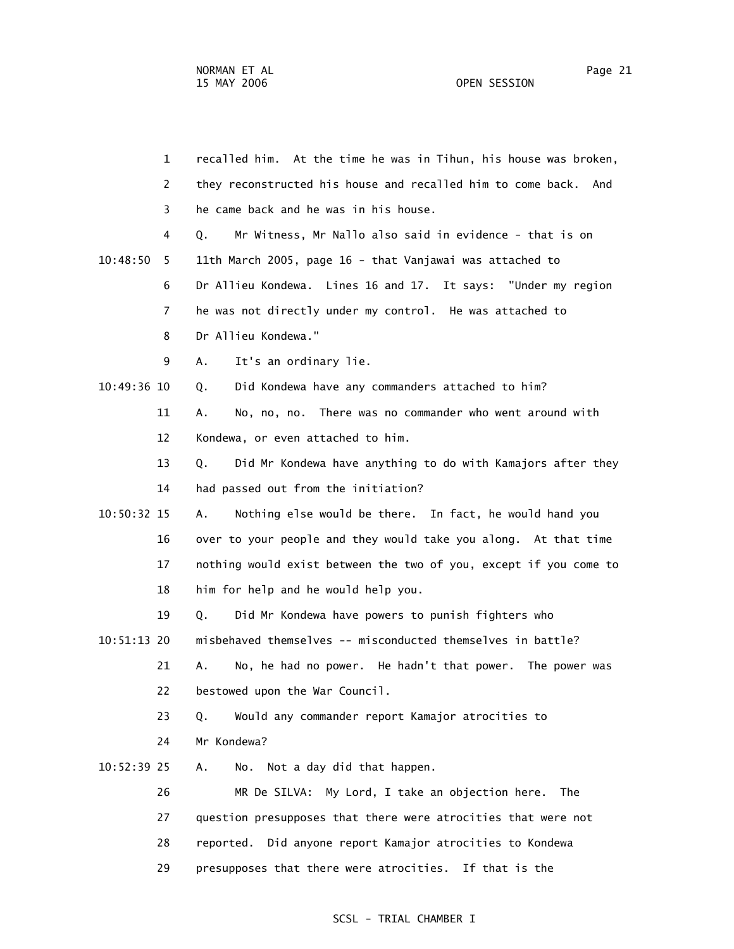1 recalled him. At the time he was in Tihun, his house was broken, 2 they reconstructed his house and recalled him to come back. And 3 he came back and he was in his house. 4 Q. Mr Witness, Mr Nallo also said in evidence - that is on 10:48:50 5 11th March 2005, page 16 - that Vanjawai was attached to 6 Dr Allieu Kondewa. Lines 16 and 17. It says: "Under my region 7 he was not directly under my control. He was attached to 8 Dr Allieu Kondewa." 9 A. It's an ordinary lie. 10:49:36 10 Q. Did Kondewa have any commanders attached to him? 11 A. No, no, no. There was no commander who went around with 12 Kondewa, or even attached to him. 13 Q. Did Mr Kondewa have anything to do with Kamajors after they 14 had passed out from the initiation? 10:50:32 15 A. Nothing else would be there. In fact, he would hand you 16 over to your people and they would take you along. At that time 17 nothing would exist between the two of you, except if you come to 18 him for help and he would help you. 19 Q. Did Mr Kondewa have powers to punish fighters who 10:51:13 20 misbehaved themselves -- misconducted themselves in battle? 21 A. No, he had no power. He hadn't that power. The power was 22 bestowed upon the War Council. 23 Q. Would any commander report Kamajor atrocities to 24 Mr Kondewa? 10:52:39 25 A. No. Not a day did that happen. 26 MR De SILVA: My Lord, I take an objection here. The 27 question presupposes that there were atrocities that were not 28 reported. Did anyone report Kamajor atrocities to Kondewa 29 presupposes that there were atrocities. If that is the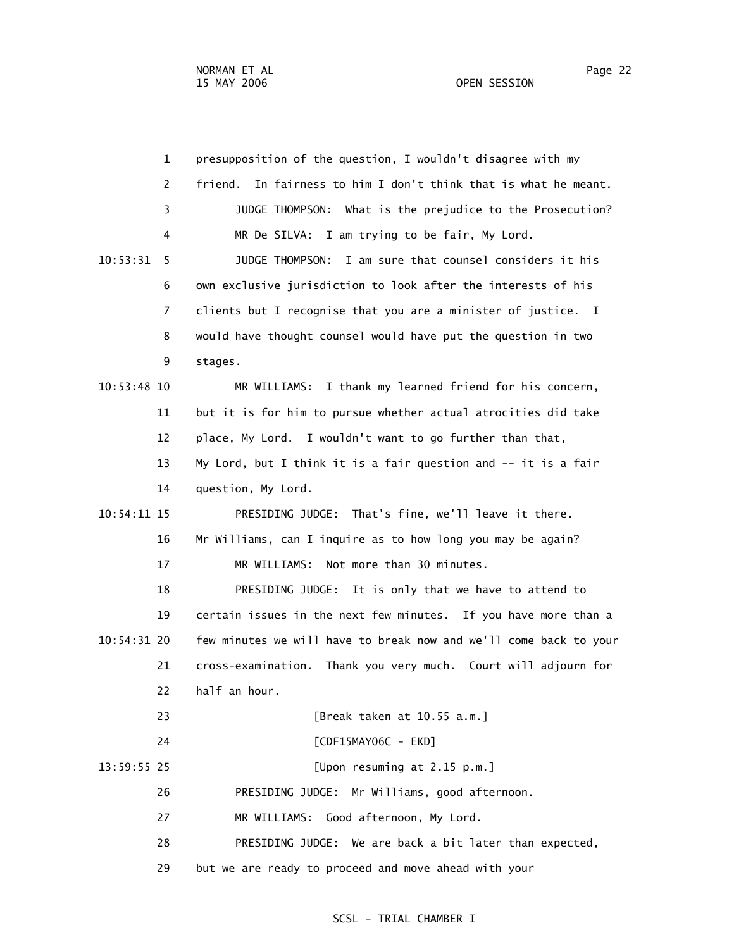| $\mathbf{1}$   | presupposition of the question, I wouldn't disagree with my        |
|----------------|--------------------------------------------------------------------|
| 2              | In fairness to him I don't think that is what he meant.<br>friend. |
| 3              | JUDGE THOMPSON: What is the prejudice to the Prosecution?          |
| 4              | MR De SILVA: I am trying to be fair, My Lord.                      |
| 10:53:31<br>5. | JUDGE THOMPSON: I am sure that counsel considers it his            |
| 6              | own exclusive jurisdiction to look after the interests of his      |
| $\overline{7}$ | clients but I recognise that you are a minister of justice. I      |
| 8              | would have thought counsel would have put the question in two      |
| 9              | stages.                                                            |
| 10:53:48 10    | I thank my learned friend for his concern,<br>MR WILLIAMS:         |
| 11             | but it is for him to pursue whether actual atrocities did take     |
| 12             | place, My Lord. I wouldn't want to go further than that,           |
| 13             | My Lord, but I think it is a fair question and -- it is a fair     |
| 14             | question, My Lord.                                                 |
| 10:54:11 15    | PRESIDING JUDGE: That's fine, we'll leave it there.                |
| 16             | Mr Williams, can I inquire as to how long you may be again?        |
| 17             | Not more than 30 minutes.<br>MR WILLIAMS:                          |
| 18             | PRESIDING JUDGE: It is only that we have to attend to              |
| 19             | certain issues in the next few minutes. If you have more than a    |
| 10:54:31 20    | few minutes we will have to break now and we'll come back to your  |
| 21             | cross-examination. Thank you very much. Court will adjourn for     |
| 22             | half an hour.                                                      |
| 23             | [Break taken at 10.55 a.m.]                                        |
| 24             | [CDF15MAY06C - EKD]                                                |
| 13:59:55 25    | [Upon resuming at 2.15 p.m.]                                       |
| 26             | PRESIDING JUDGE: Mr Williams, good afternoon.                      |
| 27             | MR WILLIAMS: Good afternoon, My Lord.                              |
| 28             | PRESIDING JUDGE: We are back a bit later than expected,            |
| 29             | but we are ready to proceed and move ahead with your               |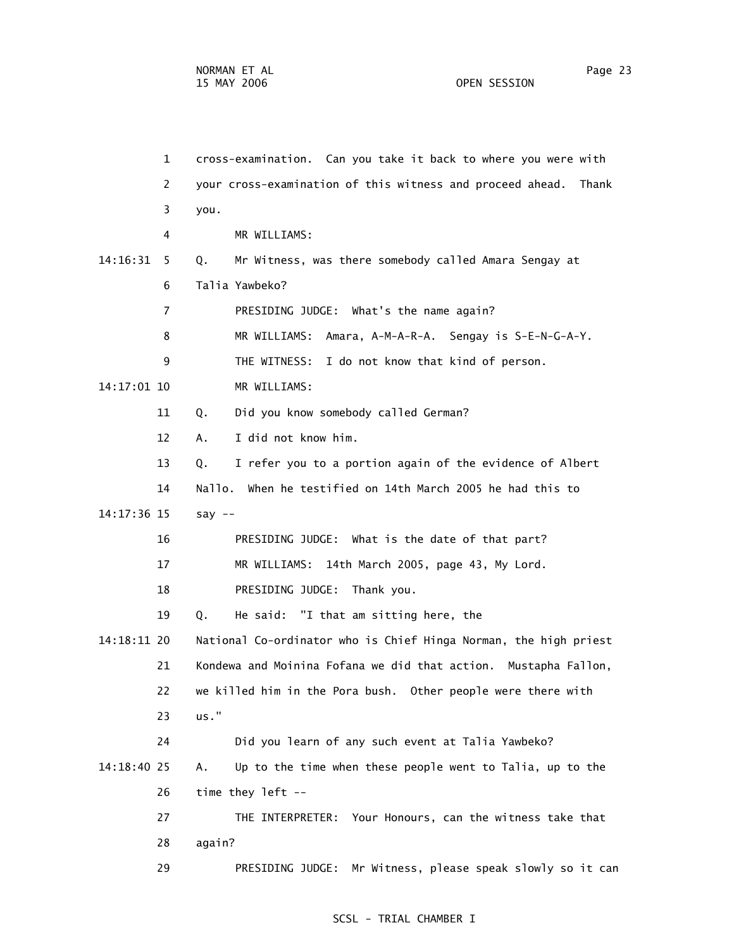1 cross-examination. Can you take it back to where you were with 2 your cross-examination of this witness and proceed ahead. Thank 3 you. 4 MR WILLIAMS: 14:16:31 5 Q. Mr Witness, was there somebody called Amara Sengay at 6 Talia Yawbeko? 7 PRESIDING JUDGE: What's the name again? 8 MR WILLIAMS: Amara, A-M-A-R-A. Sengay is S-E-N-G-A-Y. 9 THE WITNESS: I do not know that kind of person. 14:17:01 10 MR WILLIAMS: 11 Q. Did you know somebody called German? 12 A. I did not know him. 13 Q. I refer you to a portion again of the evidence of Albert 14 Nallo. When he testified on 14th March 2005 he had this to 14:17:36 15 say -- 16 PRESIDING JUDGE: What is the date of that part? 17 MR WILLIAMS: 14th March 2005, page 43, My Lord. 18 PRESIDING JUDGE: Thank you. 19 Q. He said: "I that am sitting here, the 14:18:11 20 National Co-ordinator who is Chief Hinga Norman, the high priest 21 Kondewa and Moinina Fofana we did that action. Mustapha Fallon, 22 we killed him in the Pora bush. Other people were there with 23 us." 24 Did you learn of any such event at Talia Yawbeko? 14:18:40 25 A. Up to the time when these people went to Talia, up to the 26 time they left -- 27 THE INTERPRETER: Your Honours, can the witness take that 28 again? 29 PRESIDING JUDGE: Mr Witness, please speak slowly so it can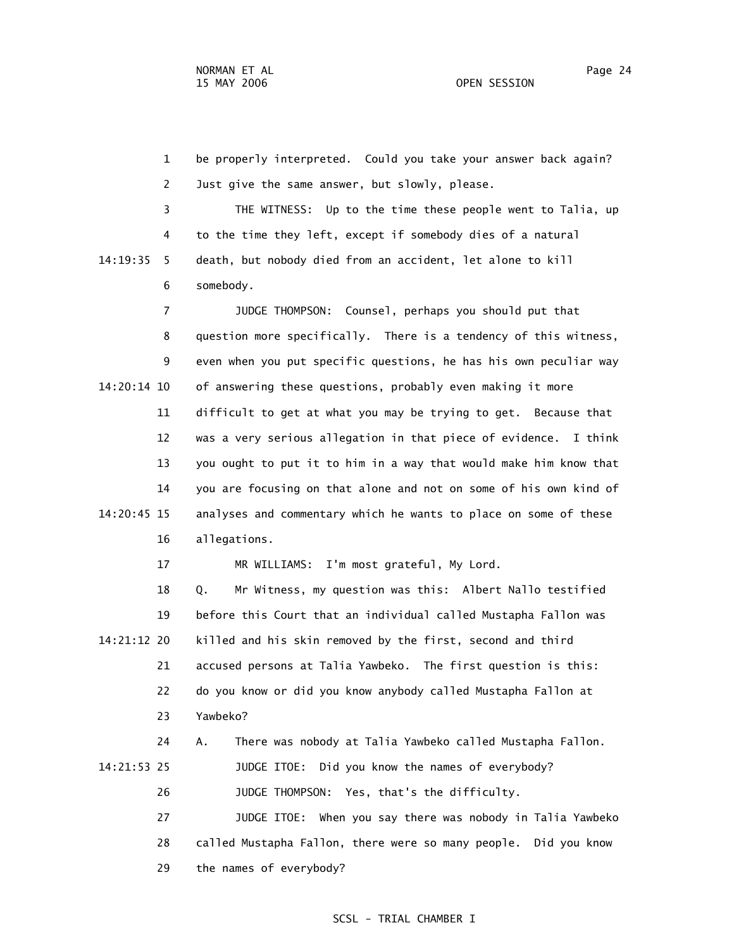1 be properly interpreted. Could you take your answer back again? 2 Just give the same answer, but slowly, please. 3 THE WITNESS: Up to the time these people went to Talia, up 4 to the time they left, except if somebody dies of a natural 14:19:35 5 death, but nobody died from an accident, let alone to kill 6 somebody. 7 JUDGE THOMPSON: Counsel, perhaps you should put that 8 question more specifically. There is a tendency of this witness, 9 even when you put specific questions, he has his own peculiar way 14:20:14 10 of answering these questions, probably even making it more 11 difficult to get at what you may be trying to get. Because that 12 was a very serious allegation in that piece of evidence. I think 13 you ought to put it to him in a way that would make him know that 14 you are focusing on that alone and not on some of his own kind of 14:20:45 15 analyses and commentary which he wants to place on some of these 16 allegations. 17 MR WILLIAMS: I'm most grateful, My Lord. 18 Q. Mr Witness, my question was this: Albert Nallo testified

 19 before this Court that an individual called Mustapha Fallon was 14:21:12 20 killed and his skin removed by the first, second and third 21 accused persons at Talia Yawbeko. The first question is this: 22 do you know or did you know anybody called Mustapha Fallon at 23 Yawbeko? 24 A. There was nobody at Talia Yawbeko called Mustapha Fallon. 14:21:53 25 JUDGE ITOE: Did you know the names of everybody?

26 JUDGE THOMPSON: Yes, that's the difficulty.

 27 JUDGE ITOE: When you say there was nobody in Talia Yawbeko 28 called Mustapha Fallon, there were so many people. Did you know 29 the names of everybody?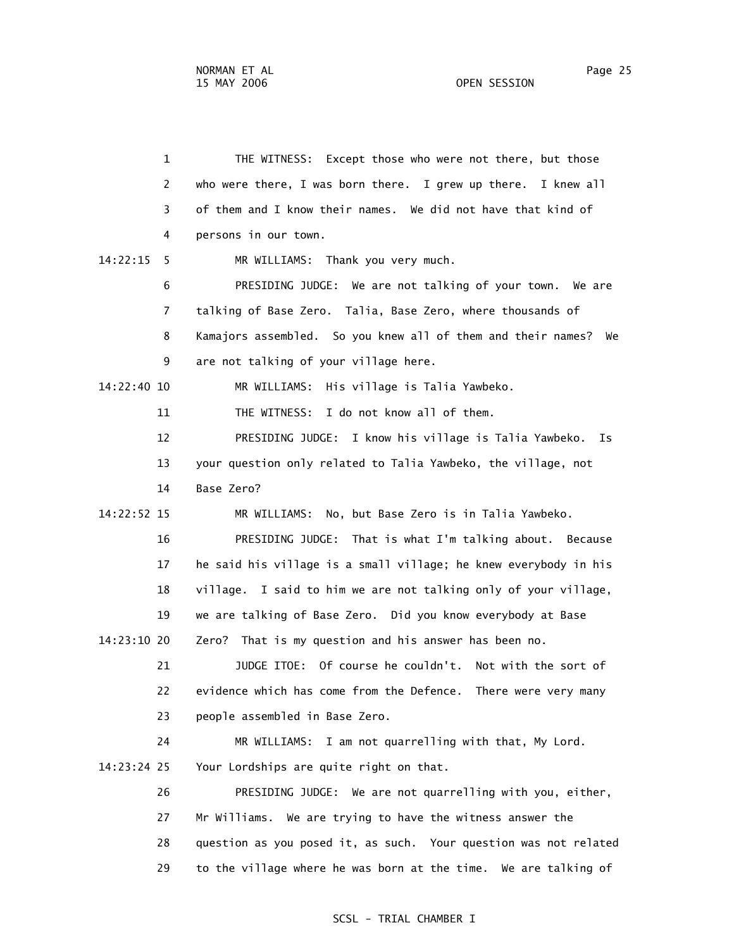1 THE WITNESS: Except those who were not there, but those 2 who were there, I was born there. I grew up there. I knew all 3 of them and I know their names. We did not have that kind of 4 persons in our town. 14:22:15 5 MR WILLIAMS: Thank you very much. 6 PRESIDING JUDGE: We are not talking of your town. We are 7 talking of Base Zero. Talia, Base Zero, where thousands of 8 Kamajors assembled. So you knew all of them and their names? We 9 are not talking of your village here. 14:22:40 10 MR WILLIAMS: His village is Talia Yawbeko. 11 THE WITNESS: I do not know all of them. 12 PRESIDING JUDGE: I know his village is Talia Yawbeko. Is 13 your question only related to Talia Yawbeko, the village, not 14 Base Zero? 14:22:52 15 MR WILLIAMS: No, but Base Zero is in Talia Yawbeko. 16 PRESIDING JUDGE: That is what I'm talking about. Because 17 he said his village is a small village; he knew everybody in his 18 village. I said to him we are not talking only of your village, 19 we are talking of Base Zero. Did you know everybody at Base 14:23:10 20 Zero? That is my question and his answer has been no. 21 JUDGE ITOE: Of course he couldn't. Not with the sort of 22 evidence which has come from the Defence. There were very many 23 people assembled in Base Zero. 24 MR WILLIAMS: I am not quarrelling with that, My Lord. 14:23:24 25 Your Lordships are quite right on that. 26 PRESIDING JUDGE: We are not quarrelling with you, either, 27 Mr Williams. We are trying to have the witness answer the 28 question as you posed it, as such. Your question was not related 29 to the village where he was born at the time. We are talking of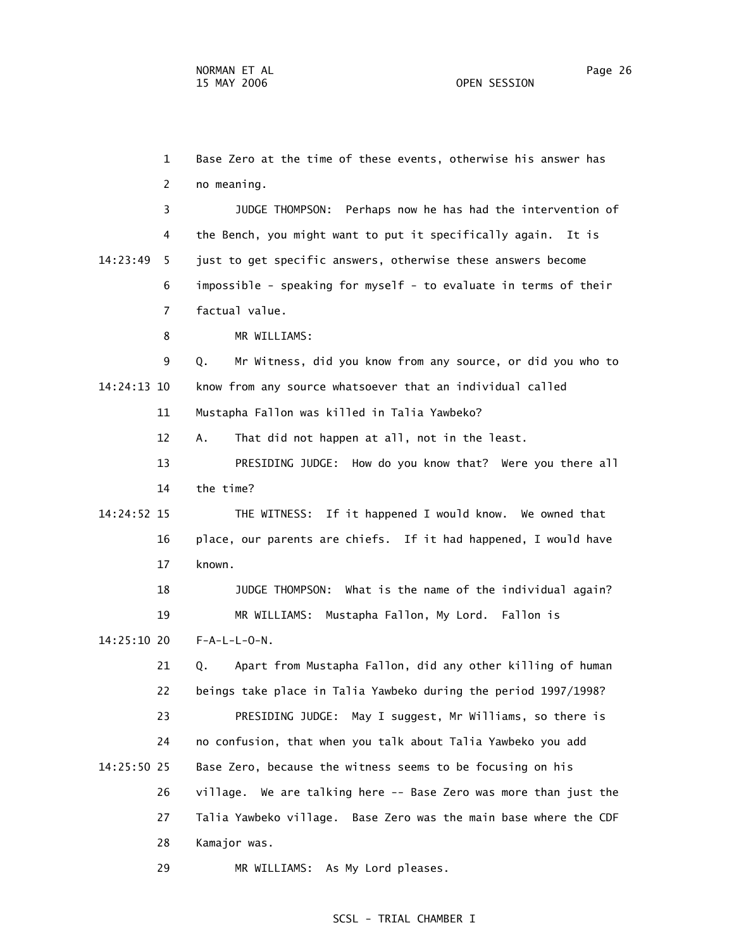1 Base Zero at the time of these events, otherwise his answer has 2 no meaning. 3 JUDGE THOMPSON: Perhaps now he has had the intervention of 4 the Bench, you might want to put it specifically again. It is 14:23:49 5 just to get specific answers, otherwise these answers become 6 impossible - speaking for myself - to evaluate in terms of their 7 factual value. 8 MR WILLIAMS: 9 Q. Mr Witness, did you know from any source, or did you who to 14:24:13 10 know from any source whatsoever that an individual called 11 Mustapha Fallon was killed in Talia Yawbeko? 12 A. That did not happen at all, not in the least. 13 PRESIDING JUDGE: How do you know that? Were you there all 14 the time? 14:24:52 15 THE WITNESS: If it happened I would know. We owned that 16 place, our parents are chiefs. If it had happened, I would have 17 known. 18 JUDGE THOMPSON: What is the name of the individual again? 19 MR WILLIAMS: Mustapha Fallon, My Lord. Fallon is 14:25:10 20 F-A-L-L-O-N. 21 Q. Apart from Mustapha Fallon, did any other killing of human 22 beings take place in Talia Yawbeko during the period 1997/1998? 23 PRESIDING JUDGE: May I suggest, Mr Williams, so there is 24 no confusion, that when you talk about Talia Yawbeko you add 14:25:50 25 Base Zero, because the witness seems to be focusing on his 26 village. We are talking here -- Base Zero was more than just the 27 Talia Yawbeko village. Base Zero was the main base where the CDF 28 Kamajor was.

29 MR WILLIAMS: As My Lord pleases.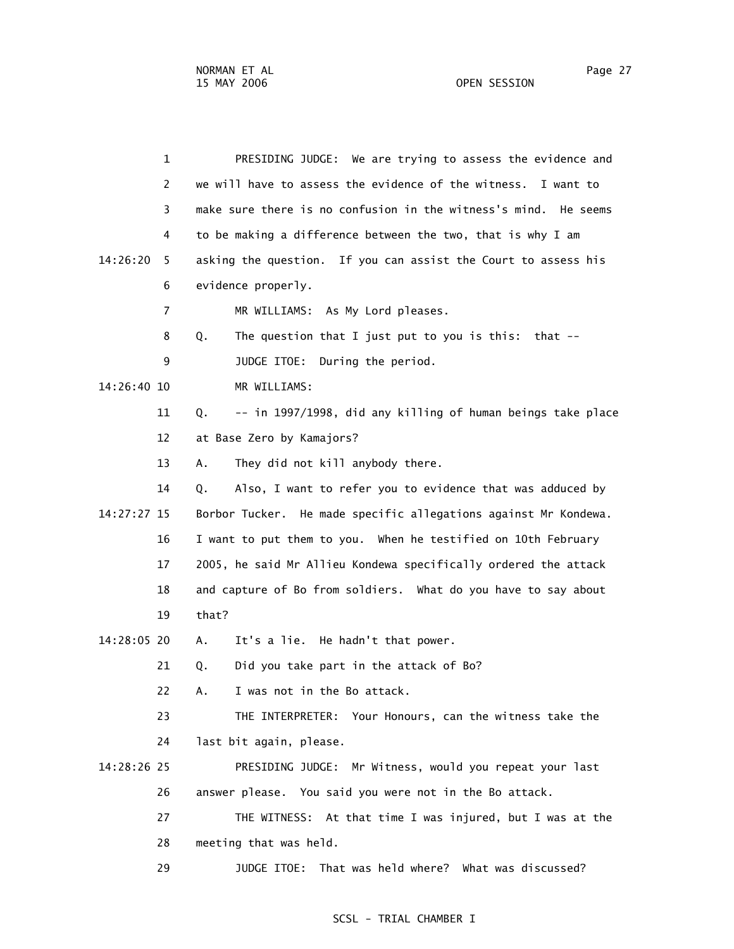1 PRESIDING JUDGE: We are trying to assess the evidence and 2 we will have to assess the evidence of the witness. I want to 3 make sure there is no confusion in the witness's mind. He seems 4 to be making a difference between the two, that is why I am 14:26:20 5 asking the question. If you can assist the Court to assess his 6 evidence properly. 7 MR WILLIAMS: As My Lord pleases. 8 Q. The question that I just put to you is this: that -- 9 JUDGE ITOE: During the period. 14:26:40 10 MR WILLIAMS: 11 Q. -- in 1997/1998, did any killing of human beings take place 12 at Base Zero by Kamajors? 13 A. They did not kill anybody there. 14 Q. Also, I want to refer you to evidence that was adduced by 14:27:27 15 Borbor Tucker. He made specific allegations against Mr Kondewa. 16 I want to put them to you. When he testified on 10th February 17 2005, he said Mr Allieu Kondewa specifically ordered the attack 18 and capture of Bo from soldiers. What do you have to say about 19 that? 14:28:05 20 A. It's a lie. He hadn't that power. 21 Q. Did you take part in the attack of Bo? 22 A. I was not in the Bo attack. 23 THE INTERPRETER: Your Honours, can the witness take the 24 last bit again, please. 14:28:26 25 PRESIDING JUDGE: Mr Witness, would you repeat your last 26 answer please. You said you were not in the Bo attack. 27 THE WITNESS: At that time I was injured, but I was at the 28 meeting that was held. 29 JUDGE ITOE: That was held where? What was discussed?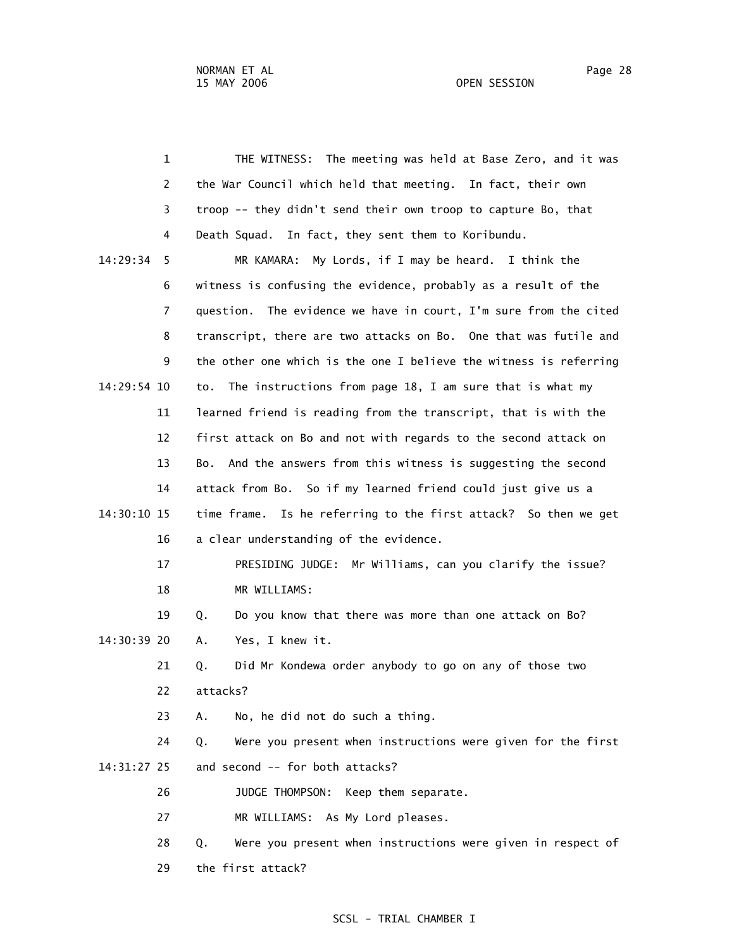1 THE WITNESS: The meeting was held at Base Zero, and it was 2 the War Council which held that meeting. In fact, their own 3 troop -- they didn't send their own troop to capture Bo, that 4 Death Squad. In fact, they sent them to Koribundu. 14:29:34 5 MR KAMARA: My Lords, if I may be heard. I think the 6 witness is confusing the evidence, probably as a result of the 7 question. The evidence we have in court, I'm sure from the cited 8 transcript, there are two attacks on Bo. One that was futile and 9 the other one which is the one I believe the witness is referring 14:29:54 10 to. The instructions from page 18, I am sure that is what my 11 learned friend is reading from the transcript, that is with the 12 first attack on Bo and not with regards to the second attack on 13 Bo. And the answers from this witness is suggesting the second 14 attack from Bo. So if my learned friend could just give us a 14:30:10 15 time frame. Is he referring to the first attack? So then we get 16 a clear understanding of the evidence. 17 PRESIDING JUDGE: Mr Williams, can you clarify the issue? 18 MR WILLIAMS: 19 Q. Do you know that there was more than one attack on Bo? 14:30:39 20 A. Yes, I knew it. 21 Q. Did Mr Kondewa order anybody to go on any of those two 22 attacks? 23 A. No, he did not do such a thing. 24 Q. Were you present when instructions were given for the first 14:31:27 25 and second -- for both attacks? 26 JUDGE THOMPSON: Keep them separate. 27 MR WILLIAMS: As My Lord pleases. 28 Q. Were you present when instructions were given in respect of 29 the first attack?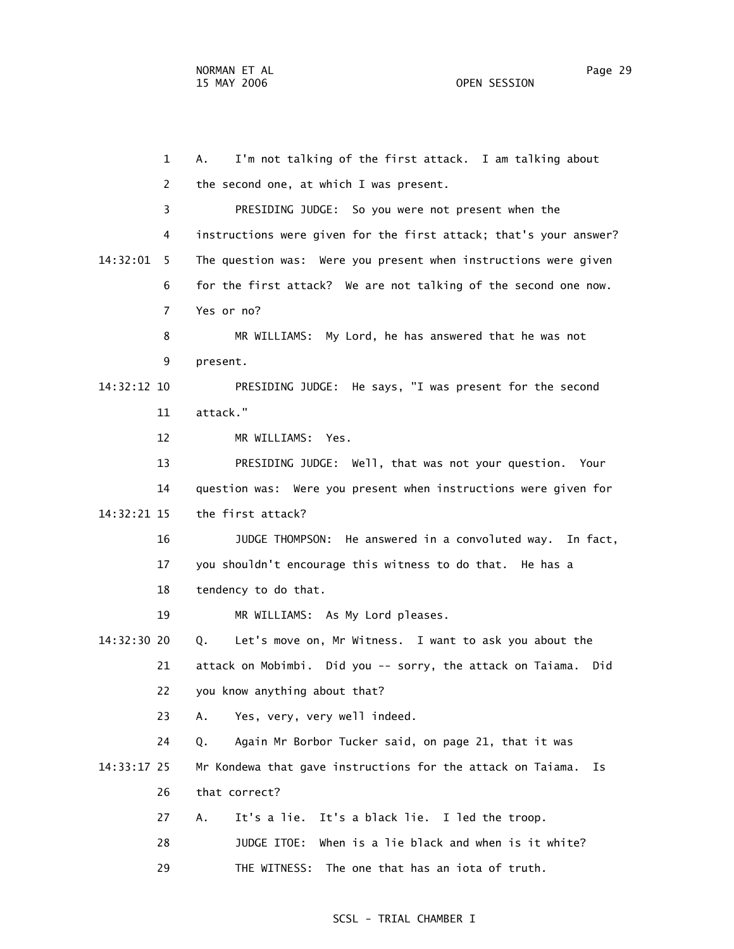1 A. I'm not talking of the first attack. I am talking about 2 the second one, at which I was present. 3 PRESIDING JUDGE: So you were not present when the 4 instructions were given for the first attack; that's your answer? 14:32:01 5 The question was: Were you present when instructions were given 6 for the first attack? We are not talking of the second one now. 7 Yes or no? 8 MR WILLIAMS: My Lord, he has answered that he was not 9 present. 14:32:12 10 PRESIDING JUDGE: He says, "I was present for the second 11 attack." 12 MR WILLIAMS: Yes. 13 PRESIDING JUDGE: Well, that was not your question. Your 14 question was: Were you present when instructions were given for 14:32:21 15 the first attack? 16 JUDGE THOMPSON: He answered in a convoluted way. In fact, 17 you shouldn't encourage this witness to do that. He has a 18 tendency to do that. 19 MR WILLIAMS: As My Lord pleases. 14:32:30 20 Q. Let's move on, Mr Witness. I want to ask you about the 21 attack on Mobimbi. Did you -- sorry, the attack on Taiama. Did 22 you know anything about that? 23 A. Yes, very, very well indeed. 24 Q. Again Mr Borbor Tucker said, on page 21, that it was 14:33:17 25 Mr Kondewa that gave instructions for the attack on Taiama. Is 26 that correct? 27 A. It's a lie. It's a black lie. I led the troop. 28 JUDGE ITOE: When is a lie black and when is it white? 29 THE WITNESS: The one that has an iota of truth.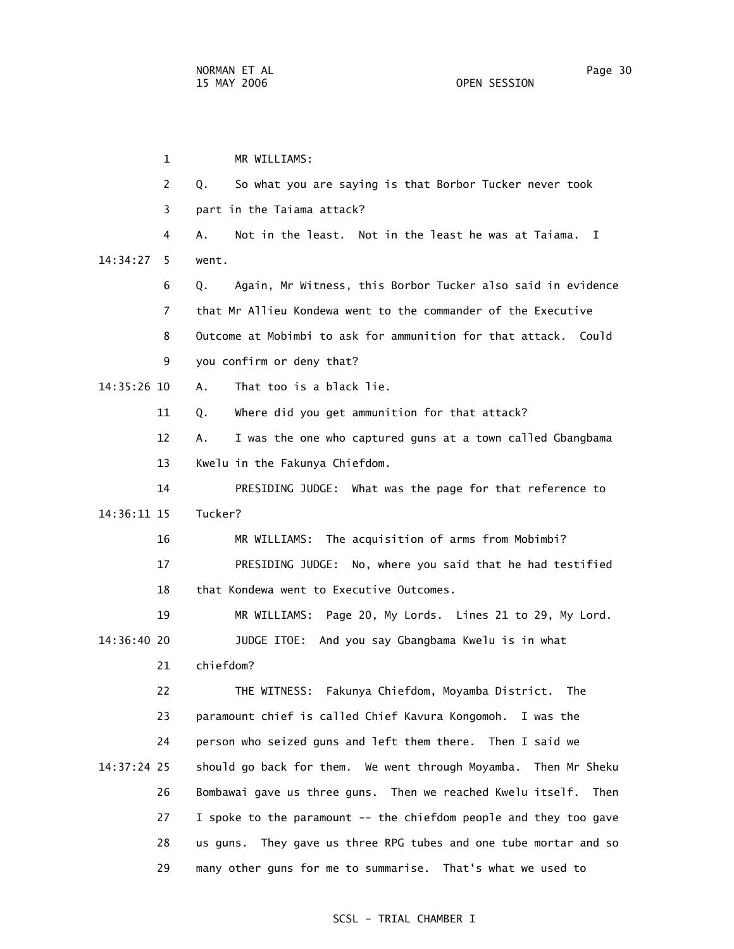1 MR WILLIAMS: 2 Q. So what you are saying is that Borbor Tucker never took 3 part in the Taiama attack? 4 A. Not in the least. Not in the least he was at Taiama. I 14:34:27 5 went. 6 Q. Again, Mr Witness, this Borbor Tucker also said in evidence 7 that Mr Allieu Kondewa went to the commander of the Executive 8 Outcome at Mobimbi to ask for ammunition for that attack. Could 9 you confirm or deny that? 14:35:26 10 A. That too is a black lie. 11 Q. Where did you get ammunition for that attack? 12 A. I was the one who captured guns at a town called Gbangbama 13 Kwelu in the Fakunya Chiefdom. 14 PRESIDING JUDGE: What was the page for that reference to 14:36:11 15 Tucker? 16 MR WILLIAMS: The acquisition of arms from Mobimbi? 17 PRESIDING JUDGE: No, where you said that he had testified 18 that Kondewa went to Executive Outcomes. 19 MR WILLIAMS: Page 20, My Lords. Lines 21 to 29, My Lord. 14:36:40 20 JUDGE ITOE: And you say Gbangbama Kwelu is in what 21 chiefdom? 22 THE WITNESS: Fakunya Chiefdom, Moyamba District. The 23 paramount chief is called Chief Kavura Kongomoh. I was the 24 person who seized guns and left them there. Then I said we 14:37:24 25 should go back for them. We went through Moyamba. Then Mr Sheku 26 Bombawai gave us three guns. Then we reached Kwelu itself. Then 27 I spoke to the paramount -- the chiefdom people and they too gave 28 us guns. They gave us three RPG tubes and one tube mortar and so 29 many other guns for me to summarise. That's what we used to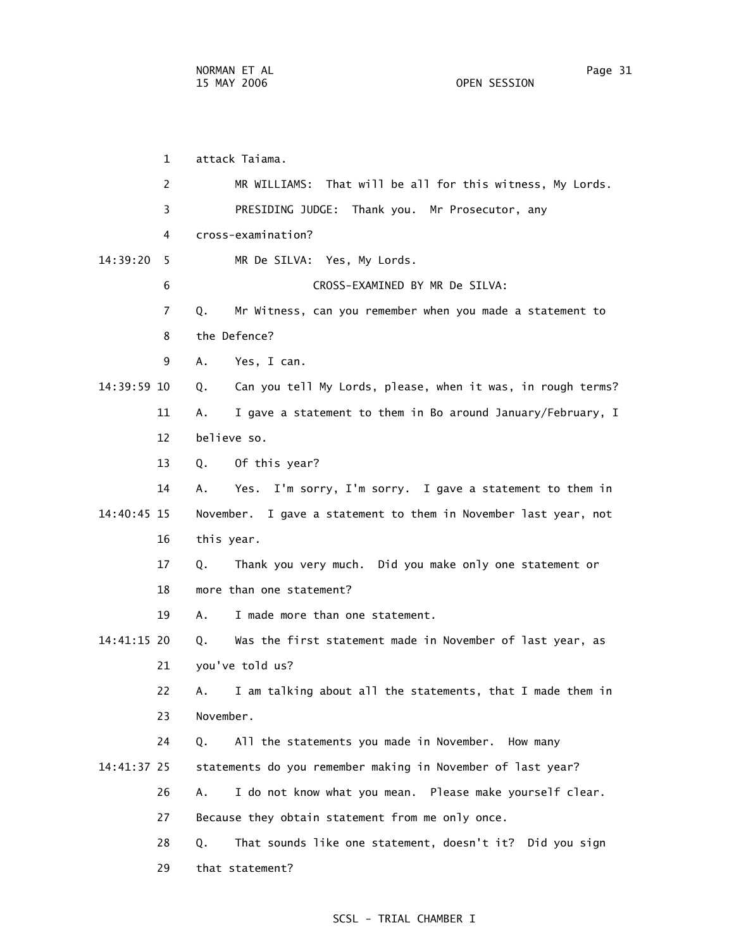1 attack Taiama. 2 MR WILLIAMS: That will be all for this witness, My Lords. 3 PRESIDING JUDGE: Thank you. Mr Prosecutor, any 4 cross-examination? 14:39:20 5 MR De SILVA: Yes, My Lords. 6 CROSS-EXAMINED BY MR De SILVA: 7 Q. Mr Witness, can you remember when you made a statement to 9 A. Yes, I can. 14:39:59 10 Q. Can you tell My Lords, please, when it was, in rough terms? 11 A. I gave a statement to them in Bo around January/February, I

12 believe so.

8 the Defence?

13 Q. Of this year?

 14 A. Yes. I'm sorry, I'm sorry. I gave a statement to them in 14:40:45 15 November. I gave a statement to them in November last year, not 16 this year.

> 17 Q. Thank you very much. Did you make only one statement or 18 more than one statement?

19 A. I made more than one statement.

 14:41:15 20 Q. Was the first statement made in November of last year, as 21 you've told us?

 22 A. I am talking about all the statements, that I made them in 23 November.

 24 Q. All the statements you made in November. How many 14:41:37 25 statements do you remember making in November of last year?

26 A. I do not know what you mean. Please make yourself clear.

27 Because they obtain statement from me only once.

28 Q. That sounds like one statement, doesn't it? Did you sign

29 that statement?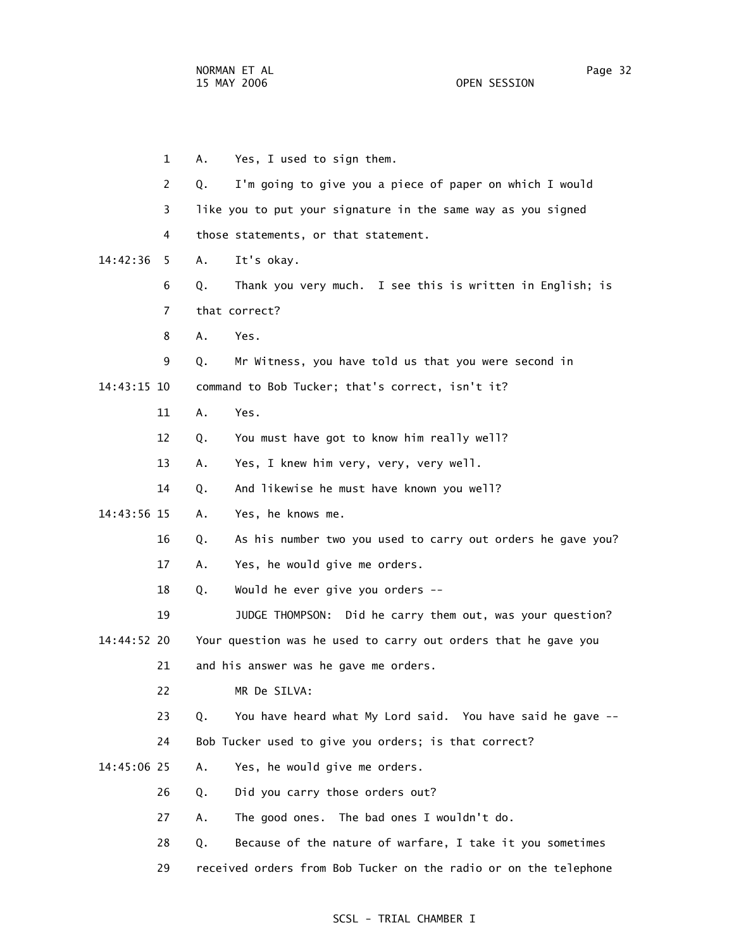1 A. Yes, I used to sign them. 2 Q. I'm going to give you a piece of paper on which I would 3 like you to put your signature in the same way as you signed 4 those statements, or that statement. 14:42:36 5 A. It's okay. 6 Q. Thank you very much. I see this is written in English; is 7 that correct? 8 A. Yes. 9 Q. Mr Witness, you have told us that you were second in 14:43:15 10 command to Bob Tucker; that's correct, isn't it? 11 A. Yes. 12 Q. You must have got to know him really well? 13 A. Yes, I knew him very, very, very well. 14 Q. And likewise he must have known you well? 14:43:56 15 A. Yes, he knows me. 16 Q. As his number two you used to carry out orders he gave you? 17 A. Yes, he would give me orders. 18 Q. Would he ever give you orders -- 19 JUDGE THOMPSON: Did he carry them out, was your question? 14:44:52 20 Your question was he used to carry out orders that he gave you 21 and his answer was he gave me orders. 22 MR De SILVA: 23 Q. You have heard what My Lord said. You have said he gave -- 24 Bob Tucker used to give you orders; is that correct? 14:45:06 25 A. Yes, he would give me orders. 26 Q. Did you carry those orders out? 27 A. The good ones. The bad ones I wouldn't do. 28 Q. Because of the nature of warfare, I take it you sometimes 29 received orders from Bob Tucker on the radio or on the telephone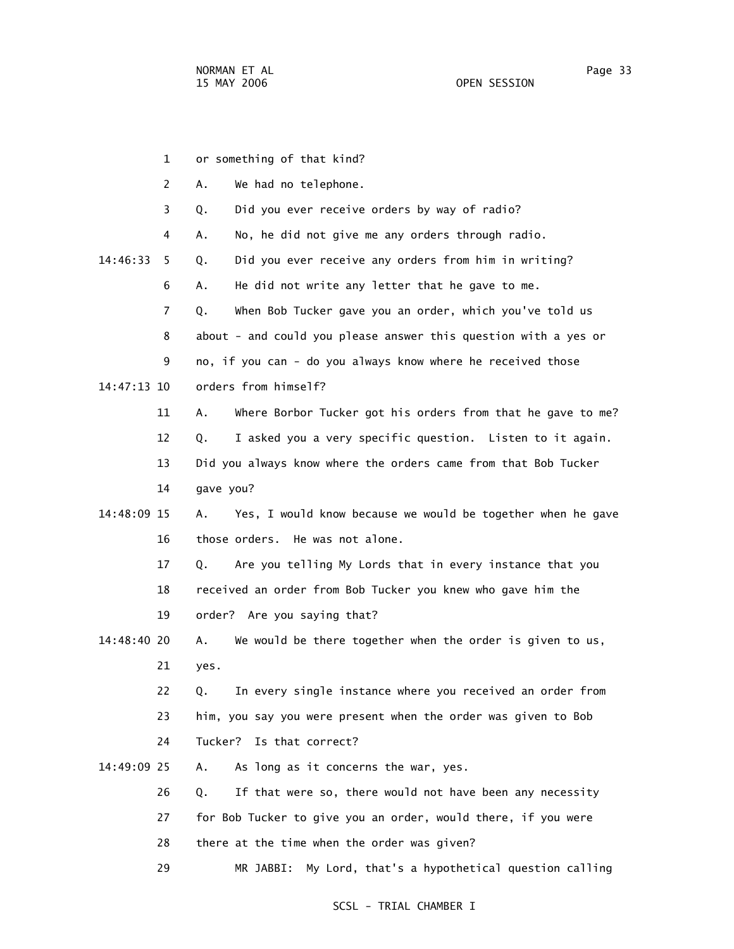1 or something of that kind? 2 A. We had no telephone. 3 Q. Did you ever receive orders by way of radio? 4 A. No, he did not give me any orders through radio. 14:46:33 5 Q. Did you ever receive any orders from him in writing? 6 A. He did not write any letter that he gave to me. 7 Q. When Bob Tucker gave you an order, which you've told us 8 about - and could you please answer this question with a yes or 9 no, if you can - do you always know where he received those 14:47:13 10 orders from himself? 11 A. Where Borbor Tucker got his orders from that he gave to me? 12 Q. I asked you a very specific question. Listen to it again. 13 Did you always know where the orders came from that Bob Tucker 14 gave you? 14:48:09 15 A. Yes, I would know because we would be together when he gave 16 those orders. He was not alone. 17 Q. Are you telling My Lords that in every instance that you 18 received an order from Bob Tucker you knew who gave him the 19 order? Are you saying that? 14:48:40 20 A. We would be there together when the order is given to us, 21 yes. 22 Q. In every single instance where you received an order from 23 him, you say you were present when the order was given to Bob 24 Tucker? Is that correct? 14:49:09 25 A. As long as it concerns the war, yes. 26 Q. If that were so, there would not have been any necessity 27 for Bob Tucker to give you an order, would there, if you were 28 there at the time when the order was given? 29 MR JABBI: My Lord, that's a hypothetical question calling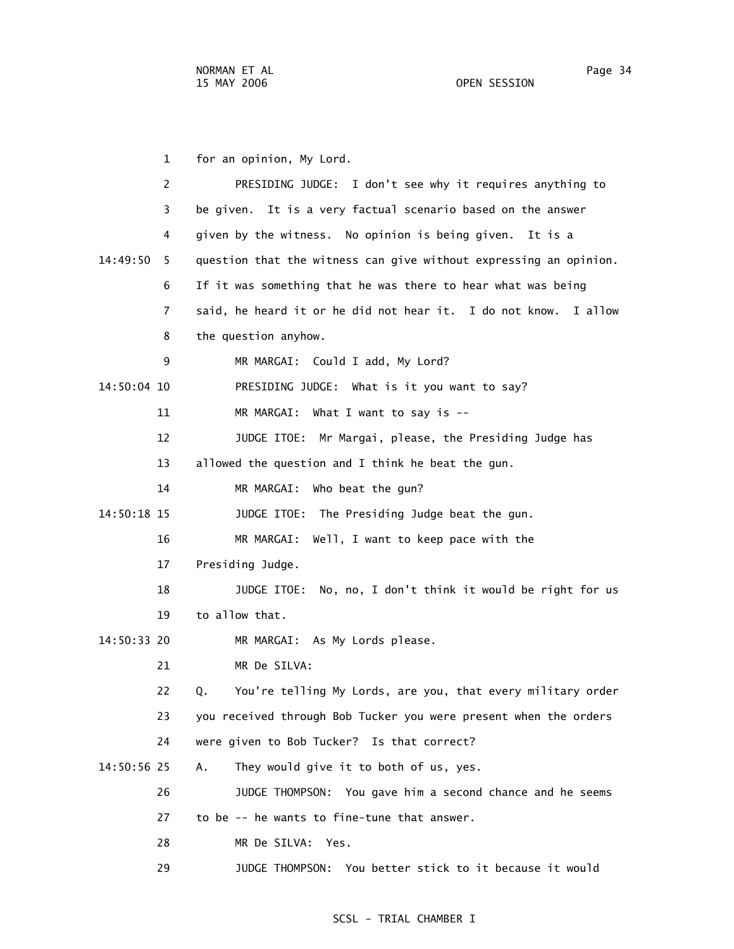1 for an opinion, My Lord. 2 PRESIDING JUDGE: I don't see why it requires anything to 3 be given. It is a very factual scenario based on the answer 4 given by the witness. No opinion is being given. It is a 14:49:50 5 question that the witness can give without expressing an opinion. 6 If it was something that he was there to hear what was being 7 said, he heard it or he did not hear it. I do not know. I allow 8 the question anyhow. 9 MR MARGAI: Could I add, My Lord? 14:50:04 10 PRESIDING JUDGE: What is it you want to say? 11 MR MARGAI: What I want to say is -- 12 JUDGE ITOE: Mr Margai, please, the Presiding Judge has 13 allowed the question and I think he beat the gun. 14 MR MARGAI: Who beat the gun? 14:50:18 15 JUDGE ITOE: The Presiding Judge beat the gun. 16 MR MARGAI: Well, I want to keep pace with the 17 Presiding Judge. 18 JUDGE ITOE: No, no, I don't think it would be right for us 19 to allow that. 14:50:33 20 MR MARGAI: As My Lords please. 21 MR De SILVA: 22 Q. You're telling My Lords, are you, that every military order 23 you received through Bob Tucker you were present when the orders 24 were given to Bob Tucker? Is that correct? 14:50:56 25 A. They would give it to both of us, yes. 26 JUDGE THOMPSON: You gave him a second chance and he seems 27 to be -- he wants to fine-tune that answer. 28 MR De SILVA: Yes.

29 JUDGE THOMPSON: You better stick to it because it would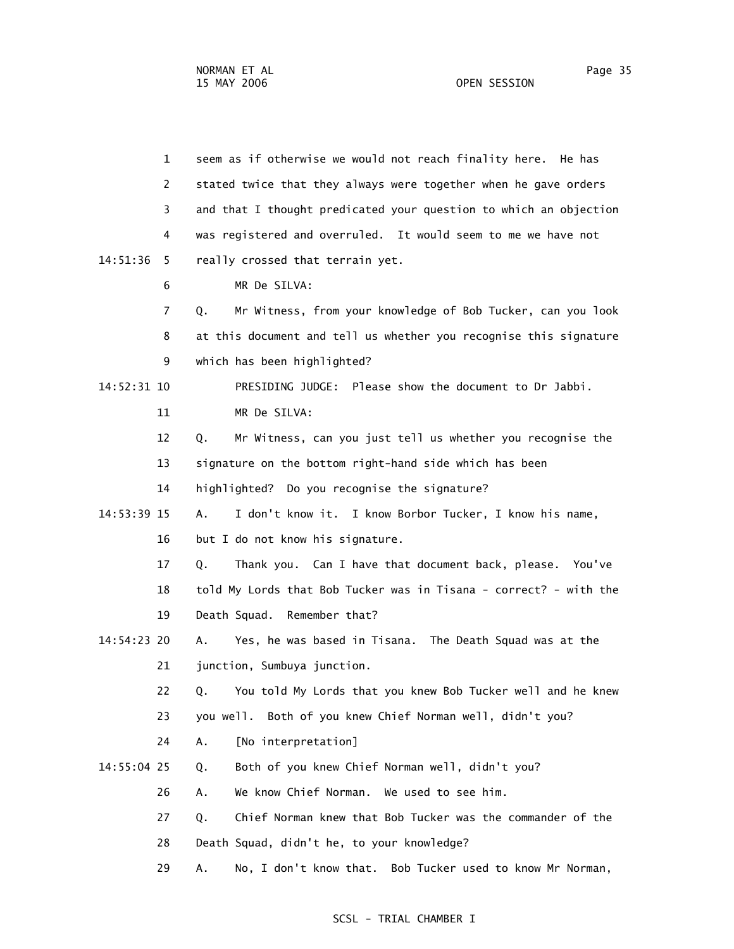1 seem as if otherwise we would not reach finality here. He has 2 stated twice that they always were together when he gave orders 3 and that I thought predicated your question to which an objection 4 was registered and overruled. It would seem to me we have not 14:51:36 5 really crossed that terrain yet. 6 MR De SILVA: 7 Q. Mr Witness, from your knowledge of Bob Tucker, can you look 8 at this document and tell us whether you recognise this signature 9 which has been highlighted? 14:52:31 10 PRESIDING JUDGE: Please show the document to Dr Jabbi. 11 MR De SILVA: 12 Q. Mr Witness, can you just tell us whether you recognise the 13 signature on the bottom right-hand side which has been 14 highlighted? Do you recognise the signature? 14:53:39 15 A. I don't know it. I know Borbor Tucker, I know his name, 16 but I do not know his signature. 17 Q. Thank you. Can I have that document back, please. You've 18 told My Lords that Bob Tucker was in Tisana - correct? - with the 19 Death Squad. Remember that? 14:54:23 20 A. Yes, he was based in Tisana. The Death Squad was at the 21 junction, Sumbuya junction. 22 Q. You told My Lords that you knew Bob Tucker well and he knew 23 you well. Both of you knew Chief Norman well, didn't you? 24 A. [No interpretation] 14:55:04 25 Q. Both of you knew Chief Norman well, didn't you? 26 A. We know Chief Norman. We used to see him. 27 Q. Chief Norman knew that Bob Tucker was the commander of the 28 Death Squad, didn't he, to your knowledge? 29 A. No, I don't know that. Bob Tucker used to know Mr Norman,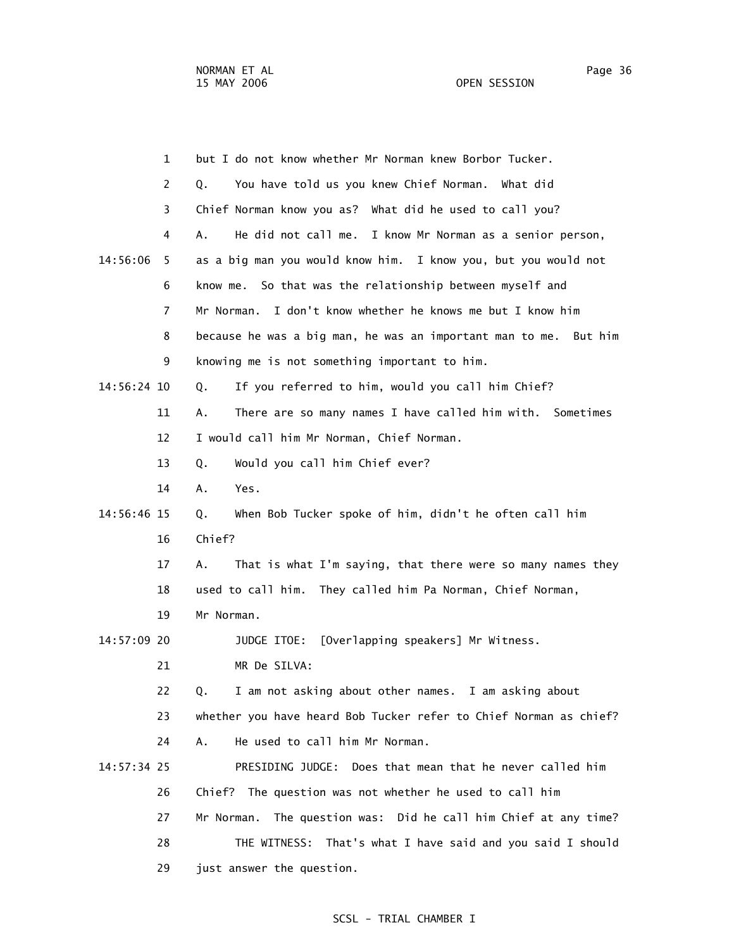|             | 1  | but I do not know whether Mr Norman knew Borbor Tucker.            |
|-------------|----|--------------------------------------------------------------------|
|             | 2  | You have told us you knew Chief Norman. What did<br>Q.             |
|             | 3  | Chief Norman know you as? What did he used to call you?            |
|             | 4  | A.<br>He did not call me. I know Mr Norman as a senior person,     |
| 14:56:06    | 5  | as a big man you would know him. I know you, but you would not     |
|             | 6  | know me. So that was the relationship between myself and           |
|             | 7  | I don't know whether he knows me but I know him<br>Mr Norman.      |
|             | 8  | because he was a big man, he was an important man to me. But him   |
|             | 9  | knowing me is not something important to him.                      |
| 14:56:24 10 |    | If you referred to him, would you call him Chief?<br>Q.            |
|             | 11 | There are so many names I have called him with. Sometimes<br>Α.    |
|             | 12 | I would call him Mr Norman, Chief Norman.                          |
|             | 13 | Would you call him Chief ever?<br>Q.                               |
|             | 14 | Α.<br>Yes.                                                         |
| 14:56:46 15 |    | When Bob Tucker spoke of him, didn't he often call him<br>Q.       |
|             | 16 | Chief?                                                             |
|             | 17 | A.<br>That is what I'm saying, that there were so many names they  |
|             | 18 | used to call him. They called him Pa Norman, Chief Norman,         |
|             | 19 | Mr Norman.                                                         |
| 14:57:09 20 |    | [Overlapping speakers] Mr Witness.<br>JUDGE ITOE:                  |
|             | 21 | MR De SILVA:                                                       |
|             | 22 | I am not asking about other names. I am asking about<br>Q.         |
|             | 23 | whether you have heard Bob Tucker refer to Chief Norman as chief?  |
|             | 24 | He used to call him Mr Norman.<br>А.                               |
| 14:57:34 25 |    | PRESIDING JUDGE: Does that mean that he never called him           |
|             | 26 | Chief? The question was not whether he used to call him            |
|             | 27 | The question was: Did he call him Chief at any time?<br>Mr Norman. |
|             | 28 | That's what I have said and you said I should<br>THE WITNESS:      |
|             | 29 | just answer the question.                                          |
|             |    |                                                                    |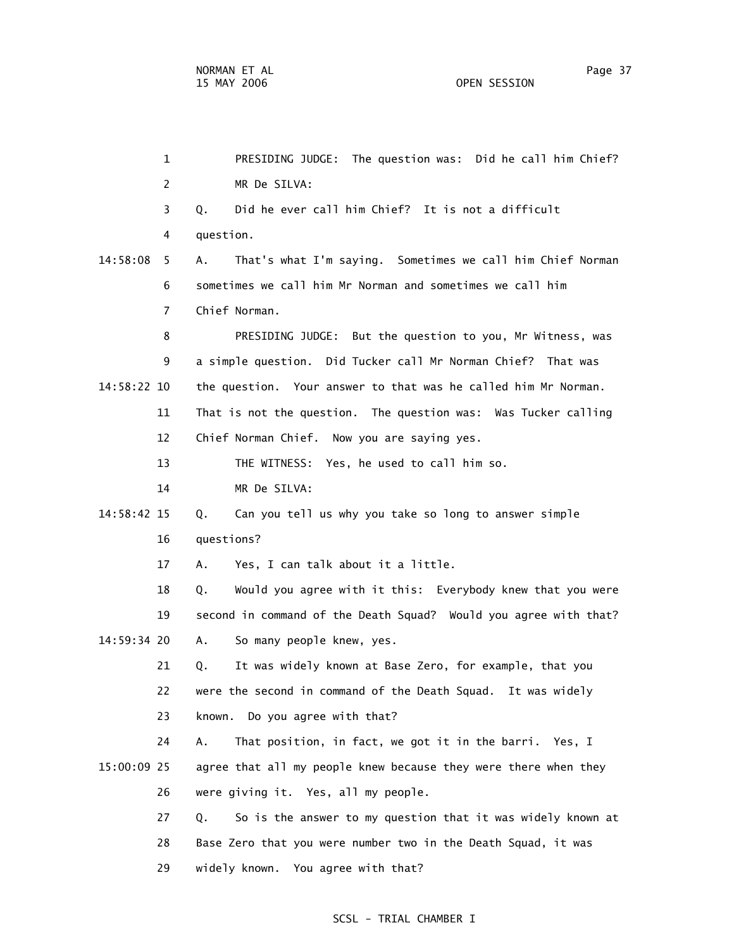| $\mathbf{1}$   | PRESIDING JUDGE: The question was: Did he call him Chief?         |
|----------------|-------------------------------------------------------------------|
| 2              | MR De SILVA:                                                      |
| 3              | Did he ever call him Chief? It is not a difficult<br>Q.           |
| 4              | question.                                                         |
| 14:58:08<br>5. | That's what I'm saying. Sometimes we call him Chief Norman<br>А.  |
| 6              | sometimes we call him Mr Norman and sometimes we call him         |
| $\overline{7}$ | Chief Norman.                                                     |
| 8              | PRESIDING JUDGE: But the question to you, Mr Witness, was         |
| 9              | a simple question. Did Tucker call Mr Norman Chief? That was      |
| 14:58:22 10    | the question. Your answer to that was he called him Mr Norman.    |
| 11             | That is not the question. The question was: Was Tucker calling    |
| 12             | Chief Norman Chief. Now you are saying yes.                       |
| 13             | THE WITNESS: Yes, he used to call him so.                         |
| 14             | MR De SILVA:                                                      |
| 14:58:42 15    | Can you tell us why you take so long to answer simple<br>Q.       |
| 16             | questions?                                                        |
| 17             | Yes, I can talk about it a little.<br>А.                          |
| 18             | Would you agree with it this: Everybody knew that you were<br>Q.  |
| 19             | second in command of the Death Squad? Would you agree with that?  |
| 14:59:34 20    | So many people knew, yes.<br>Α.                                   |
| 21             | It was widely known at Base Zero, for example, that you<br>Q.     |
| 22             | were the second in command of the Death Squad. It was widely      |
| 23             | Do you agree with that?<br>known.                                 |
| 24             | That position, in fact, we got it in the barri. Yes, I<br>А.      |
| 15:00:09 25    | agree that all my people knew because they were there when they   |
| 26             | were giving it. Yes, all my people.                               |
| 27             | So is the answer to my question that it was widely known at<br>Q. |
| 28             | Base Zero that you were number two in the Death Squad, it was     |
| 29             | widely known. You agree with that?                                |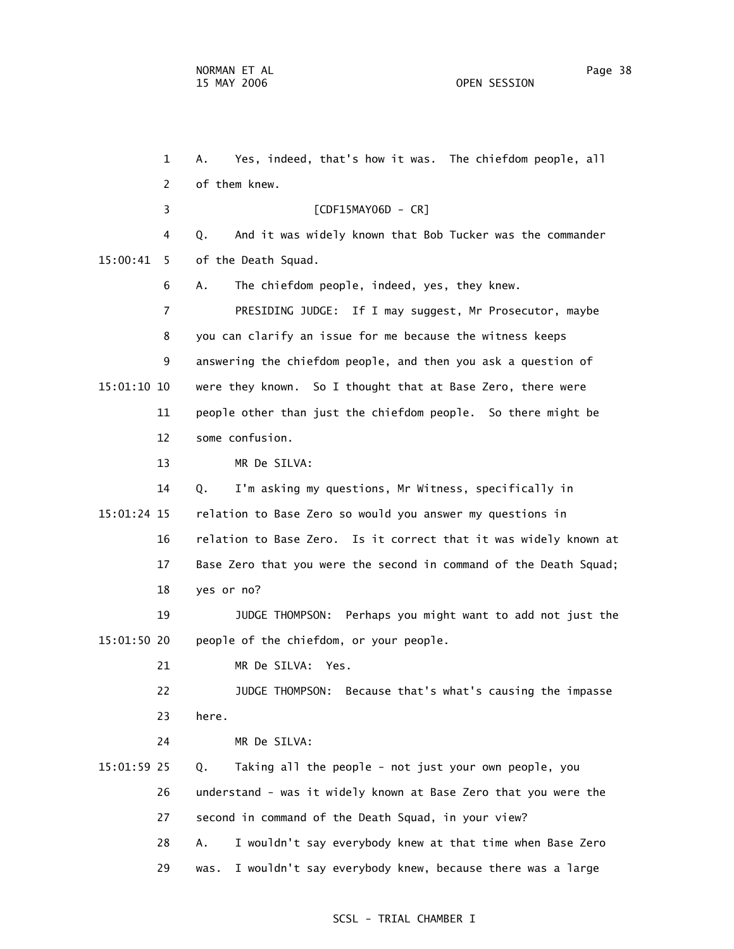1 A. Yes, indeed, that's how it was. The chiefdom people, all 2 of them knew. 3 [CDF15MAY06D - CR] 4 Q. And it was widely known that Bob Tucker was the commander 15:00:41 5 of the Death Squad. 6 A. The chiefdom people, indeed, yes, they knew. 7 PRESIDING JUDGE: If I may suggest, Mr Prosecutor, maybe 8 you can clarify an issue for me because the witness keeps 9 answering the chiefdom people, and then you ask a question of 15:01:10 10 were they known. So I thought that at Base Zero, there were 11 people other than just the chiefdom people. So there might be 12 some confusion. 13 MR De SILVA: 14 Q. I'm asking my questions, Mr Witness, specifically in 15:01:24 15 relation to Base Zero so would you answer my questions in 16 relation to Base Zero. Is it correct that it was widely known at 17 Base Zero that you were the second in command of the Death Squad; 18 yes or no? 19 JUDGE THOMPSON: Perhaps you might want to add not just the 15:01:50 20 people of the chiefdom, or your people. 21 MR De SILVA: Yes. 22 JUDGE THOMPSON: Because that's what's causing the impasse 23 here. 24 MR De SILVA: 15:01:59 25 Q. Taking all the people - not just your own people, you 26 understand - was it widely known at Base Zero that you were the 27 second in command of the Death Squad, in your view? 28 A. I wouldn't say everybody knew at that time when Base Zero 29 was. I wouldn't say everybody knew, because there was a large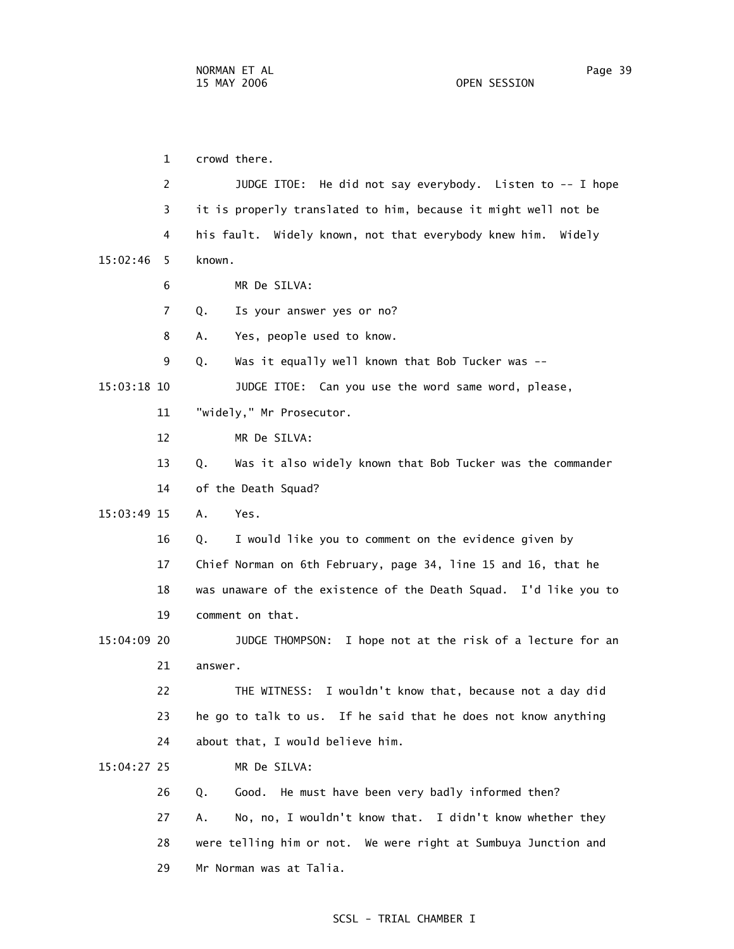1 crowd there. 2 JUDGE ITOE: He did not say everybody. Listen to -- I hope 3 it is properly translated to him, because it might well not be 4 his fault. Widely known, not that everybody knew him. Widely 15:02:46 5 known. 6 MR De SILVA: 7 Q. Is your answer yes or no? 8 A. Yes, people used to know. 9 Q. Was it equally well known that Bob Tucker was -- 15:03:18 10 JUDGE ITOE: Can you use the word same word, please, 11 "widely," Mr Prosecutor. 12 MR De SILVA: 13 Q. Was it also widely known that Bob Tucker was the commander 14 of the Death Squad? 15:03:49 15 A. Yes. 16 Q. I would like you to comment on the evidence given by 17 Chief Norman on 6th February, page 34, line 15 and 16, that he 18 was unaware of the existence of the Death Squad. I'd like you to 19 comment on that. 15:04:09 20 JUDGE THOMPSON: I hope not at the risk of a lecture for an 21 answer. 22 THE WITNESS: I wouldn't know that, because not a day did 23 he go to talk to us. If he said that he does not know anything 24 about that, I would believe him. 15:04:27 25 MR De SILVA: 26 Q. Good. He must have been very badly informed then? 27 A. No, no, I wouldn't know that. I didn't know whether they 28 were telling him or not. We were right at Sumbuya Junction and 29 Mr Norman was at Talia.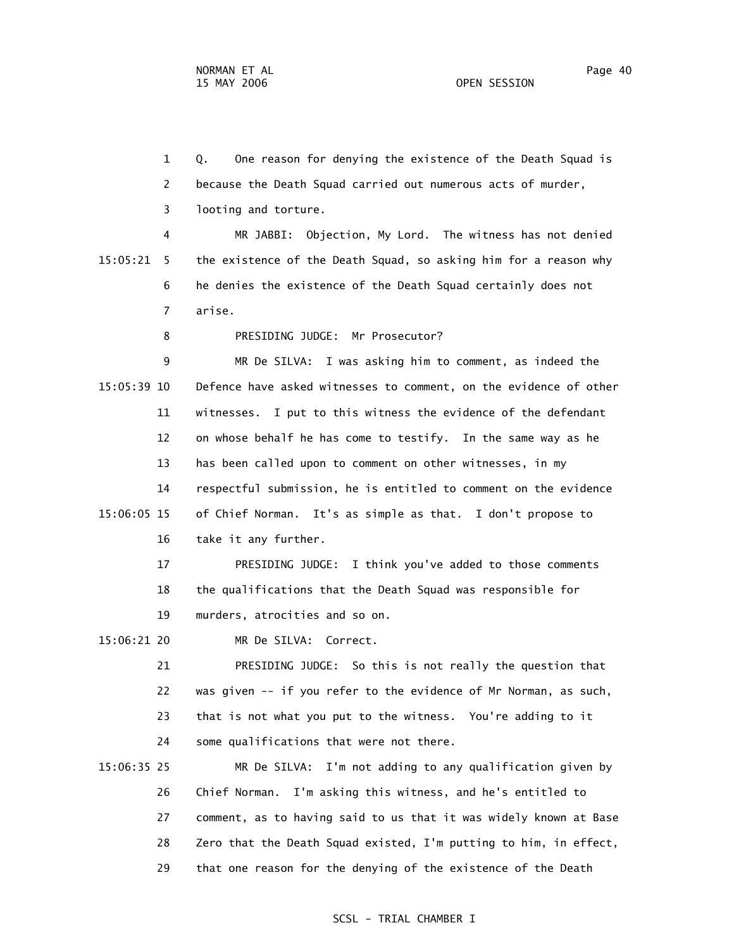1 Q. One reason for denying the existence of the Death Squad is 2 because the Death Squad carried out numerous acts of murder, 3 looting and torture.

 4 MR JABBI: Objection, My Lord. The witness has not denied 15:05:21 5 the existence of the Death Squad, so asking him for a reason why 6 he denies the existence of the Death Squad certainly does not 7 arise.

8 PRESIDING JUDGE: Mr Prosecutor?

 9 MR De SILVA: I was asking him to comment, as indeed the 15:05:39 10 Defence have asked witnesses to comment, on the evidence of other 11 witnesses. I put to this witness the evidence of the defendant 12 on whose behalf he has come to testify. In the same way as he 13 has been called upon to comment on other witnesses, in my 14 respectful submission, he is entitled to comment on the evidence 15:06:05 15 of Chief Norman. It's as simple as that. I don't propose to 16 take it any further.

> 17 PRESIDING JUDGE: I think you've added to those comments 18 the qualifications that the Death Squad was responsible for 19 murders, atrocities and so on.

15:06:21 20 MR De SILVA: Correct.

 21 PRESIDING JUDGE: So this is not really the question that 22 was given -- if you refer to the evidence of Mr Norman, as such, 23 that is not what you put to the witness. You're adding to it 24 some qualifications that were not there.

 15:06:35 25 MR De SILVA: I'm not adding to any qualification given by 26 Chief Norman. I'm asking this witness, and he's entitled to 27 comment, as to having said to us that it was widely known at Base 28 Zero that the Death Squad existed, I'm putting to him, in effect, 29 that one reason for the denying of the existence of the Death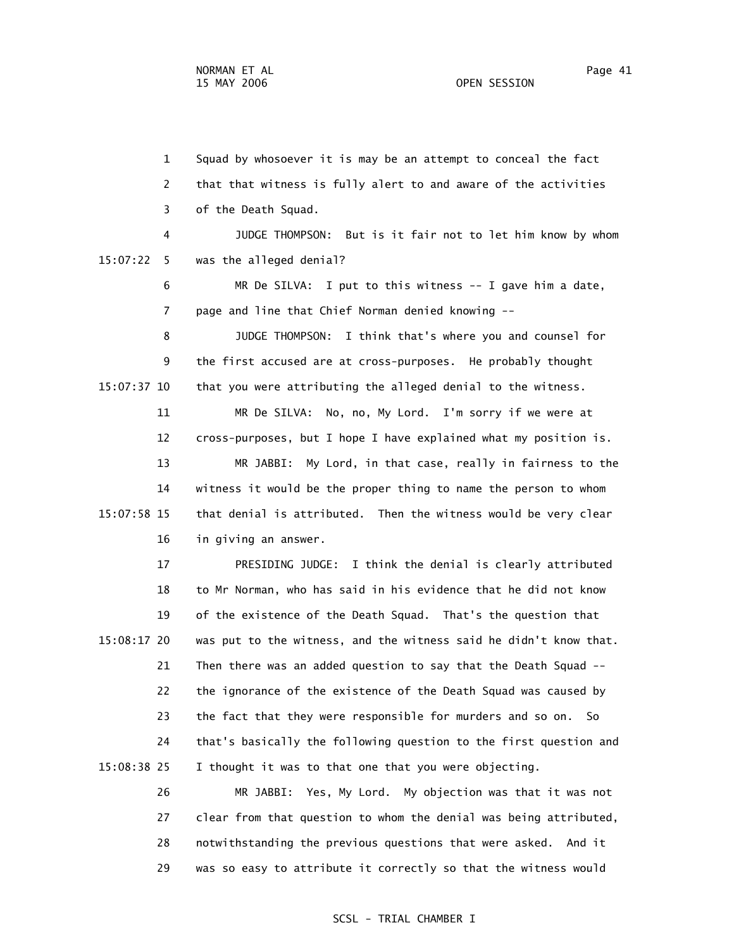1 Squad by whosoever it is may be an attempt to conceal the fact 2 that that witness is fully alert to and aware of the activities 3 of the Death Squad. 4 JUDGE THOMPSON: But is it fair not to let him know by whom 15:07:22 5 was the alleged denial? 6 MR De SILVA: I put to this witness -- I gave him a date, 7 page and line that Chief Norman denied knowing -- 8 JUDGE THOMPSON: I think that's where you and counsel for 9 the first accused are at cross-purposes. He probably thought 15:07:37 10 that you were attributing the alleged denial to the witness. 11 MR De SILVA: No, no, My Lord. I'm sorry if we were at 12 cross-purposes, but I hope I have explained what my position is. 13 MR JABBI: My Lord, in that case, really in fairness to the 14 witness it would be the proper thing to name the person to whom 15:07:58 15 that denial is attributed. Then the witness would be very clear 16 in giving an answer. 17 PRESIDING JUDGE: I think the denial is clearly attributed 18 to Mr Norman, who has said in his evidence that he did not know 19 of the existence of the Death Squad. That's the question that 15:08:17 20 was put to the witness, and the witness said he didn't know that. 21 Then there was an added question to say that the Death Squad -- 22 the ignorance of the existence of the Death Squad was caused by 23 the fact that they were responsible for murders and so on. So 24 that's basically the following question to the first question and 15:08:38 25 I thought it was to that one that you were objecting.

> 26 MR JABBI: Yes, My Lord. My objection was that it was not 27 clear from that question to whom the denial was being attributed, 28 notwithstanding the previous questions that were asked. And it 29 was so easy to attribute it correctly so that the witness would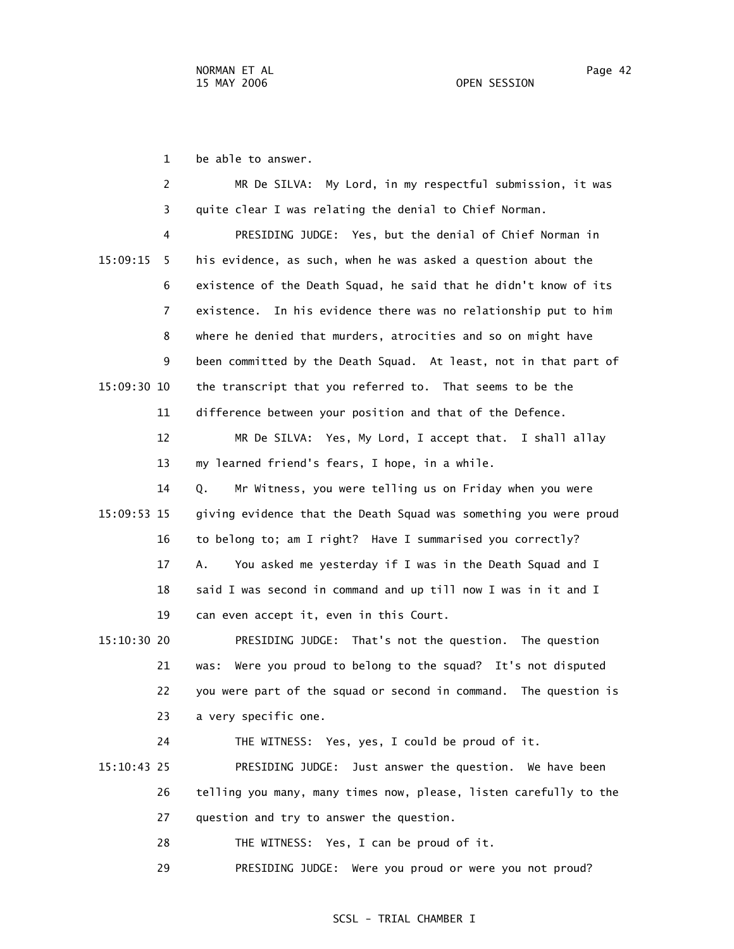1 be able to answer.

 2 MR De SILVA: My Lord, in my respectful submission, it was 3 quite clear I was relating the denial to Chief Norman. 4 PRESIDING JUDGE: Yes, but the denial of Chief Norman in 15:09:15 5 his evidence, as such, when he was asked a question about the 6 existence of the Death Squad, he said that he didn't know of its 7 existence. In his evidence there was no relationship put to him 8 where he denied that murders, atrocities and so on might have 9 been committed by the Death Squad. At least, not in that part of 15:09:30 10 the transcript that you referred to. That seems to be the 11 difference between your position and that of the Defence. 12 MR De SILVA: Yes, My Lord, I accept that. I shall allay 13 my learned friend's fears, I hope, in a while. 14 Q. Mr Witness, you were telling us on Friday when you were 15:09:53 15 giving evidence that the Death Squad was something you were proud 16 to belong to; am I right? Have I summarised you correctly? 17 A. You asked me yesterday if I was in the Death Squad and I 18 said I was second in command and up till now I was in it and I 19 can even accept it, even in this Court. 15:10:30 20 PRESIDING JUDGE: That's not the question. The question 21 was: Were you proud to belong to the squad? It's not disputed 22 you were part of the squad or second in command. The question is

23 a very specific one.

24 THE WITNESS: Yes, yes, I could be proud of it.

 15:10:43 25 PRESIDING JUDGE: Just answer the question. We have been 26 telling you many, many times now, please, listen carefully to the 27 question and try to answer the question.

28 THE WITNESS: Yes, I can be proud of it.

29 PRESIDING JUDGE: Were you proud or were you not proud?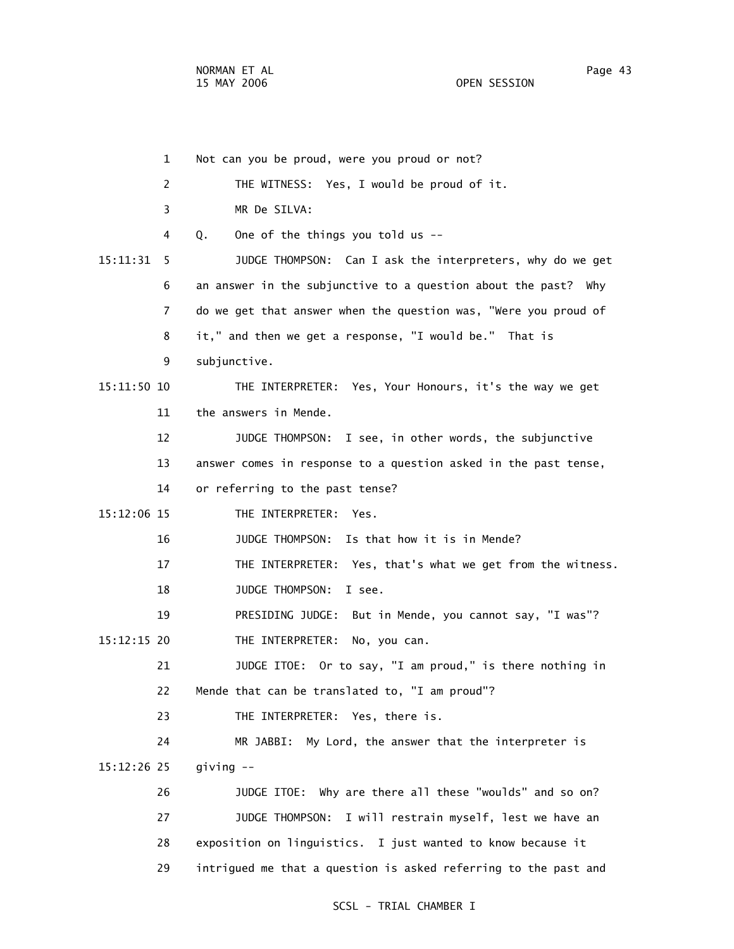1 Not can you be proud, were you proud or not? 2 THE WITNESS: Yes, I would be proud of it. 3 MR De SILVA: 4 Q. One of the things you told us -- 15:11:31 5 JUDGE THOMPSON: Can I ask the interpreters, why do we get 6 an answer in the subjunctive to a question about the past? Why 7 do we get that answer when the question was, "Were you proud of 8 it," and then we get a response, "I would be." That is 9 subjunctive. 15:11:50 10 THE INTERPRETER: Yes, Your Honours, it's the way we get 11 the answers in Mende. 12 JUDGE THOMPSON: I see, in other words, the subjunctive 13 answer comes in response to a question asked in the past tense, 14 or referring to the past tense? 15:12:06 15 THE INTERPRETER: Yes. 16 JUDGE THOMPSON: Is that how it is in Mende? 17 THE INTERPRETER: Yes, that's what we get from the witness. 18 JUDGE THOMPSON: I see. 19 PRESIDING JUDGE: But in Mende, you cannot say, "I was"? 15:12:15 20 THE INTERPRETER: No, you can. 21 JUDGE ITOE: Or to say, "I am proud," is there nothing in 22 Mende that can be translated to, "I am proud"? 23 THE INTERPRETER: Yes, there is. 24 MR JABBI: My Lord, the answer that the interpreter is 15:12:26 25 giving -- 26 JUDGE ITOE: Why are there all these "woulds" and so on? 27 JUDGE THOMPSON: I will restrain myself, lest we have an 28 exposition on linguistics. I just wanted to know because it 29 intrigued me that a question is asked referring to the past and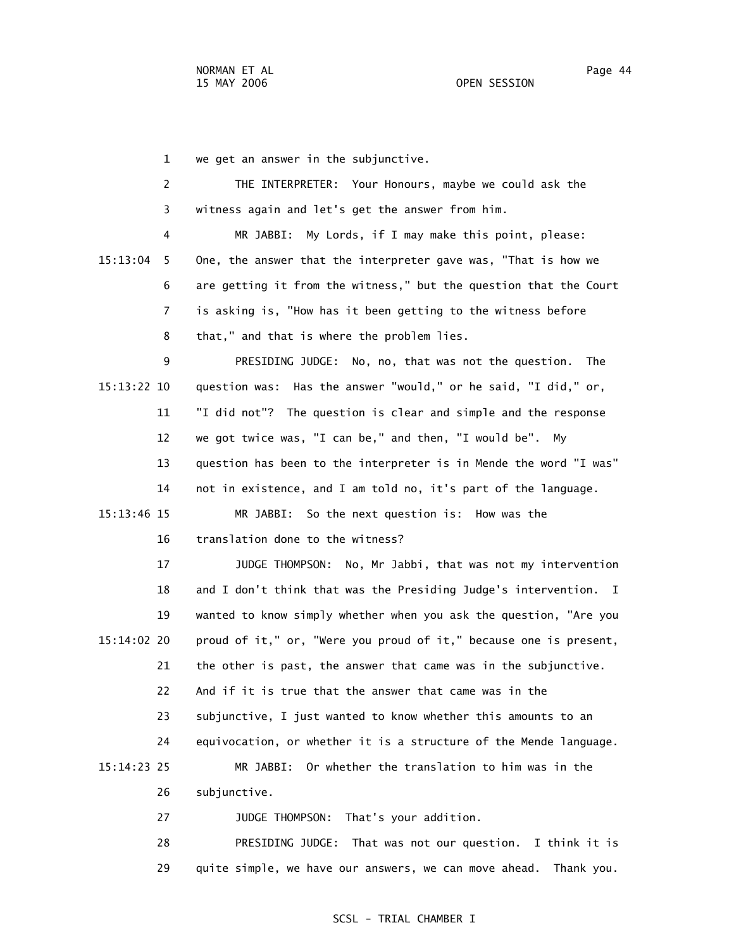1 we get an answer in the subjunctive.

 2 THE INTERPRETER: Your Honours, maybe we could ask the 3 witness again and let's get the answer from him.

 4 MR JABBI: My Lords, if I may make this point, please: 15:13:04 5 One, the answer that the interpreter gave was, "That is how we 6 are getting it from the witness," but the question that the Court 7 is asking is, "How has it been getting to the witness before 8 that," and that is where the problem lies.

 9 PRESIDING JUDGE: No, no, that was not the question. The 15:13:22 10 question was: Has the answer "would," or he said, "I did," or, 11 "I did not"? The question is clear and simple and the response 12 we got twice was, "I can be," and then, "I would be". My 13 question has been to the interpreter is in Mende the word "I was" 14 not in existence, and I am told no, it's part of the language. 15:13:46 15 MR JABBI: So the next question is: How was the

16 translation done to the witness?

 17 JUDGE THOMPSON: No, Mr Jabbi, that was not my intervention 18 and I don't think that was the Presiding Judge's intervention. I 19 wanted to know simply whether when you ask the question, "Are you 15:14:02 20 proud of it," or, "Were you proud of it," because one is present, 21 the other is past, the answer that came was in the subjunctive. 22 And if it is true that the answer that came was in the 23 subjunctive, I just wanted to know whether this amounts to an 24 equivocation, or whether it is a structure of the Mende language. 15:14:23 25 MR JABBI: Or whether the translation to him was in the 26 subjunctive.

27 JUDGE THOMPSON: That's your addition.

 28 PRESIDING JUDGE: That was not our question. I think it is 29 quite simple, we have our answers, we can move ahead. Thank you.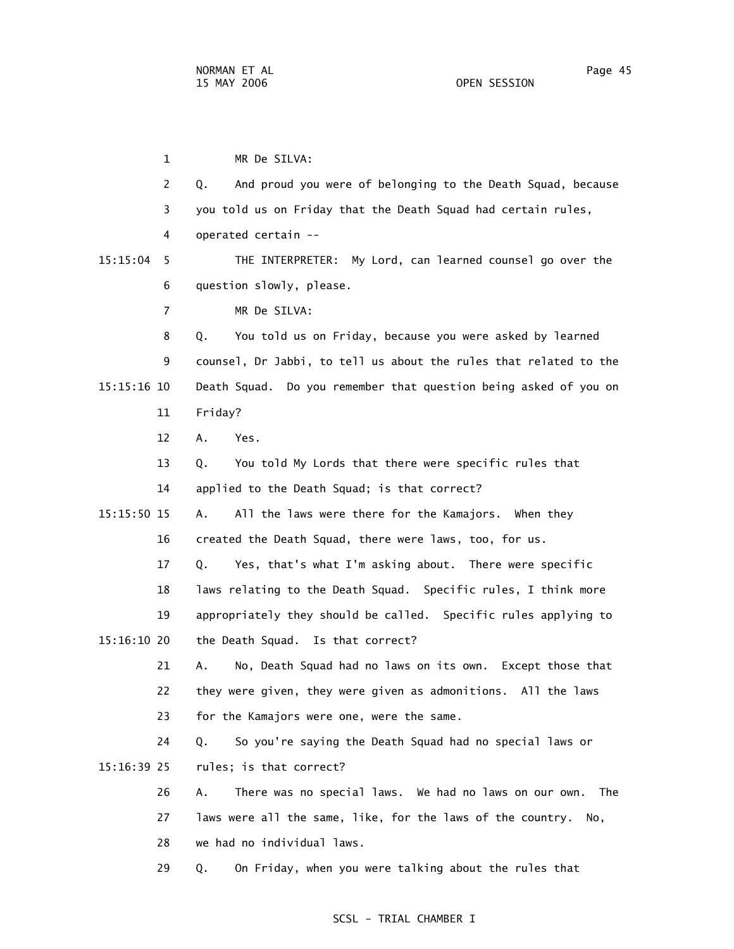1 MR De SILVA: 2 Q. And proud you were of belonging to the Death Squad, because 3 you told us on Friday that the Death Squad had certain rules, 4 operated certain -- 15:15:04 5 THE INTERPRETER: My Lord, can learned counsel go over the 6 question slowly, please. 7 MR De SILVA: 8 Q. You told us on Friday, because you were asked by learned 9 counsel, Dr Jabbi, to tell us about the rules that related to the 15:15:16 10 Death Squad. Do you remember that question being asked of you on 11 Friday? 12 A. Yes. 13 Q. You told My Lords that there were specific rules that 14 applied to the Death Squad; is that correct? 15:15:50 15 A. All the laws were there for the Kamajors. When they 16 created the Death Squad, there were laws, too, for us. 17 Q. Yes, that's what I'm asking about. There were specific 18 laws relating to the Death Squad. Specific rules, I think more 19 appropriately they should be called. Specific rules applying to 15:16:10 20 the Death Squad. Is that correct? 21 A. No, Death Squad had no laws on its own. Except those that 22 they were given, they were given as admonitions. All the laws 23 for the Kamajors were one, were the same. 24 Q. So you're saying the Death Squad had no special laws or 15:16:39 25 rules; is that correct? 26 A. There was no special laws. We had no laws on our own. The 27 laws were all the same, like, for the laws of the country. No, 28 we had no individual laws. 29 Q. On Friday, when you were talking about the rules that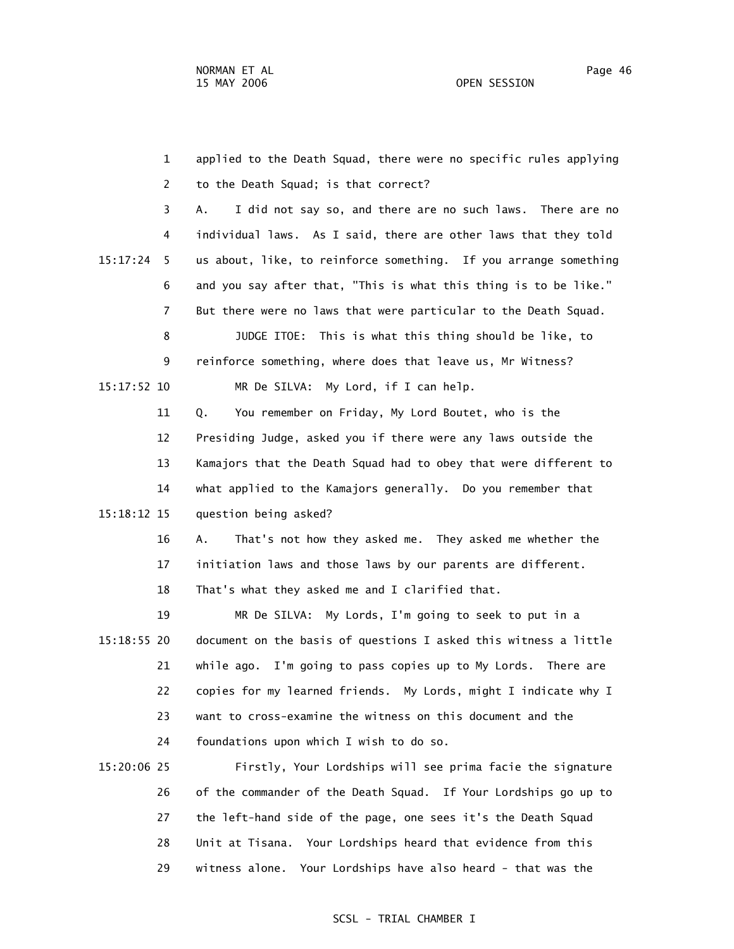1 applied to the Death Squad, there were no specific rules applying 2 to the Death Squad; is that correct? 3 A. I did not say so, and there are no such laws. There are no 4 individual laws. As I said, there are other laws that they told 15:17:24 5 us about, like, to reinforce something. If you arrange something 6 and you say after that, "This is what this thing is to be like." 7 But there were no laws that were particular to the Death Squad. 8 JUDGE ITOE: This is what this thing should be like, to 9 reinforce something, where does that leave us, Mr Witness? 15:17:52 10 MR De SILVA: My Lord, if I can help. 11 Q. You remember on Friday, My Lord Boutet, who is the 12 Presiding Judge, asked you if there were any laws outside the 13 Kamajors that the Death Squad had to obey that were different to 14 what applied to the Kamajors generally. Do you remember that 15:18:12 15 question being asked? 16 A. That's not how they asked me. They asked me whether the 17 initiation laws and those laws by our parents are different. 18 That's what they asked me and I clarified that. 19 MR De SILVA: My Lords, I'm going to seek to put in a 15:18:55 20 document on the basis of questions I asked this witness a little 21 while ago. I'm going to pass copies up to My Lords. There are 22 copies for my learned friends. My Lords, might I indicate why I 23 want to cross-examine the witness on this document and the 24 foundations upon which I wish to do so. 15:20:06 25 Firstly, Your Lordships will see prima facie the signature 26 of the commander of the Death Squad. If Your Lordships go up to 27 the left-hand side of the page, one sees it's the Death Squad 28 Unit at Tisana. Your Lordships heard that evidence from this

29 witness alone. Your Lordships have also heard - that was the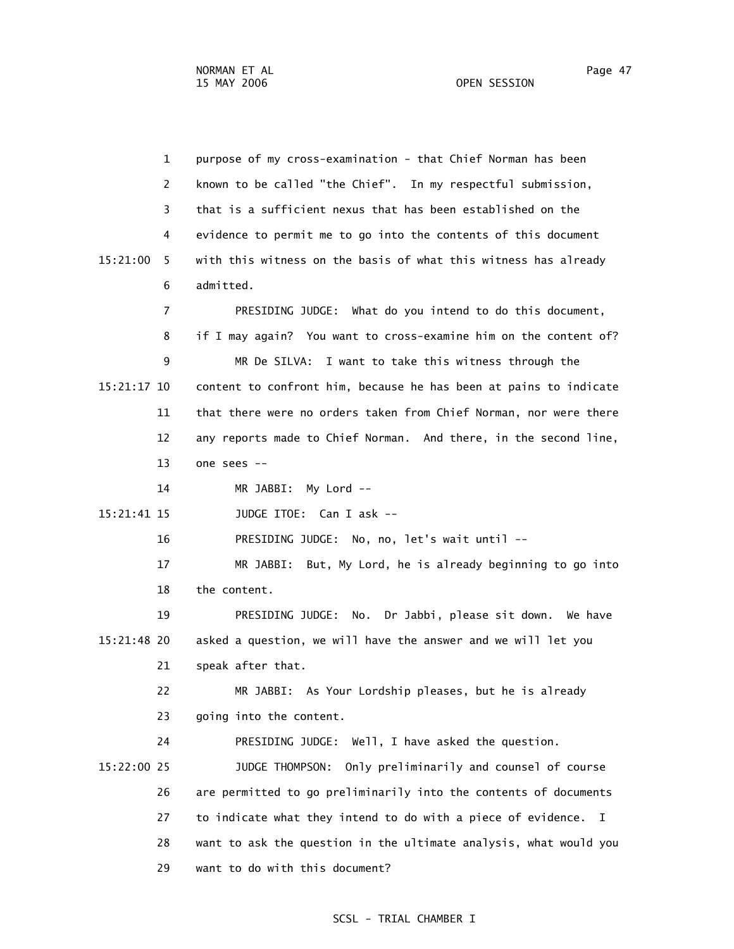1 purpose of my cross-examination - that Chief Norman has been 2 known to be called "the Chief". In my respectful submission, 3 that is a sufficient nexus that has been established on the 4 evidence to permit me to go into the contents of this document 15:21:00 5 with this witness on the basis of what this witness has already 6 admitted. 7 PRESIDING JUDGE: What do you intend to do this document, 8 if I may again? You want to cross-examine him on the content of? 9 MR De SILVA: I want to take this witness through the 15:21:17 10 content to confront him, because he has been at pains to indicate 11 that there were no orders taken from Chief Norman, nor were there 12 any reports made to Chief Norman. And there, in the second line, 13 one sees -- 14 MR JABBI: My Lord -- 15:21:41 15 JUDGE ITOE: Can I ask -- 16 PRESIDING JUDGE: No, no, let's wait until -- 17 MR JABBI: But, My Lord, he is already beginning to go into 18 the content. 19 PRESIDING JUDGE: No. Dr Jabbi, please sit down. We have 15:21:48 20 asked a question, we will have the answer and we will let you 21 speak after that. 22 MR JABBI: As Your Lordship pleases, but he is already 23 going into the content. 24 PRESIDING JUDGE: Well, I have asked the question. 15:22:00 25 JUDGE THOMPSON: Only preliminarily and counsel of course 26 are permitted to go preliminarily into the contents of documents 27 to indicate what they intend to do with a piece of evidence. I 28 want to ask the question in the ultimate analysis, what would you 29 want to do with this document?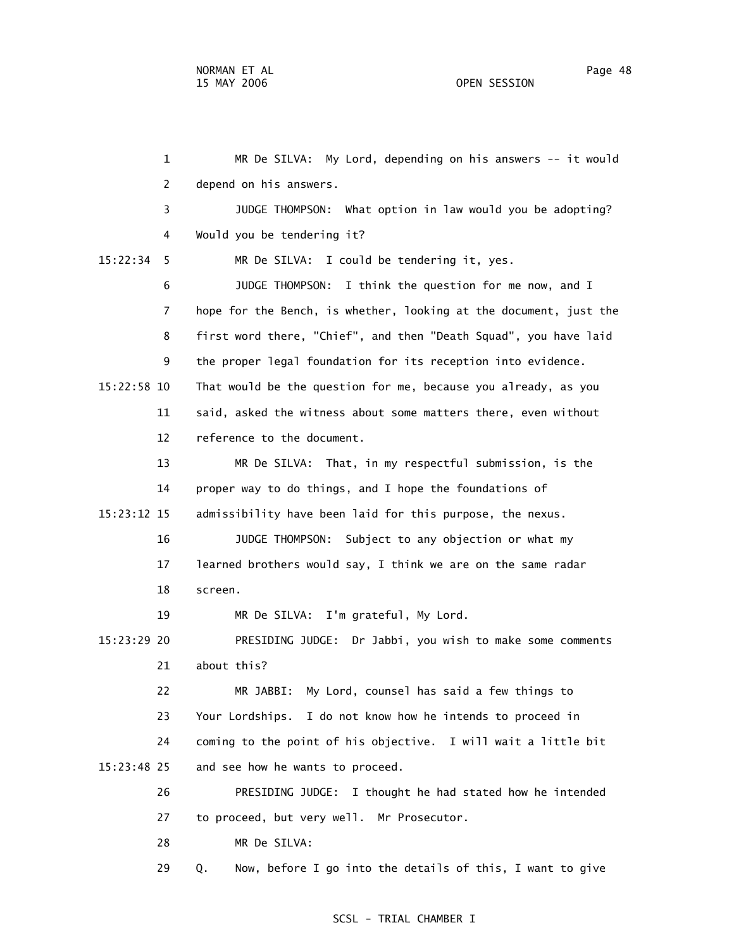1 MR De SILVA: My Lord, depending on his answers -- it would 2 depend on his answers. 3 JUDGE THOMPSON: What option in law would you be adopting? 4 Would you be tendering it? 15:22:34 5 MR De SILVA: I could be tendering it, yes. 6 JUDGE THOMPSON: I think the question for me now, and I 7 hope for the Bench, is whether, looking at the document, just the 8 first word there, "Chief", and then "Death Squad", you have laid 9 the proper legal foundation for its reception into evidence. 15:22:58 10 That would be the question for me, because you already, as you 11 said, asked the witness about some matters there, even without 12 reference to the document. 13 MR De SILVA: That, in my respectful submission, is the 14 proper way to do things, and I hope the foundations of 15:23:12 15 admissibility have been laid for this purpose, the nexus. 16 JUDGE THOMPSON: Subject to any objection or what my 17 learned brothers would say, I think we are on the same radar 18 screen. 19 MR De SILVA: I'm grateful, My Lord. 15:23:29 20 PRESIDING JUDGE: Dr Jabbi, you wish to make some comments 21 about this? 22 MR JABBI: My Lord, counsel has said a few things to 23 Your Lordships. I do not know how he intends to proceed in 24 coming to the point of his objective. I will wait a little bit 15:23:48 25 and see how he wants to proceed. 26 PRESIDING JUDGE: I thought he had stated how he intended 27 to proceed, but very well. Mr Prosecutor. 28 MR De SILVA: 29 Q. Now, before I go into the details of this, I want to give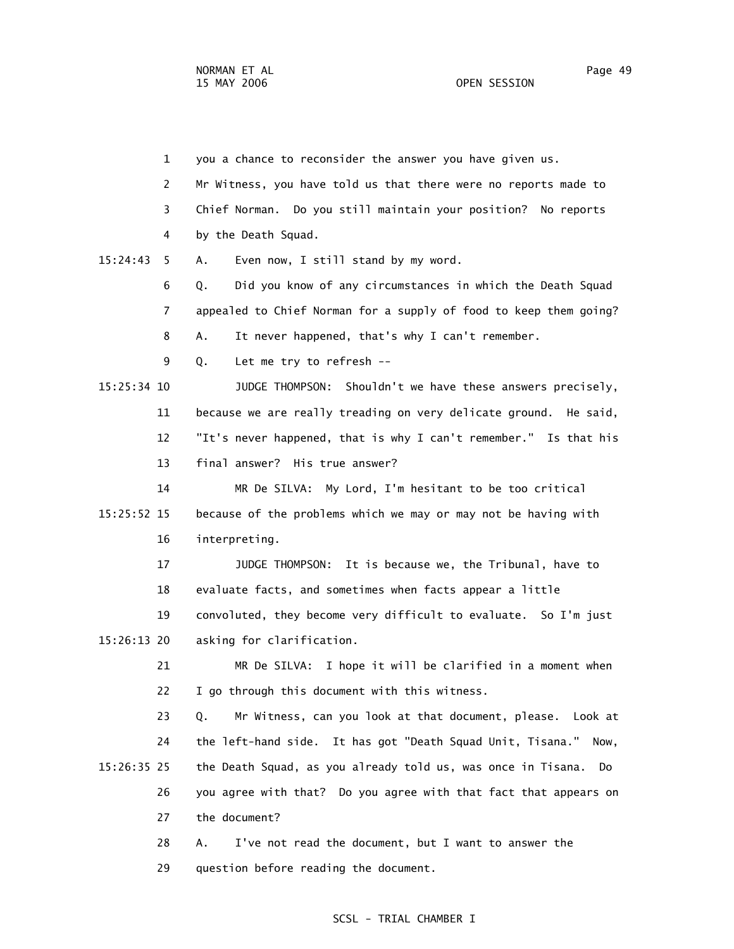1 you a chance to reconsider the answer you have given us. 2 Mr Witness, you have told us that there were no reports made to 3 Chief Norman. Do you still maintain your position? No reports 4 by the Death Squad. 15:24:43 5 A. Even now, I still stand by my word. 6 Q. Did you know of any circumstances in which the Death Squad 7 appealed to Chief Norman for a supply of food to keep them going? 8 A. It never happened, that's why I can't remember. 9 Q. Let me try to refresh -- 15:25:34 10 JUDGE THOMPSON: Shouldn't we have these answers precisely, 11 because we are really treading on very delicate ground. He said, 12 "It's never happened, that is why I can't remember." Is that his 13 final answer? His true answer? 14 MR De SILVA: My Lord, I'm hesitant to be too critical 15:25:52 15 because of the problems which we may or may not be having with 16 interpreting. 17 JUDGE THOMPSON: It is because we, the Tribunal, have to 18 evaluate facts, and sometimes when facts appear a little 19 convoluted, they become very difficult to evaluate. So I'm just 15:26:13 20 asking for clarification. 21 MR De SILVA: I hope it will be clarified in a moment when 22 I go through this document with this witness. 23 Q. Mr Witness, can you look at that document, please. Look at 24 the left-hand side. It has got "Death Squad Unit, Tisana." Now, 15:26:35 25 the Death Squad, as you already told us, was once in Tisana. Do 26 you agree with that? Do you agree with that fact that appears on 27 the document? 28 A. I've not read the document, but I want to answer the

29 question before reading the document.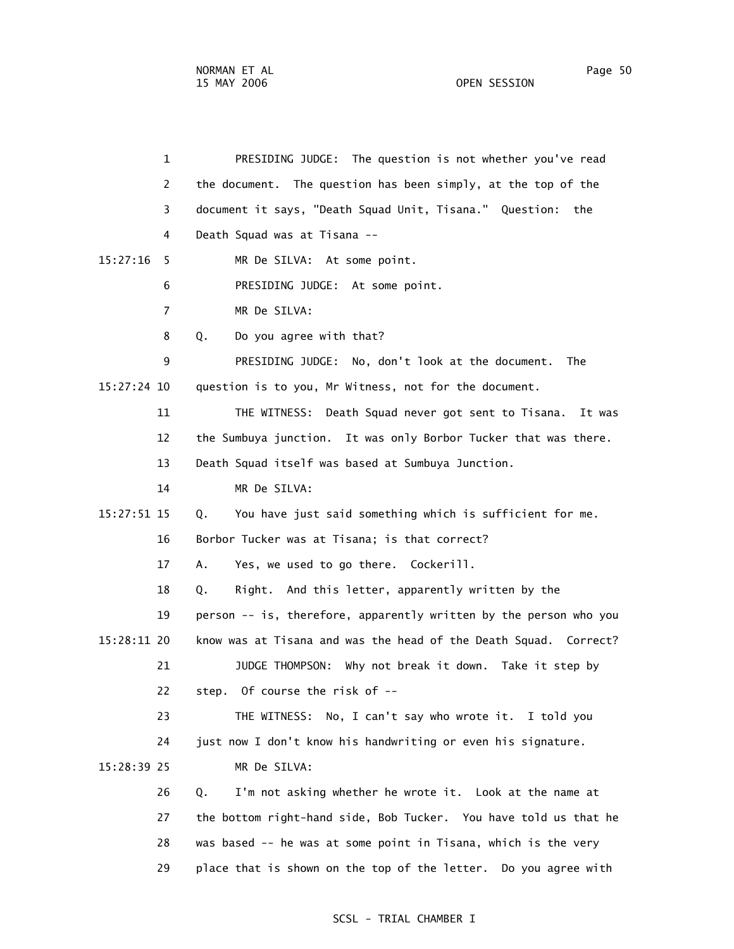1 PRESIDING JUDGE: The question is not whether you've read 2 the document. The question has been simply, at the top of the 3 document it says, "Death Squad Unit, Tisana." Question: the 4 Death Squad was at Tisana -- 15:27:16 5 MR De SILVA: At some point. 6 PRESIDING JUDGE: At some point. 7 MR De SILVA: 8 Q. Do you agree with that? 9 PRESIDING JUDGE: No, don't look at the document. The 15:27:24 10 question is to you, Mr Witness, not for the document. 11 THE WITNESS: Death Squad never got sent to Tisana. It was 12 the Sumbuya junction. It was only Borbor Tucker that was there. 13 Death Squad itself was based at Sumbuya Junction. 14 MR De SILVA: 15:27:51 15 Q. You have just said something which is sufficient for me. 16 Borbor Tucker was at Tisana; is that correct? 17 A. Yes, we used to go there. Cockerill. 18 Q. Right. And this letter, apparently written by the 19 person -- is, therefore, apparently written by the person who you 15:28:11 20 know was at Tisana and was the head of the Death Squad. Correct? 21 JUDGE THOMPSON: Why not break it down. Take it step by 22 step. Of course the risk of -- 23 THE WITNESS: No, I can't say who wrote it. I told you 24 just now I don't know his handwriting or even his signature. 15:28:39 25 MR De SILVA: 26 Q. I'm not asking whether he wrote it. Look at the name at 27 the bottom right-hand side, Bob Tucker. You have told us that he 28 was based -- he was at some point in Tisana, which is the very 29 place that is shown on the top of the letter. Do you agree with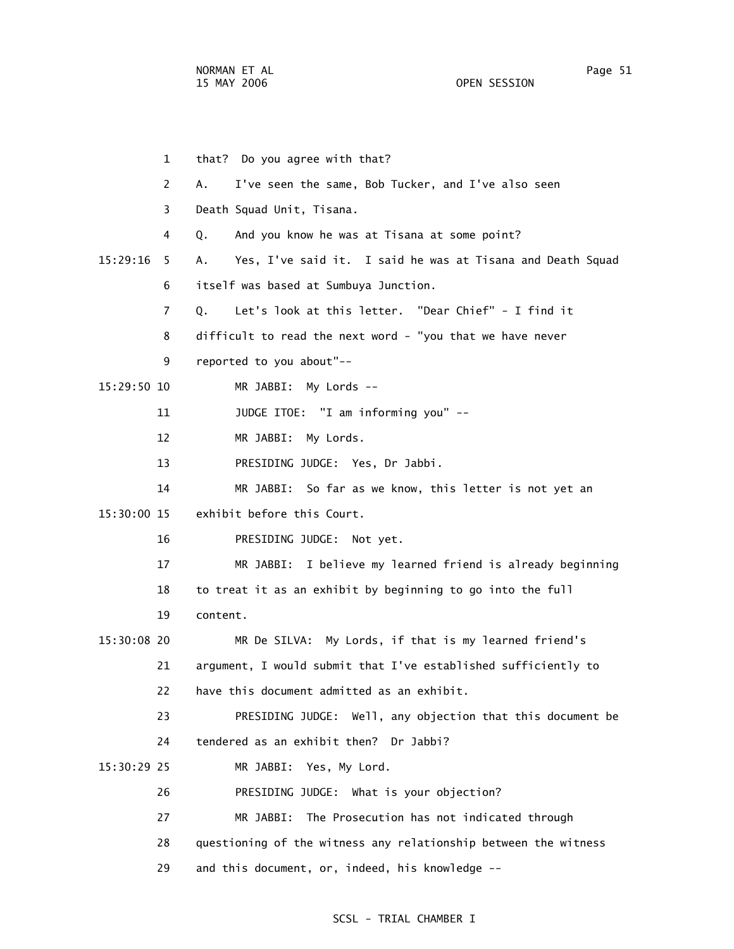1 that? Do you agree with that? 2 A. I've seen the same, Bob Tucker, and I've also seen 3 Death Squad Unit, Tisana. 4 Q. And you know he was at Tisana at some point? 15:29:16 5 A. Yes, I've said it. I said he was at Tisana and Death Squad 6 itself was based at Sumbuya Junction. 7 Q. Let's look at this letter. "Dear Chief" - I find it 8 difficult to read the next word - "you that we have never 9 reported to you about"-- 15:29:50 10 MR JABBI: My Lords -- 11 JUDGE ITOE: "I am informing you" -- 12 MR JABBI: My Lords. 13 PRESIDING JUDGE: Yes, Dr Jabbi. 14 MR JABBI: So far as we know, this letter is not yet an 15:30:00 15 exhibit before this Court. 16 PRESIDING JUDGE: Not yet. 17 MR JABBI: I believe my learned friend is already beginning 18 to treat it as an exhibit by beginning to go into the full 19 content. 15:30:08 20 MR De SILVA: My Lords, if that is my learned friend's 21 argument, I would submit that I've established sufficiently to 22 have this document admitted as an exhibit. 23 PRESIDING JUDGE: Well, any objection that this document be 24 tendered as an exhibit then? Dr Jabbi? 15:30:29 25 MR JABBI: Yes, My Lord. 26 PRESIDING JUDGE: What is your objection? 27 MR JABBI: The Prosecution has not indicated through 28 questioning of the witness any relationship between the witness 29 and this document, or, indeed, his knowledge --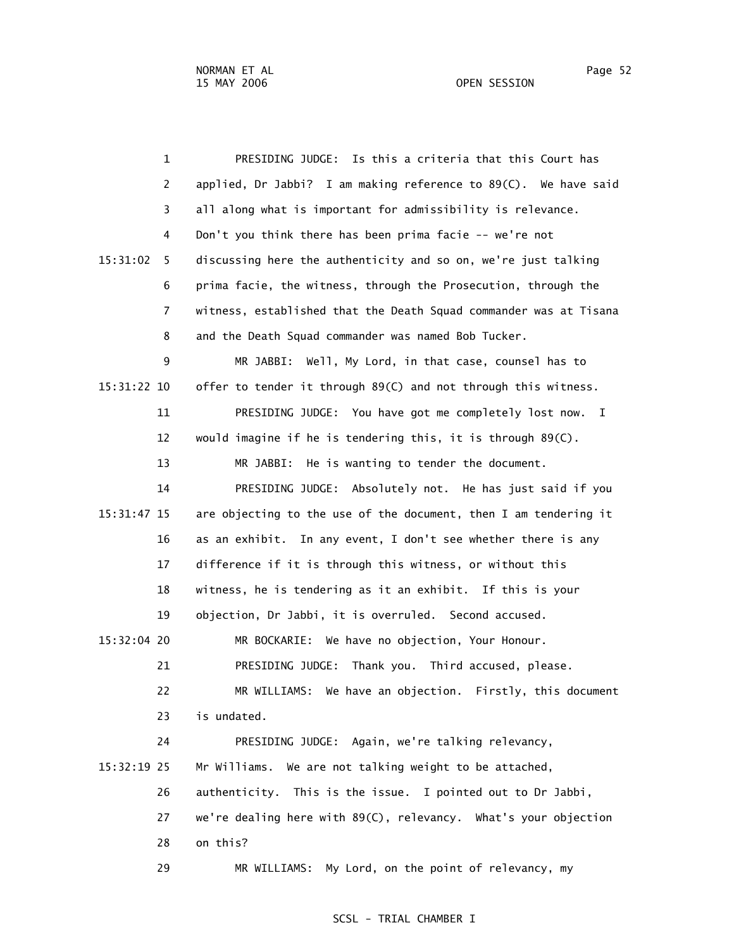1 PRESIDING JUDGE: Is this a criteria that this Court has 2 applied, Dr Jabbi? I am making reference to 89(C). We have said 3 all along what is important for admissibility is relevance. 4 Don't you think there has been prima facie -- we're not 15:31:02 5 discussing here the authenticity and so on, we're just talking 6 prima facie, the witness, through the Prosecution, through the 7 witness, established that the Death Squad commander was at Tisana 8 and the Death Squad commander was named Bob Tucker. 9 MR JABBI: Well, My Lord, in that case, counsel has to 15:31:22 10 offer to tender it through 89(C) and not through this witness. 11 PRESIDING JUDGE: You have got me completely lost now. I 12 would imagine if he is tendering this, it is through 89(C). 13 MR JABBI: He is wanting to tender the document. 14 PRESIDING JUDGE: Absolutely not. He has just said if you 15:31:47 15 are objecting to the use of the document, then I am tendering it 16 as an exhibit. In any event, I don't see whether there is any 17 difference if it is through this witness, or without this 18 witness, he is tendering as it an exhibit. If this is your 19 objection, Dr Jabbi, it is overruled. Second accused. 15:32:04 20 MR BOCKARIE: We have no objection, Your Honour. 21 PRESIDING JUDGE: Thank you. Third accused, please. 22 MR WILLIAMS: We have an objection. Firstly, this document 23 is undated. 24 PRESIDING JUDGE: Again, we're talking relevancy, 15:32:19 25 Mr Williams. We are not talking weight to be attached, 26 authenticity. This is the issue. I pointed out to Dr Jabbi, 27 we're dealing here with 89(C), relevancy. What's your objection 28 on this? 29 MR WILLIAMS: My Lord, on the point of relevancy, my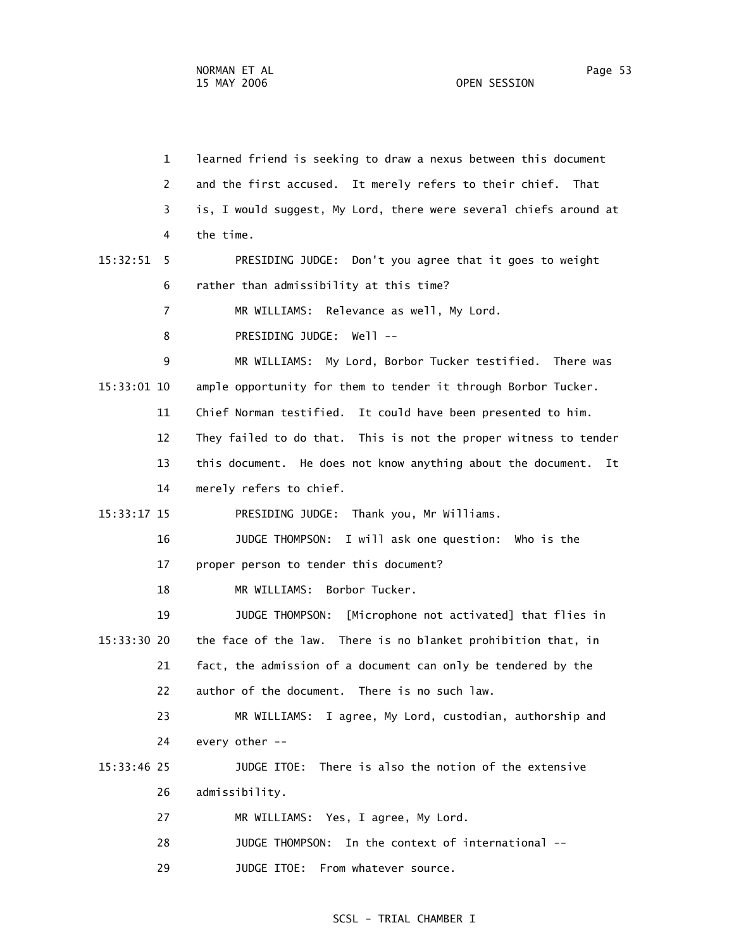| $\mathbf{1}$   | learned friend is seeking to draw a nexus between this document    |
|----------------|--------------------------------------------------------------------|
| 2              | and the first accused. It merely refers to their chief. That       |
| 3              | is, I would suggest, My Lord, there were several chiefs around at  |
| 4              | the time.                                                          |
| 15:32:51<br>5. | PRESIDING JUDGE: Don't you agree that it goes to weight            |
| 6              | rather than admissibility at this time?                            |
| 7              | MR WILLIAMS: Relevance as well, My Lord.                           |
| 8              | PRESIDING JUDGE: Well --                                           |
| 9              | MR WILLIAMS: My Lord, Borbor Tucker testified. There was           |
| 15:33:01 10    | ample opportunity for them to tender it through Borbor Tucker.     |
| 11             | Chief Norman testified. It could have been presented to him.       |
| 12             | They failed to do that. This is not the proper witness to tender   |
| 13             | this document. He does not know anything about the document.<br>It |
| 14             | merely refers to chief.                                            |
| 15:33:17 15    | PRESIDING JUDGE: Thank you, Mr Williams.                           |
| 16             | JUDGE THOMPSON: I will ask one question: Who is the                |
| 17             | proper person to tender this document?                             |
| 18             | Borbor Tucker.<br>MR WILLIAMS:                                     |
| 19             | JUDGE THOMPSON:<br>[Microphone not activated] that flies in        |
| $15:33:30$ 20  | the face of the law. There is no blanket prohibition that, in      |
| 21             | fact, the admission of a document can only be tendered by the      |
| 22             | author of the document. There is no such law.                      |
| 23             | I agree, My Lord, custodian, authorship and<br>MR WILLIAMS:        |
| 24             | every other --                                                     |
| 15:33:46 25    | There is also the notion of the extensive<br>JUDGE ITOE:           |
| 26             | admissibility.                                                     |
| 27             | MR WILLIAMS: Yes, I agree, My Lord.                                |
| 28             | In the context of international --<br>JUDGE THOMPSON:              |
| 29             | JUDGE ITOE:<br>From whatever source.                               |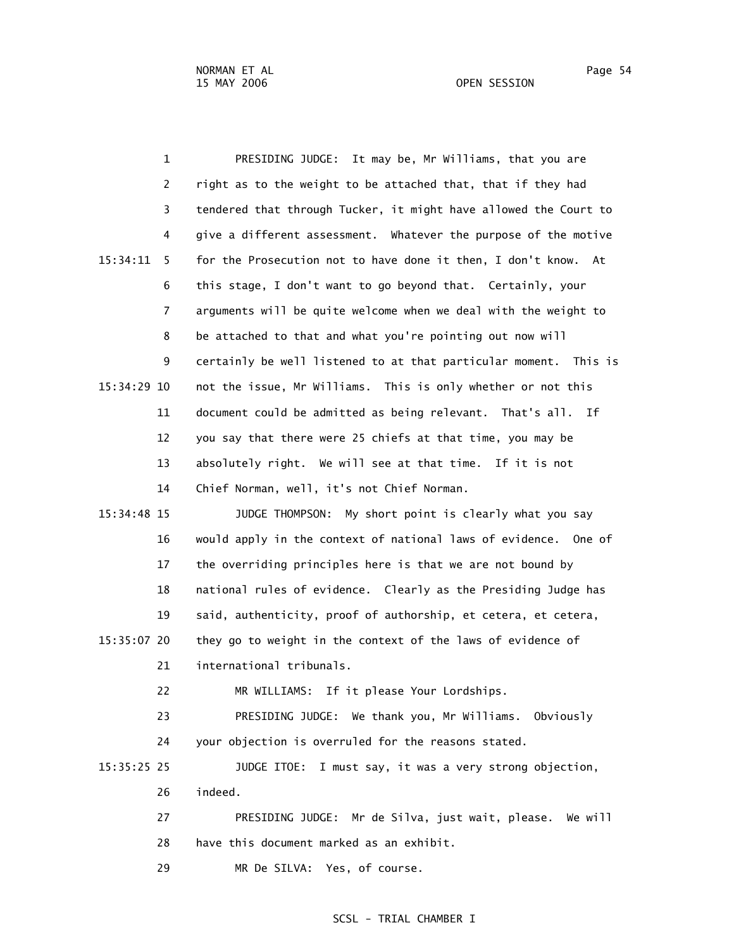1 PRESIDING JUDGE: It may be, Mr Williams, that you are 2 right as to the weight to be attached that, that if they had 3 tendered that through Tucker, it might have allowed the Court to 4 give a different assessment. Whatever the purpose of the motive 15:34:11 5 for the Prosecution not to have done it then, I don't know. At 6 this stage, I don't want to go beyond that. Certainly, your 7 arguments will be quite welcome when we deal with the weight to 8 be attached to that and what you're pointing out now will 9 certainly be well listened to at that particular moment. This is 15:34:29 10 not the issue, Mr Williams. This is only whether or not this 11 document could be admitted as being relevant. That's all. If 12 you say that there were 25 chiefs at that time, you may be 13 absolutely right. We will see at that time. If it is not 14 Chief Norman, well, it's not Chief Norman. 15:34:48 15 JUDGE THOMPSON: My short point is clearly what you say 16 would apply in the context of national laws of evidence. One of 17 the overriding principles here is that we are not bound by 18 national rules of evidence. Clearly as the Presiding Judge has 19 said, authenticity, proof of authorship, et cetera, et cetera, 15:35:07 20 they go to weight in the context of the laws of evidence of 21 international tribunals. 22 MR WILLIAMS: If it please Your Lordships. 23 PRESIDING JUDGE: We thank you, Mr Williams. Obviously 24 your objection is overruled for the reasons stated. 15:35:25 25 JUDGE ITOE: I must say, it was a very strong objection, 26 indeed. 27 PRESIDING JUDGE: Mr de Silva, just wait, please. We will 28 have this document marked as an exhibit. 29 MR De SILVA: Yes, of course.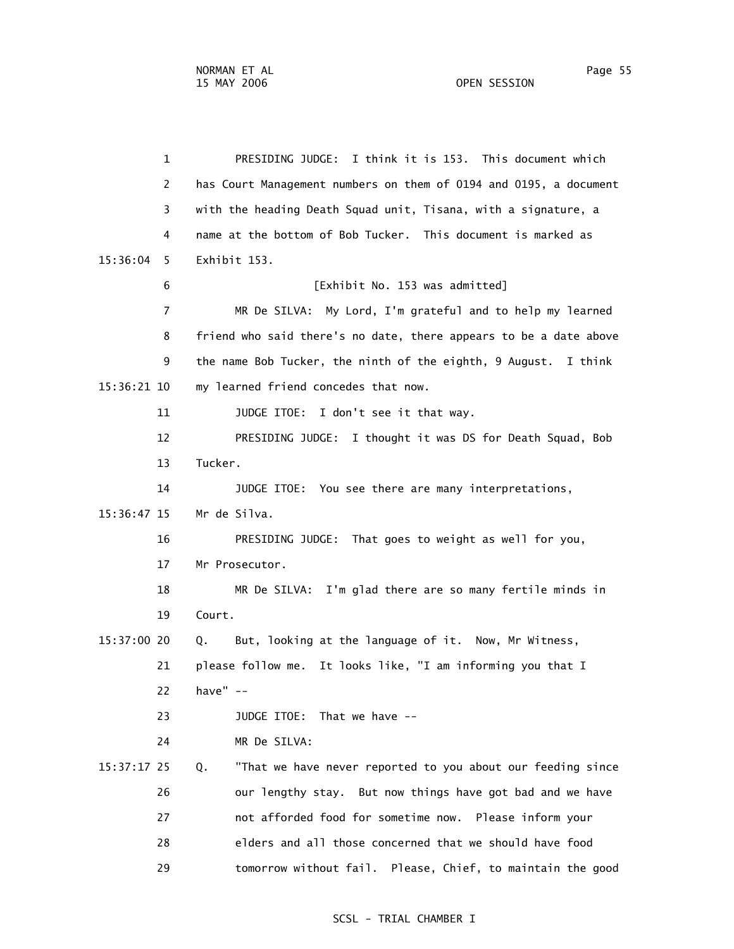1 PRESIDING JUDGE: I think it is 153. This document which 2 has Court Management numbers on them of 0194 and 0195, a document 3 with the heading Death Squad unit, Tisana, with a signature, a 4 name at the bottom of Bob Tucker. This document is marked as 15:36:04 5 Exhibit 153. 6 [Exhibit No. 153 was admitted] 7 MR De SILVA: My Lord, I'm grateful and to help my learned 8 friend who said there's no date, there appears to be a date above 9 the name Bob Tucker, the ninth of the eighth, 9 August. I think 15:36:21 10 my learned friend concedes that now. 11 JUDGE ITOE: I don't see it that way. 12 PRESIDING JUDGE: I thought it was DS for Death Squad, Bob 13 Tucker. 14 JUDGE ITOE: You see there are many interpretations, 15:36:47 15 Mr de Silva. 16 PRESIDING JUDGE: That goes to weight as well for you, 17 Mr Prosecutor. 18 MR De SILVA: I'm glad there are so many fertile minds in 19 Court. 15:37:00 20 Q. But, looking at the language of it. Now, Mr Witness, 21 please follow me. It looks like, "I am informing you that I 22 have" -- 23 JUDGE ITOE: That we have -- 24 MR De SILVA: 15:37:17 25 Q. "That we have never reported to you about our feeding since 26 our lengthy stay. But now things have got bad and we have 27 not afforded food for sometime now. Please inform your 28 elders and all those concerned that we should have food 29 tomorrow without fail. Please, Chief, to maintain the good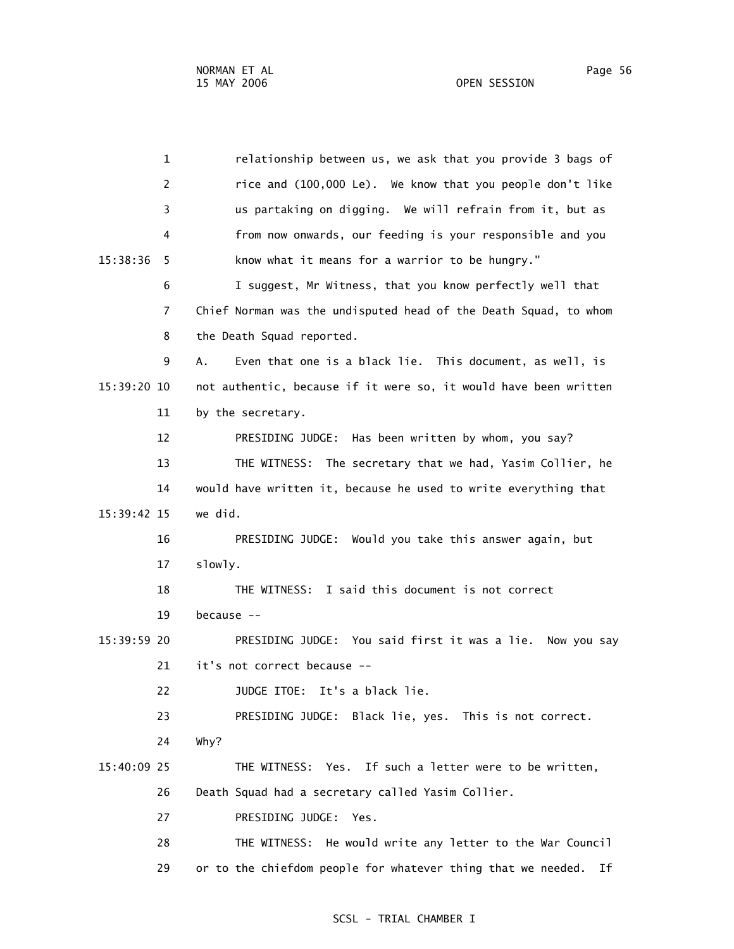1 relationship between us, we ask that you provide 3 bags of 2 rice and (100,000 Le). We know that you people don't like 3 us partaking on digging. We will refrain from it, but as 4 from now onwards, our feeding is your responsible and you 15:38:36 5 know what it means for a warrior to be hungry." 6 I suggest, Mr Witness, that you know perfectly well that 7 Chief Norman was the undisputed head of the Death Squad, to whom 8 the Death Squad reported. 9 A. Even that one is a black lie. This document, as well, is 15:39:20 10 not authentic, because if it were so, it would have been written 11 by the secretary. 12 PRESIDING JUDGE: Has been written by whom, you say? 13 THE WITNESS: The secretary that we had, Yasim Collier, he 14 would have written it, because he used to write everything that 15:39:42 15 we did. 16 PRESIDING JUDGE: Would you take this answer again, but 17 slowly. 18 THE WITNESS: I said this document is not correct 19 because -- 15:39:59 20 PRESIDING JUDGE: You said first it was a lie. Now you say 21 it's not correct because -- 22 JUDGE ITOE: It's a black lie. 23 PRESIDING JUDGE: Black lie, yes. This is not correct. 24 Why? 15:40:09 25 THE WITNESS: Yes. If such a letter were to be written, 26 Death Squad had a secretary called Yasim Collier. 27 PRESIDING JUDGE: Yes. 28 THE WITNESS: He would write any letter to the War Council 29 or to the chiefdom people for whatever thing that we needed. If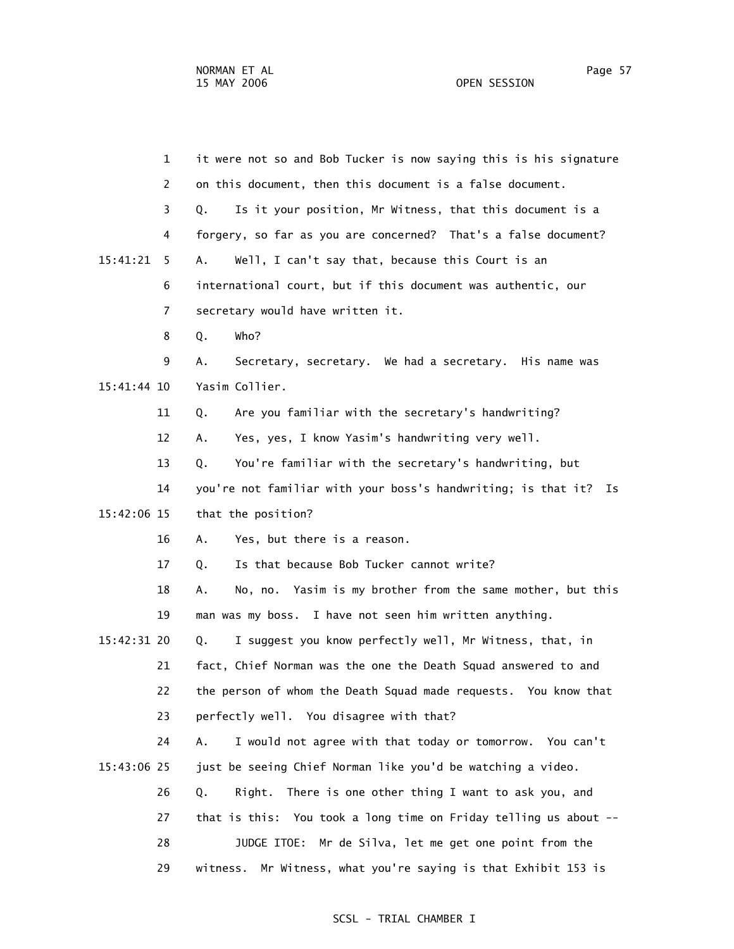| $\mathbf{1}$  | it were not so and Bob Tucker is now saying this is his signature |
|---------------|-------------------------------------------------------------------|
| 2             | on this document, then this document is a false document.         |
| 3             | Is it your position, Mr Witness, that this document is a<br>Q.    |
| 4             | forgery, so far as you are concerned? That's a false document?    |
| 15:41:21<br>5 | Well, I can't say that, because this Court is an<br>Α.            |
| 6             | international court, but if this document was authentic, our      |
| 7             | secretary would have written it.                                  |
| 8             | Who?<br>Q.                                                        |
| 9             | А.<br>Secretary, secretary. We had a secretary. His name was      |
| 15:41:44 10   | Yasim Collier.                                                    |
| 11            | Are you familiar with the secretary's handwriting?<br>Q.          |
| 12            | Yes, yes, I know Yasim's handwriting very well.<br>Α.             |
| 13            | You're familiar with the secretary's handwriting, but<br>Q.       |
| 14            | you're not familiar with your boss's handwriting; is that it? Is  |
| 15:42:06 15   | that the position?                                                |
| 16            | Yes, but there is a reason.<br>Α.                                 |
| 17            | Is that because Bob Tucker cannot write?<br>Q.                    |
| 18            | No, no. Yasim is my brother from the same mother, but this<br>А.  |
| 19            | man was my boss. I have not seen him written anything.            |
| 15:42:31 20   | I suggest you know perfectly well, Mr Witness, that, in<br>Q.     |
| 21            | fact, Chief Norman was the one the Death Squad answered to and    |
| 22            | the person of whom the Death Squad made requests. You know that   |
| 23            | perfectly well. You disagree with that?                           |
| 24            | I would not agree with that today or tomorrow. You can't<br>А.    |
| 15:43:06 25   | just be seeing Chief Norman like you'd be watching a video.       |
| 26            | There is one other thing I want to ask you, and<br>Q.<br>Right.   |
| 27            | that is this: You took a long time on Friday telling us about --  |
| 28            | JUDGE ITOE: Mr de Silva, let me get one point from the            |
| 29            | witness. Mr Witness, what you're saying is that Exhibit 153 is    |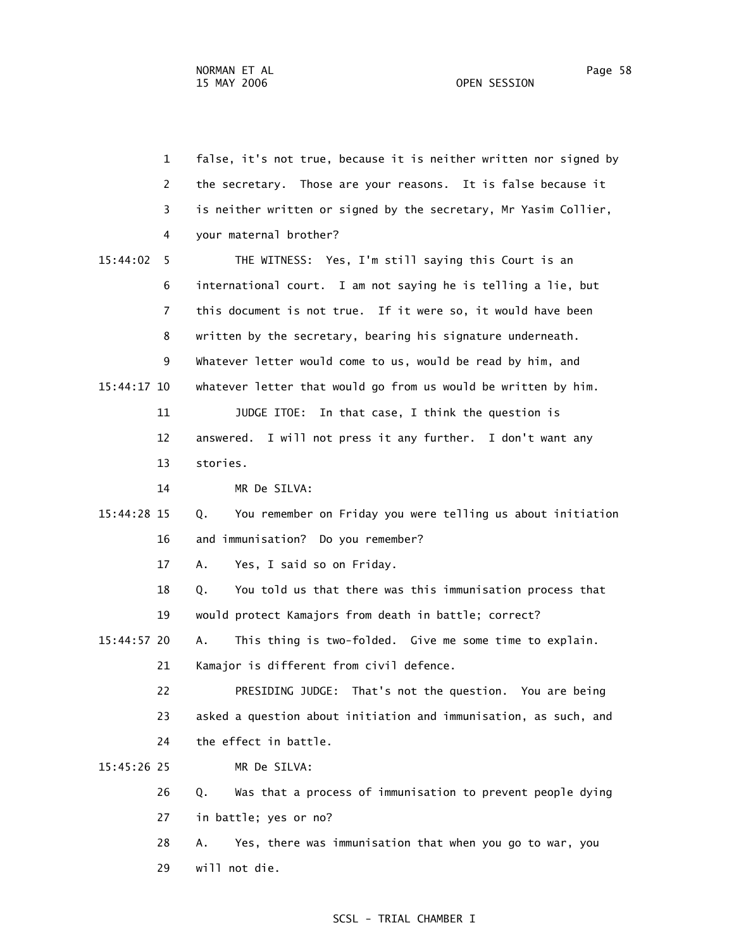1 false, it's not true, because it is neither written nor signed by 2 the secretary. Those are your reasons. It is false because it 3 is neither written or signed by the secretary, Mr Yasim Collier, 4 your maternal brother? 15:44:02 5 THE WITNESS: Yes, I'm still saying this Court is an 6 international court. I am not saying he is telling a lie, but 7 this document is not true. If it were so, it would have been 8 written by the secretary, bearing his signature underneath. 9 Whatever letter would come to us, would be read by him, and 15:44:17 10 whatever letter that would go from us would be written by him. 11 JUDGE ITOE: In that case, I think the question is 12 answered. I will not press it any further. I don't want any 13 stories. 14 MR De SILVA: 15:44:28 15 Q. You remember on Friday you were telling us about initiation 16 and immunisation? Do you remember? 17 A. Yes, I said so on Friday. 18 Q. You told us that there was this immunisation process that 19 would protect Kamajors from death in battle; correct? 15:44:57 20 A. This thing is two-folded. Give me some time to explain. 21 Kamajor is different from civil defence. 22 PRESIDING JUDGE: That's not the question. You are being 23 asked a question about initiation and immunisation, as such, and 24 the effect in battle. 15:45:26 25 MR De SILVA: 26 Q. Was that a process of immunisation to prevent people dying 27 in battle; yes or no? 28 A. Yes, there was immunisation that when you go to war, you

29 will not die.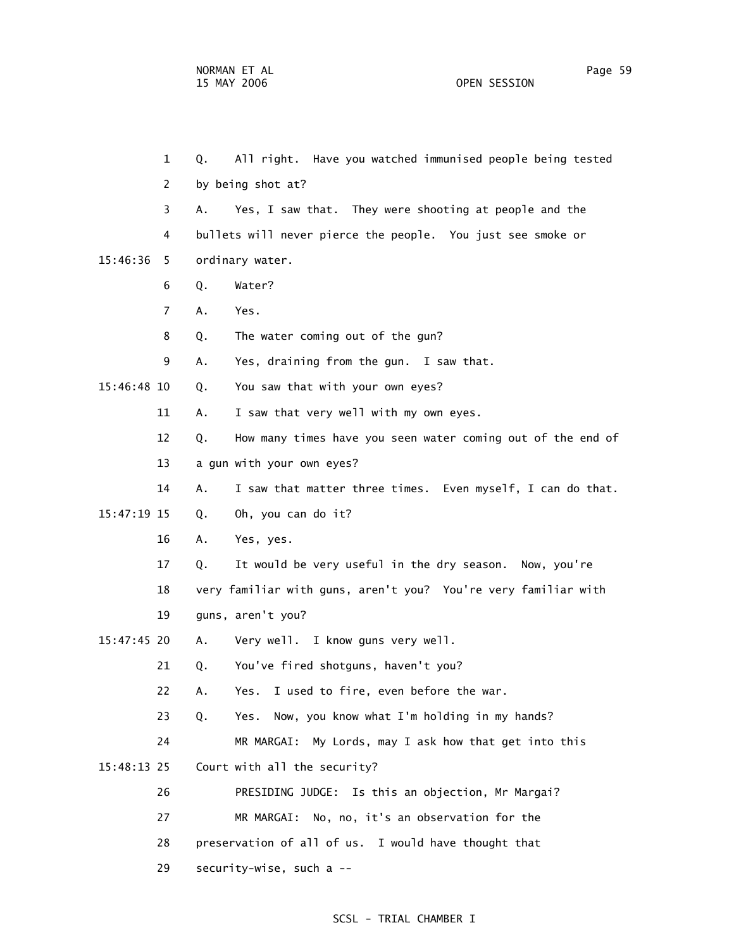1 Q. All right. Have you watched immunised people being tested 2 by being shot at? 3 A. Yes, I saw that. They were shooting at people and the 4 bullets will never pierce the people. You just see smoke or 15:46:36 5 ordinary water. 6 Q. Water? 7 A. Yes. 8 Q. The water coming out of the gun? 9 A. Yes, draining from the gun. I saw that. 15:46:48 10 Q. You saw that with your own eyes? 11 A. I saw that very well with my own eyes. 12 Q. How many times have you seen water coming out of the end of 13 a gun with your own eyes? 14 A. I saw that matter three times. Even myself, I can do that. 15:47:19 15 Q. Oh, you can do it? 16 A. Yes, yes. 17 Q. It would be very useful in the dry season. Now, you're 18 very familiar with guns, aren't you? You're very familiar with 19 guns, aren't you? 15:47:45 20 A. Very well. I know guns very well. 21 Q. You've fired shotguns, haven't you? 22 A. Yes. I used to fire, even before the war. 23 Q. Yes. Now, you know what I'm holding in my hands? 24 MR MARGAI: My Lords, may I ask how that get into this 15:48:13 25 Court with all the security? 26 PRESIDING JUDGE: Is this an objection, Mr Margai? 27 MR MARGAI: No, no, it's an observation for the 28 preservation of all of us. I would have thought that 29 security-wise, such a --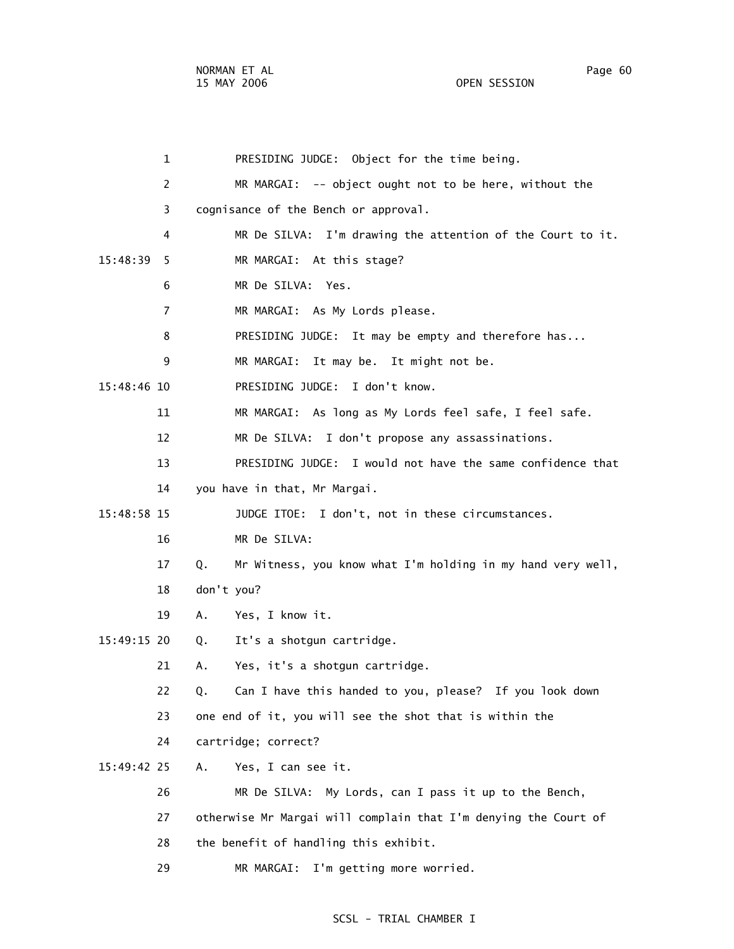NORMAN ET AL Page 60 15 MAY 2006 OPEN SESSION

 1 PRESIDING JUDGE: Object for the time being. 2 MR MARGAI: -- object ought not to be here, without the 3 cognisance of the Bench or approval. 4 MR De SILVA: I'm drawing the attention of the Court to it. 15:48:39 5 MR MARGAI: At this stage? 6 MR De SILVA: Yes. 7 MR MARGAI: As My Lords please. 8 PRESIDING JUDGE: It may be empty and therefore has... 9 MR MARGAI: It may be. It might not be. 15:48:46 10 PRESIDING JUDGE: I don't know. 11 MR MARGAI: As long as My Lords feel safe, I feel safe. 12 MR De SILVA: I don't propose any assassinations. 13 PRESIDING JUDGE: I would not have the same confidence that 14 you have in that, Mr Margai. 15:48:58 15 JUDGE ITOE: I don't, not in these circumstances. 16 MR De SILVA: 17 Q. Mr Witness, you know what I'm holding in my hand very well, 18 don't you? 19 A. Yes, I know it. 15:49:15 20 Q. It's a shotgun cartridge. 21 A. Yes, it's a shotgun cartridge. 22 Q. Can I have this handed to you, please? If you look down 23 one end of it, you will see the shot that is within the 24 cartridge; correct? 15:49:42 25 A. Yes, I can see it. 26 MR De SILVA: My Lords, can I pass it up to the Bench, 27 otherwise Mr Margai will complain that I'm denying the Court of 28 the benefit of handling this exhibit. 29 MR MARGAI: I'm getting more worried.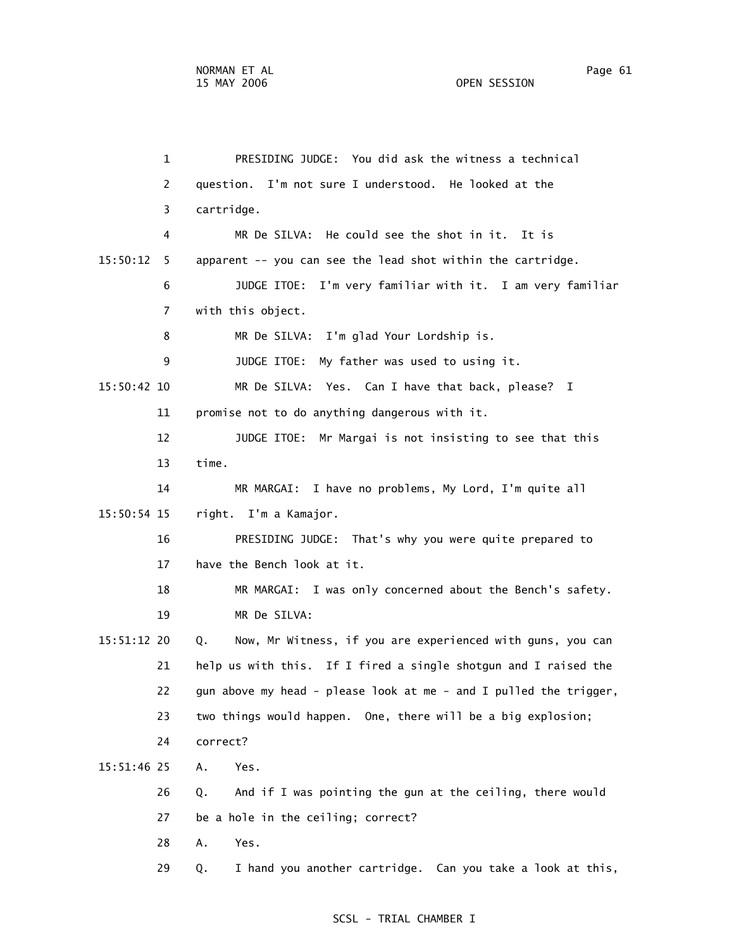1 PRESIDING JUDGE: You did ask the witness a technical 2 question. I'm not sure I understood. He looked at the 3 cartridge. 4 MR De SILVA: He could see the shot in it. It is 15:50:12 5 apparent -- you can see the lead shot within the cartridge. 6 JUDGE ITOE: I'm very familiar with it. I am very familiar 7 with this object. 8 MR De SILVA: I'm glad Your Lordship is. 9 JUDGE ITOE: My father was used to using it. 15:50:42 10 MR De SILVA: Yes. Can I have that back, please? I 11 promise not to do anything dangerous with it. 12 JUDGE ITOE: Mr Margai is not insisting to see that this 13 time. 14 MR MARGAI: I have no problems, My Lord, I'm quite all 15:50:54 15 right. I'm a Kamajor. 16 PRESIDING JUDGE: That's why you were quite prepared to 17 have the Bench look at it. 18 MR MARGAI: I was only concerned about the Bench's safety. 19 MR De SILVA: 15:51:12 20 Q. Now, Mr Witness, if you are experienced with guns, you can 21 help us with this. If I fired a single shotgun and I raised the 22 gun above my head - please look at me - and I pulled the trigger, 23 two things would happen. One, there will be a big explosion; 24 correct? 15:51:46 25 A. Yes. 26 Q. And if I was pointing the gun at the ceiling, there would 27 be a hole in the ceiling; correct? 28 A. Yes.

29 Q. I hand you another cartridge. Can you take a look at this,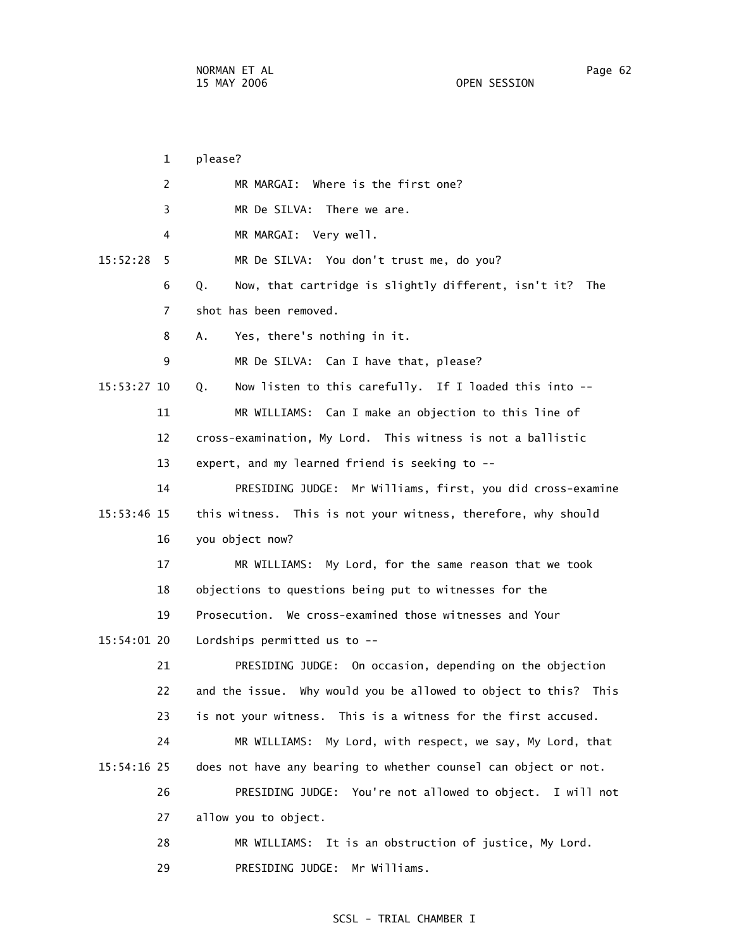1 please? 2 MR MARGAI: Where is the first one? 3 MR De SILVA: There we are. 4 MR MARGAI: Very well. 15:52:28 5 MR De SILVA: You don't trust me, do you? 6 Q. Now, that cartridge is slightly different, isn't it? The 7 shot has been removed. 8 A. Yes, there's nothing in it. 9 MR De SILVA: Can I have that, please? 15:53:27 10 Q. Now listen to this carefully. If I loaded this into -- 11 MR WILLIAMS: Can I make an objection to this line of 12 cross-examination, My Lord. This witness is not a ballistic 13 expert, and my learned friend is seeking to -- 14 PRESIDING JUDGE: Mr Williams, first, you did cross-examine 15:53:46 15 this witness. This is not your witness, therefore, why should 16 you object now? 17 MR WILLIAMS: My Lord, for the same reason that we took 18 objections to questions being put to witnesses for the 19 Prosecution. We cross-examined those witnesses and Your 15:54:01 20 Lordships permitted us to -- 21 PRESIDING JUDGE: On occasion, depending on the objection 22 and the issue. Why would you be allowed to object to this? This 23 is not your witness. This is a witness for the first accused. 24 MR WILLIAMS: My Lord, with respect, we say, My Lord, that 15:54:16 25 does not have any bearing to whether counsel can object or not. 26 PRESIDING JUDGE: You're not allowed to object. I will not 27 allow you to object. 28 MR WILLIAMS: It is an obstruction of justice, My Lord.

#### SCSL - TRIAL CHAMBER I

29 PRESIDING JUDGE: Mr Williams.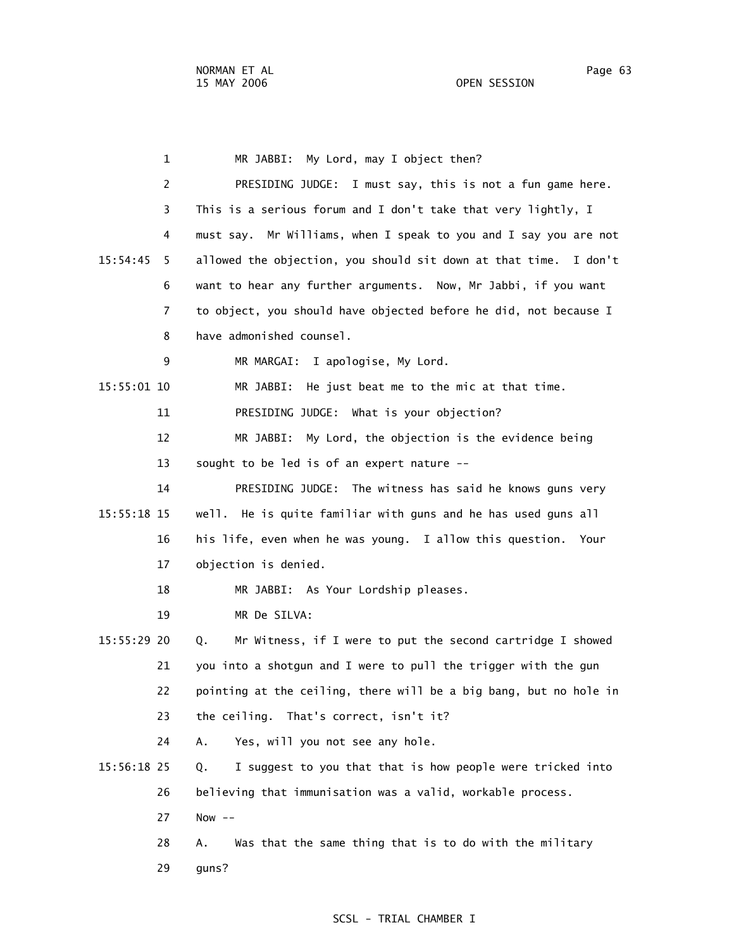1 MR JABBI: My Lord, may I object then? 2 PRESIDING JUDGE: I must say, this is not a fun game here. 3 This is a serious forum and I don't take that very lightly, I 4 must say. Mr Williams, when I speak to you and I say you are not 15:54:45 5 allowed the objection, you should sit down at that time. I don't 6 want to hear any further arguments. Now, Mr Jabbi, if you want 7 to object, you should have objected before he did, not because I 8 have admonished counsel. 9 MR MARGAI: I apologise, My Lord. 15:55:01 10 MR JABBI: He just beat me to the mic at that time. 11 PRESIDING JUDGE: What is your objection? 12 MR JABBI: My Lord, the objection is the evidence being 13 sought to be led is of an expert nature -- 14 PRESIDING JUDGE: The witness has said he knows guns very 15:55:18 15 well. He is quite familiar with guns and he has used guns all 16 his life, even when he was young. I allow this question. Your 17 objection is denied. 18 MR JABBI: As Your Lordship pleases. 19 MR De SILVA: 15:55:29 20 Q. Mr Witness, if I were to put the second cartridge I showed 21 you into a shotgun and I were to pull the trigger with the gun 22 pointing at the ceiling, there will be a big bang, but no hole in 23 the ceiling. That's correct, isn't it? 24 A. Yes, will you not see any hole. 15:56:18 25 Q. I suggest to you that that is how people were tricked into 26 believing that immunisation was a valid, workable process. 27 Now -- 28 A. Was that the same thing that is to do with the military 29 guns?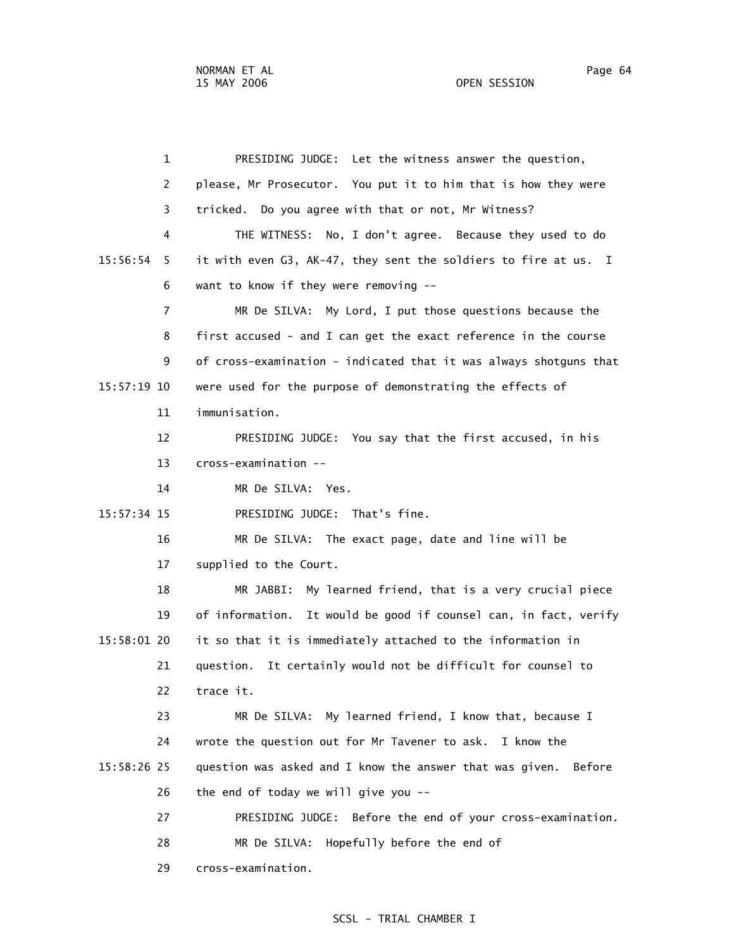1 PRESIDING JUDGE: Let the witness answer the question, 2 please, Mr Prosecutor. You put it to him that is how they were 3 tricked. Do you agree with that or not, Mr Witness? 4 THE WITNESS: No, I don't agree. Because they used to do 15:56:54 5 it with even G3, AK-47, they sent the soldiers to fire at us. I 6 want to know if they were removing -- 7 MR De SILVA: My Lord, I put those questions because the 8 first accused - and I can get the exact reference in the course 9 of cross-examination - indicated that it was always shotguns that 15:57:19 10 were used for the purpose of demonstrating the effects of 11 immunisation. 12 PRESIDING JUDGE: You say that the first accused, in his 13 cross-examination -- 14 MR De SILVA: Yes. 15:57:34 15 PRESIDING JUDGE: That's fine. 16 MR De SILVA: The exact page, date and line will be 17 supplied to the Court. 18 MR JABBI: My learned friend, that is a very crucial piece 19 of information. It would be good if counsel can, in fact, verify 15:58:01 20 it so that it is immediately attached to the information in 21 question. It certainly would not be difficult for counsel to 22 trace it. 23 MR De SILVA: My learned friend, I know that, because I 24 wrote the question out for Mr Tavener to ask. I know the 15:58:26 25 question was asked and I know the answer that was given. Before 26 the end of today we will give you -- 27 PRESIDING JUDGE: Before the end of your cross-examination. 28 MR De SILVA: Hopefully before the end of 29 cross-examination.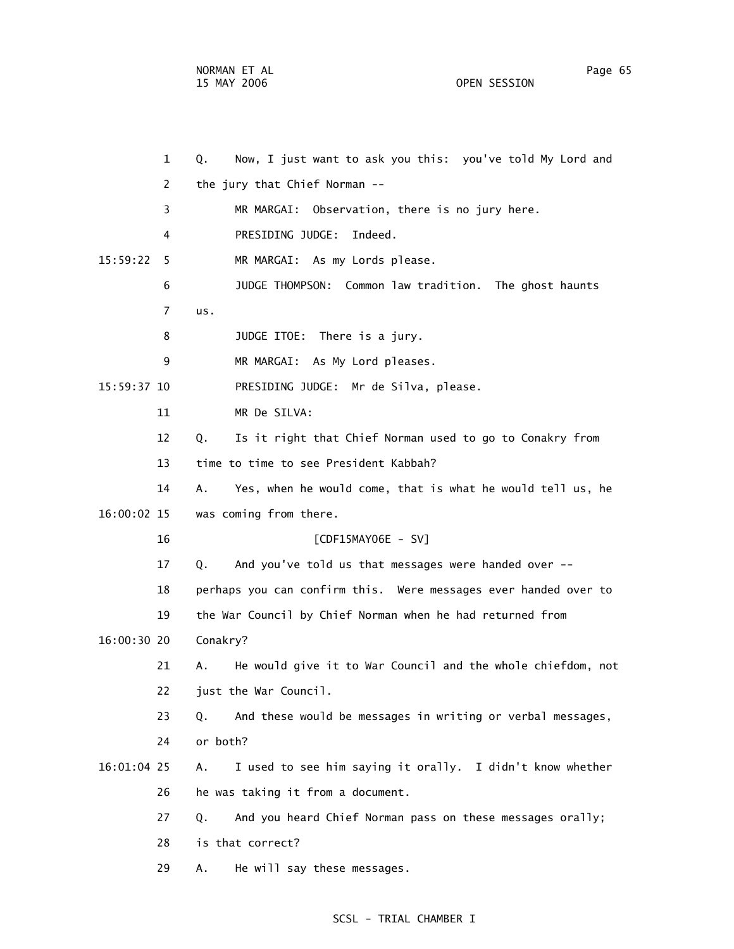|               | $\mathbf{1}$ | Now, I just want to ask you this: you've told My Lord and<br>Q.   |
|---------------|--------------|-------------------------------------------------------------------|
|               | 2            | the jury that Chief Norman --                                     |
|               | 3            | MR MARGAI: Observation, there is no jury here.                    |
|               | 4            | PRESIDING JUDGE:<br>Indeed.                                       |
| 15:59:22      | 5            | MR MARGAI: As my Lords please.                                    |
|               | 6            | JUDGE THOMPSON: Common law tradition. The ghost haunts            |
|               | 7            | us.                                                               |
|               | 8            | JUDGE ITOE: There is a jury.                                      |
|               | 9            | MR MARGAI: As My Lord pleases.                                    |
| 15:59:37 10   |              | PRESIDING JUDGE: Mr de Silva, please.                             |
|               | 11           | MR De SILVA:                                                      |
|               | 12           | Is it right that Chief Norman used to go to Conakry from<br>Q.    |
|               | 13           | time to time to see President Kabbah?                             |
|               | 14           | Yes, when he would come, that is what he would tell us, he<br>Α.  |
| 16:00:02 15   |              | was coming from there.                                            |
|               | 16           | [CDF15MAY06E - SV]                                                |
|               | 17           | And you've told us that messages were handed over --<br>Q.        |
|               | 18           | perhaps you can confirm this. Were messages ever handed over to   |
|               | 19           | the War Council by Chief Norman when he had returned from         |
| 16:00:30 20   |              | Conakry?                                                          |
|               | 21           | He would give it to War Council and the whole chiefdom, not<br>А. |
|               | 22           | just the War Council.                                             |
|               | 23           | And these would be messages in writing or verbal messages,<br>Q.  |
|               | 24           | or both?                                                          |
| $16:01:04$ 25 |              | I used to see him saying it orally. I didn't know whether<br>Α.   |
|               | 26           | he was taking it from a document.                                 |
|               | 27           | And you heard Chief Norman pass on these messages orally;<br>Q.   |
|               | 28           | is that correct?                                                  |
|               | 29           | He will say these messages.<br>Α.                                 |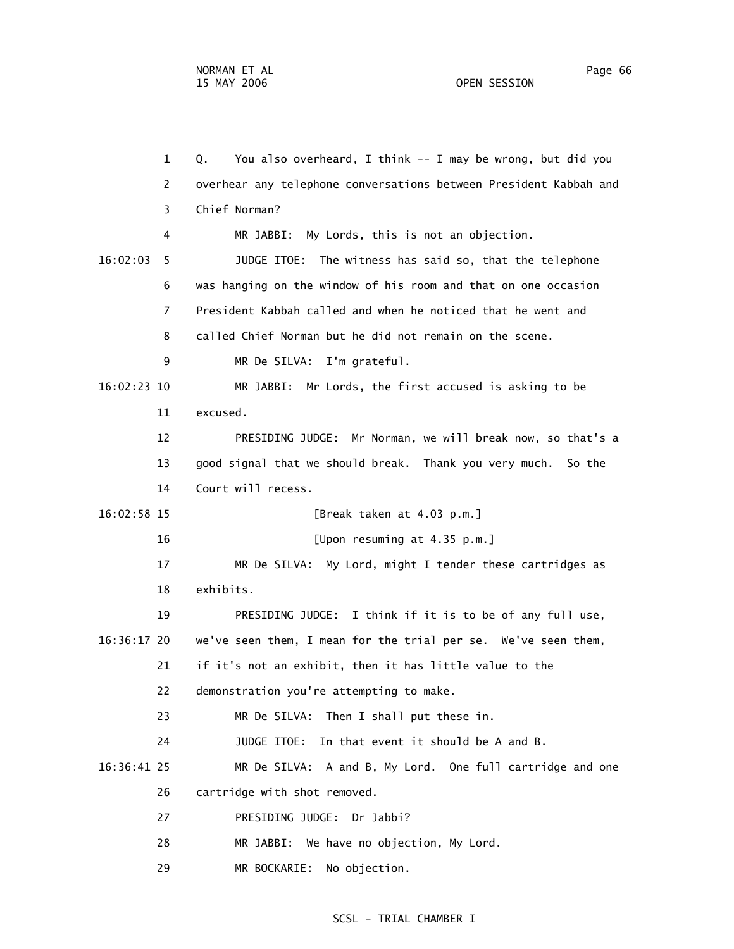1 Q. You also overheard, I think -- I may be wrong, but did you 2 overhear any telephone conversations between President Kabbah and 3 Chief Norman? 4 MR JABBI: My Lords, this is not an objection. 16:02:03 5 JUDGE ITOE: The witness has said so, that the telephone 6 was hanging on the window of his room and that on one occasion 7 President Kabbah called and when he noticed that he went and 8 called Chief Norman but he did not remain on the scene. 9 MR De SILVA: I'm grateful. 16:02:23 10 MR JABBI: Mr Lords, the first accused is asking to be 11 excused. 12 PRESIDING JUDGE: Mr Norman, we will break now, so that's a 13 good signal that we should break. Thank you very much. So the 14 Court will recess. 16:02:58 15 [Break taken at 4.03 p.m.] 16 [Upon resuming at 4.35 p.m.] 17 MR De SILVA: My Lord, might I tender these cartridges as 18 exhibits. 19 PRESIDING JUDGE: I think if it is to be of any full use, 16:36:17 20 we've seen them, I mean for the trial per se. We've seen them, 21 if it's not an exhibit, then it has little value to the 22 demonstration you're attempting to make. 23 MR De SILVA: Then I shall put these in. 24 JUDGE ITOE: In that event it should be A and B. 16:36:41 25 MR De SILVA: A and B, My Lord. One full cartridge and one 26 cartridge with shot removed. 27 PRESIDING JUDGE: Dr Jabbi? 28 MR JABBI: We have no objection, My Lord.

29 MR BOCKARIE: No objection.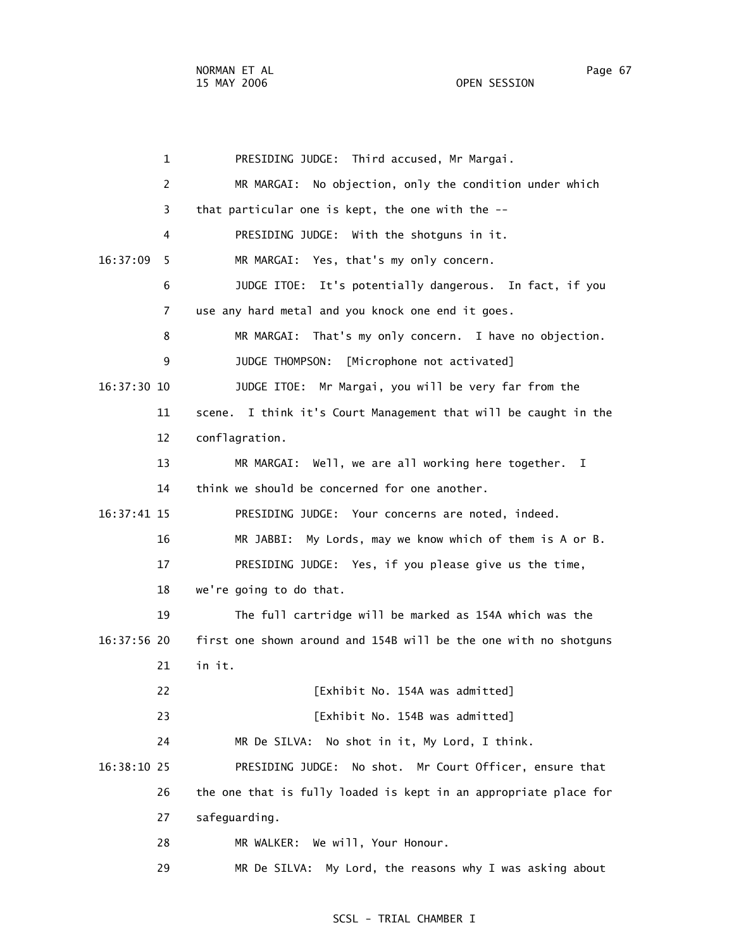1 PRESIDING JUDGE: Third accused, Mr Margai. 2 MR MARGAI: No objection, only the condition under which 3 that particular one is kept, the one with the -- 4 PRESIDING JUDGE: With the shotguns in it. 16:37:09 5 MR MARGAI: Yes, that's my only concern. 6 JUDGE ITOE: It's potentially dangerous. In fact, if you 7 use any hard metal and you knock one end it goes. 8 MR MARGAI: That's my only concern. I have no objection. 9 JUDGE THOMPSON: [Microphone not activated] 16:37:30 10 JUDGE ITOE: Mr Margai, you will be very far from the 11 scene. I think it's Court Management that will be caught in the 12 conflagration. 13 MR MARGAI: Well, we are all working here together. I 14 think we should be concerned for one another. 16:37:41 15 PRESIDING JUDGE: Your concerns are noted, indeed. 16 MR JABBI: My Lords, may we know which of them is A or B. 17 PRESIDING JUDGE: Yes, if you please give us the time, 18 we're going to do that. 19 The full cartridge will be marked as 154A which was the 16:37:56 20 first one shown around and 154B will be the one with no shotguns 21 in it. 22 **[Exhibit No. 154A was admitted]** 23 **[Exhibit No. 154B was admitted]**  24 MR De SILVA: No shot in it, My Lord, I think. 16:38:10 25 PRESIDING JUDGE: No shot. Mr Court Officer, ensure that 26 the one that is fully loaded is kept in an appropriate place for 27 safeguarding. 28 MR WALKER: We will, Your Honour. 29 MR De SILVA: My Lord, the reasons why I was asking about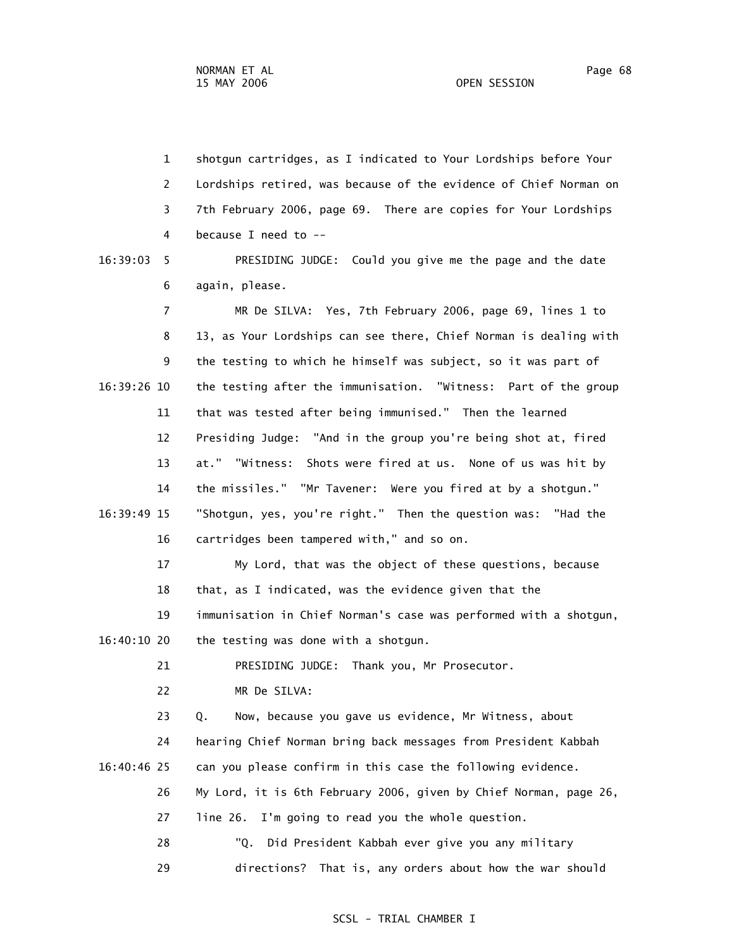1 shotgun cartridges, as I indicated to Your Lordships before Your 2 Lordships retired, was because of the evidence of Chief Norman on 3 7th February 2006, page 69. There are copies for Your Lordships 4 because I need to -- 16:39:03 5 PRESIDING JUDGE: Could you give me the page and the date 6 again, please. 7 MR De SILVA: Yes, 7th February 2006, page 69, lines 1 to 8 13, as Your Lordships can see there, Chief Norman is dealing with 9 the testing to which he himself was subject, so it was part of 16:39:26 10 the testing after the immunisation. "Witness: Part of the group 11 that was tested after being immunised." Then the learned 12 Presiding Judge: "And in the group you're being shot at, fired 13 at." "Witness: Shots were fired at us. None of us was hit by 14 the missiles." "Mr Tavener: Were you fired at by a shotgun." 16:39:49 15 "Shotgun, yes, you're right." Then the question was: "Had the 16 cartridges been tampered with," and so on. 17 My Lord, that was the object of these questions, because 18 that, as I indicated, was the evidence given that the 19 immunisation in Chief Norman's case was performed with a shotgun, 16:40:10 20 the testing was done with a shotgun. 21 PRESIDING JUDGE: Thank you, Mr Prosecutor. 22 MR De SILVA: 23 Q. Now, because you gave us evidence, Mr Witness, about 24 hearing Chief Norman bring back messages from President Kabbah 16:40:46 25 can you please confirm in this case the following evidence. 26 My Lord, it is 6th February 2006, given by Chief Norman, page 26, 27 line 26. I'm going to read you the whole question. 28 "Q. Did President Kabbah ever give you any military 29 directions? That is, any orders about how the war should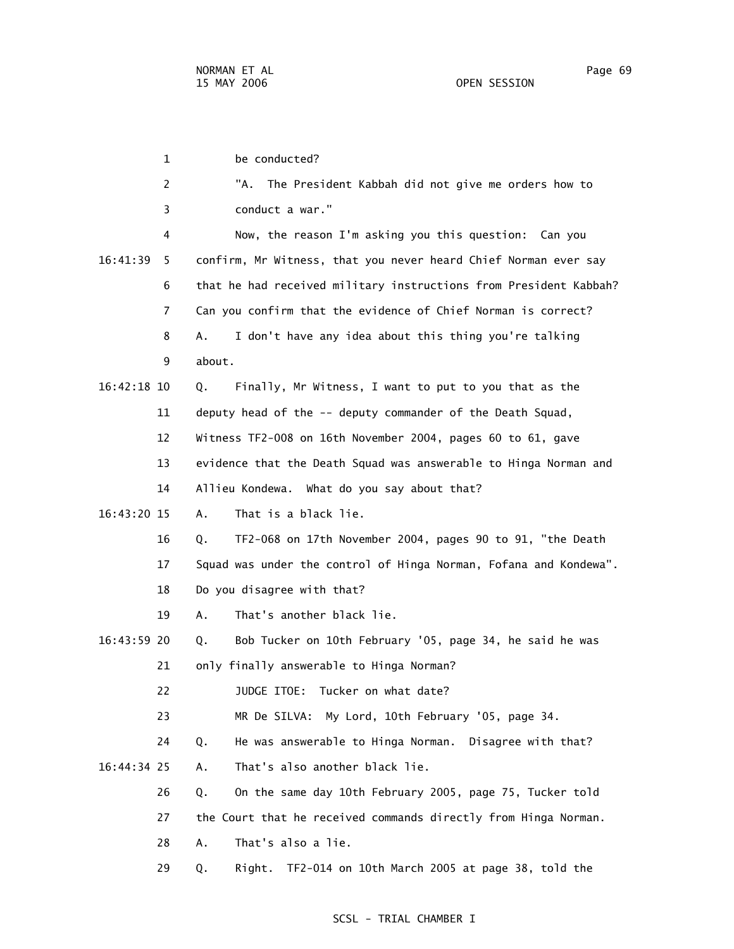1 be conducted? 2 "A. The President Kabbah did not give me orders how to 3 conduct a war." 4 Now, the reason I'm asking you this question: Can you 16:41:39 5 confirm, Mr Witness, that you never heard Chief Norman ever say 6 that he had received military instructions from President Kabbah? 7 Can you confirm that the evidence of Chief Norman is correct? 8 A. I don't have any idea about this thing you're talking 9 about. 16:42:18 10 Q. Finally, Mr Witness, I want to put to you that as the 11 deputy head of the -- deputy commander of the Death Squad, 12 Witness TF2-008 on 16th November 2004, pages 60 to 61, gave 13 evidence that the Death Squad was answerable to Hinga Norman and 14 Allieu Kondewa. What do you say about that? 16:43:20 15 A. That is a black lie. 16 Q. TF2-068 on 17th November 2004, pages 90 to 91, "the Death 17 Squad was under the control of Hinga Norman, Fofana and Kondewa". 18 Do you disagree with that? 19 A. That's another black lie. 16:43:59 20 Q. Bob Tucker on 10th February '05, page 34, he said he was 21 only finally answerable to Hinga Norman? 22 JUDGE ITOE: Tucker on what date? 23 MR De SILVA: My Lord, 10th February '05, page 34. 24 Q. He was answerable to Hinga Norman. Disagree with that? 16:44:34 25 A. That's also another black lie. 26 Q. On the same day 10th February 2005, page 75, Tucker told 27 the Court that he received commands directly from Hinga Norman. 28 A. That's also a lie. 29 Q. Right. TF2-014 on 10th March 2005 at page 38, told the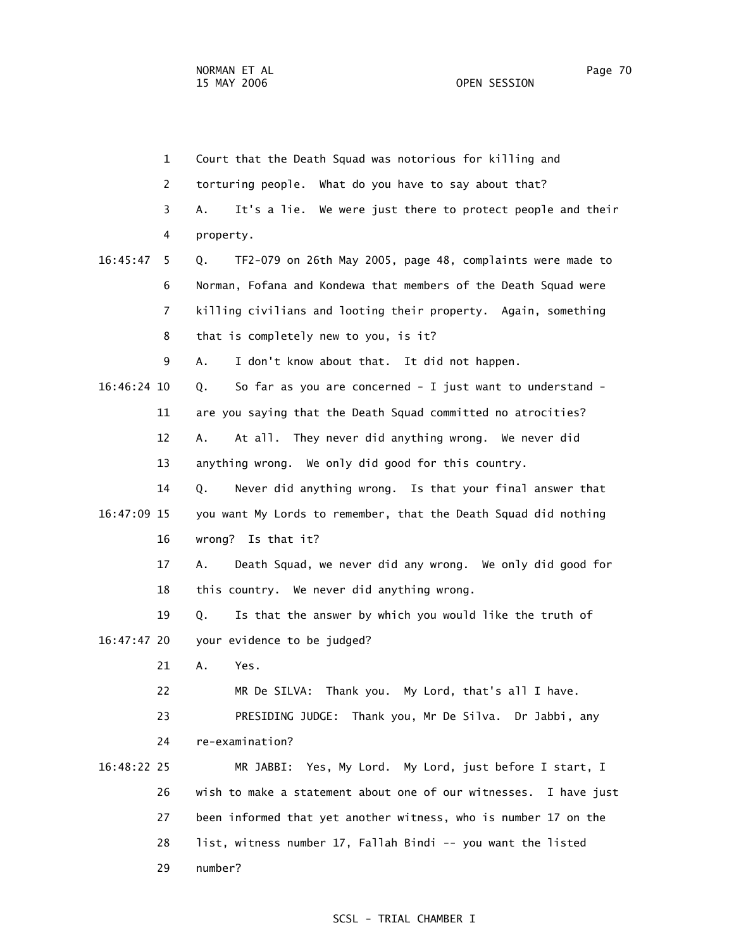|             | $\mathbf{1}$   | Court that the Death Squad was notorious for killing and         |
|-------------|----------------|------------------------------------------------------------------|
|             | $\overline{2}$ | torturing people. What do you have to say about that?            |
|             | 3              | It's a lie. We were just there to protect people and their<br>А. |
|             | 4              | property.                                                        |
| 16:45:47    | 5.             | TF2-079 on 26th May 2005, page 48, complaints were made to<br>Q. |
|             | 6              | Norman, Fofana and Kondewa that members of the Death Squad were  |
|             | $\overline{7}$ | killing civilians and looting their property. Again, something   |
|             | 8              | that is completely new to you, is it?                            |
|             | 9              | I don't know about that. It did not happen.<br>А.                |
| 16:46:24 10 |                | So far as you are concerned - I just want to understand -<br>Q.  |
|             | 11             | are you saying that the Death Squad committed no atrocities?     |
|             | 12             | At all. They never did anything wrong. We never did<br>Α.        |
|             | 13             | anything wrong. We only did good for this country.               |
|             | 14             | Never did anything wrong. Is that your final answer that<br>Q.   |
| 16:47:09 15 |                | you want My Lords to remember, that the Death Squad did nothing  |
|             | 16             | wrong? Is that it?                                               |
|             | 17             | A.<br>Death Squad, we never did any wrong. We only did good for  |
|             | 18             | this country. We never did anything wrong.                       |
|             | 19             | Is that the answer by which you would like the truth of<br>Q.    |
| 16:47:47 20 |                | your evidence to be judged?                                      |
|             | 21             | Α.<br>Yes.                                                       |
|             | 22             | MR De SILVA: Thank you. My Lord, that's all I have.              |
|             | 23             | PRESIDING JUDGE: Thank you, Mr De Silva. Dr Jabbi, any           |
|             | 24             | re-examination?                                                  |
| 16:48:22 25 |                | MR JABBI: Yes, My Lord. My Lord, just before I start, I          |
|             | 26             | wish to make a statement about one of our witnesses. I have just |
|             | 27             | been informed that yet another witness, who is number 17 on the  |
|             | 28             | list, witness number 17, Fallah Bindi -- you want the listed     |
|             | 29             | number?                                                          |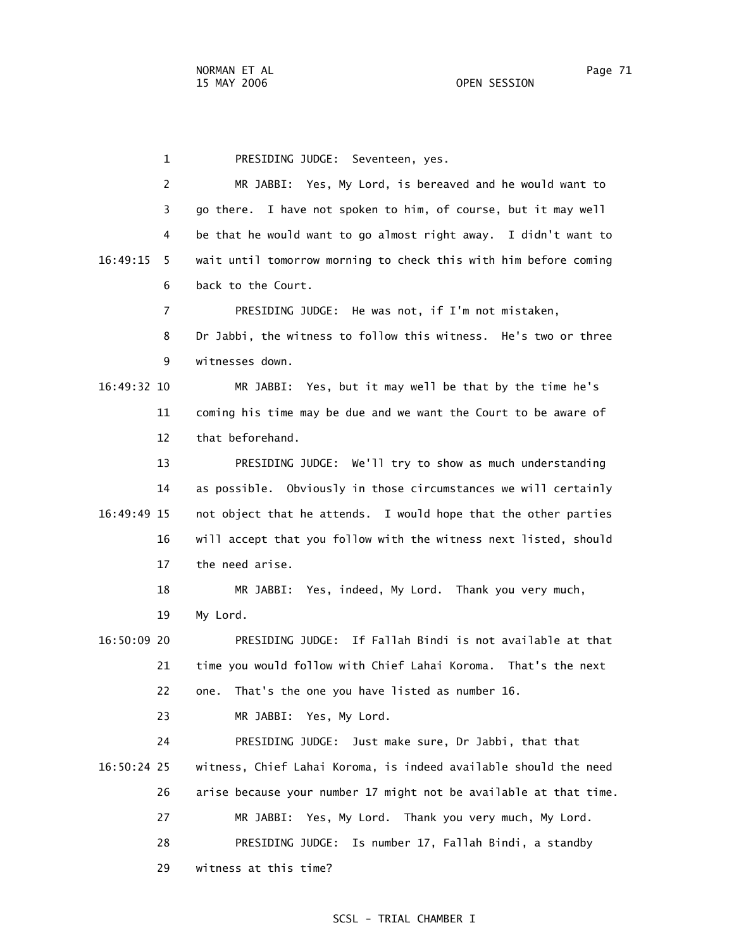1 PRESIDING JUDGE: Seventeen, yes. 2 MR JABBI: Yes, My Lord, is bereaved and he would want to 3 go there. I have not spoken to him, of course, but it may well 4 be that he would want to go almost right away. I didn't want to 16:49:15 5 wait until tomorrow morning to check this with him before coming 6 back to the Court. 7 PRESIDING JUDGE: He was not, if I'm not mistaken, 8 Dr Jabbi, the witness to follow this witness. He's two or three 9 witnesses down. 16:49:32 10 MR JABBI: Yes, but it may well be that by the time he's 11 coming his time may be due and we want the Court to be aware of 12 that beforehand. 13 PRESIDING JUDGE: We'll try to show as much understanding 14 as possible. Obviously in those circumstances we will certainly 16:49:49 15 not object that he attends. I would hope that the other parties 16 will accept that you follow with the witness next listed, should 17 the need arise. 18 MR JABBI: Yes, indeed, My Lord. Thank you very much, 19 My Lord. 16:50:09 20 PRESIDING JUDGE: If Fallah Bindi is not available at that 21 time you would follow with Chief Lahai Koroma. That's the next 22 one. That's the one you have listed as number 16. 23 MR JABBI: Yes, My Lord. 24 PRESIDING JUDGE: Just make sure, Dr Jabbi, that that 16:50:24 25 witness, Chief Lahai Koroma, is indeed available should the need 26 arise because your number 17 might not be available at that time. 27 MR JABBI: Yes, My Lord. Thank you very much, My Lord. 28 PRESIDING JUDGE: Is number 17, Fallah Bindi, a standby 29 witness at this time?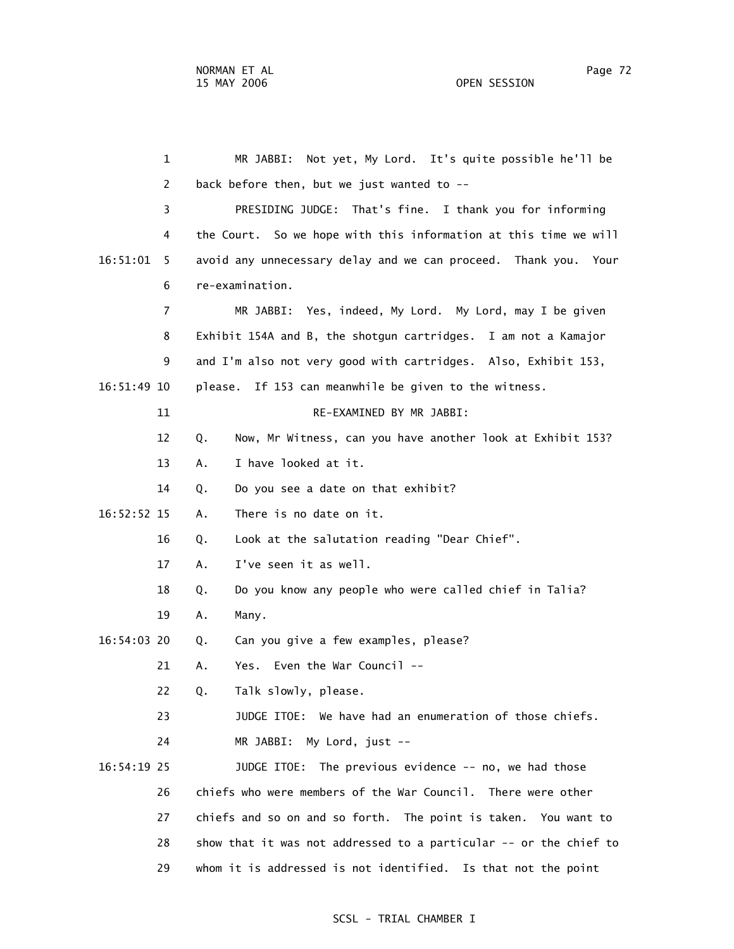1 MR JABBI: Not yet, My Lord. It's quite possible he'll be 2 back before then, but we just wanted to -- 3 PRESIDING JUDGE: That's fine. I thank you for informing 4 the Court. So we hope with this information at this time we will 16:51:01 5 avoid any unnecessary delay and we can proceed. Thank you. Your 6 re-examination. 7 MR JABBI: Yes, indeed, My Lord. My Lord, may I be given 8 Exhibit 154A and B, the shotgun cartridges. I am not a Kamajor 9 and I'm also not very good with cartridges. Also, Exhibit 153, 16:51:49 10 please. If 153 can meanwhile be given to the witness. 11 RE-FXAMINED BY MR JABBI: 12 Q. Now, Mr Witness, can you have another look at Exhibit 153? 13 A. I have looked at it. 14 Q. Do you see a date on that exhibit? 16:52:52 15 A. There is no date on it. 16 Q. Look at the salutation reading "Dear Chief". 17 A. I've seen it as well. 18 Q. Do you know any people who were called chief in Talia? 19 A. Many. 16:54:03 20 Q. Can you give a few examples, please? 21 A. Yes. Even the War Council -- 22 Q. Talk slowly, please. 23 JUDGE ITOE: We have had an enumeration of those chiefs. 24 MR JABBI: My Lord, just -- 16:54:19 25 JUDGE ITOE: The previous evidence -- no, we had those 26 chiefs who were members of the War Council. There were other 27 chiefs and so on and so forth. The point is taken. You want to 28 show that it was not addressed to a particular -- or the chief to

#### SCSL - TRIAL CHAMBER I

29 whom it is addressed is not identified. Is that not the point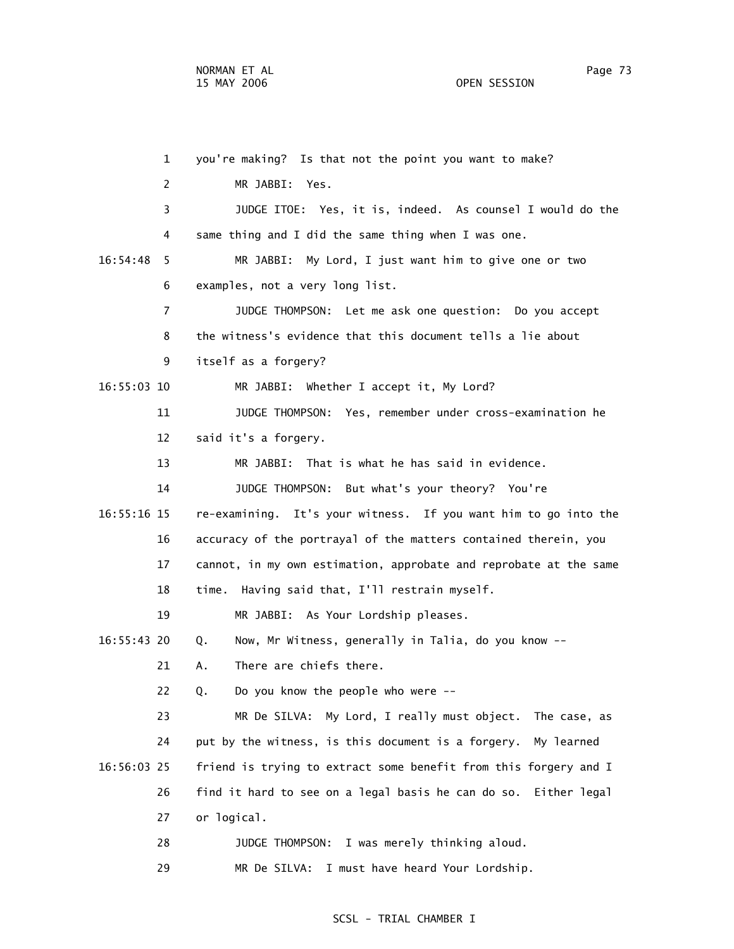1 you're making? Is that not the point you want to make? 2 MR JABBI: Yes. 3 JUDGE ITOE: Yes, it is, indeed. As counsel I would do the 4 same thing and I did the same thing when I was one. 16:54:48 5 MR JABBI: My Lord, I just want him to give one or two 6 examples, not a very long list. 7 JUDGE THOMPSON: Let me ask one question: Do you accept 8 the witness's evidence that this document tells a lie about 9 itself as a forgery? 16:55:03 10 MR JABBI: Whether I accept it, My Lord? 11 JUDGE THOMPSON: Yes, remember under cross-examination he 12 said it's a forgery. 13 MR JABBI: That is what he has said in evidence. 14 JUDGE THOMPSON: But what's your theory? You're 16:55:16 15 re-examining. It's your witness. If you want him to go into the 16 accuracy of the portrayal of the matters contained therein, you 17 cannot, in my own estimation, approbate and reprobate at the same 18 time. Having said that, I'll restrain myself. 19 MR JABBI: As Your Lordship pleases. 16:55:43 20 Q. Now, Mr Witness, generally in Talia, do you know -- 21 A. There are chiefs there. 22 Q. Do you know the people who were -- 23 MR De SILVA: My Lord, I really must object. The case, as 24 put by the witness, is this document is a forgery. My learned 16:56:03 25 friend is trying to extract some benefit from this forgery and I 26 find it hard to see on a legal basis he can do so. Either legal 27 or logical. 28 JUDGE THOMPSON: I was merely thinking aloud. 29 MR De SILVA: I must have heard Your Lordship.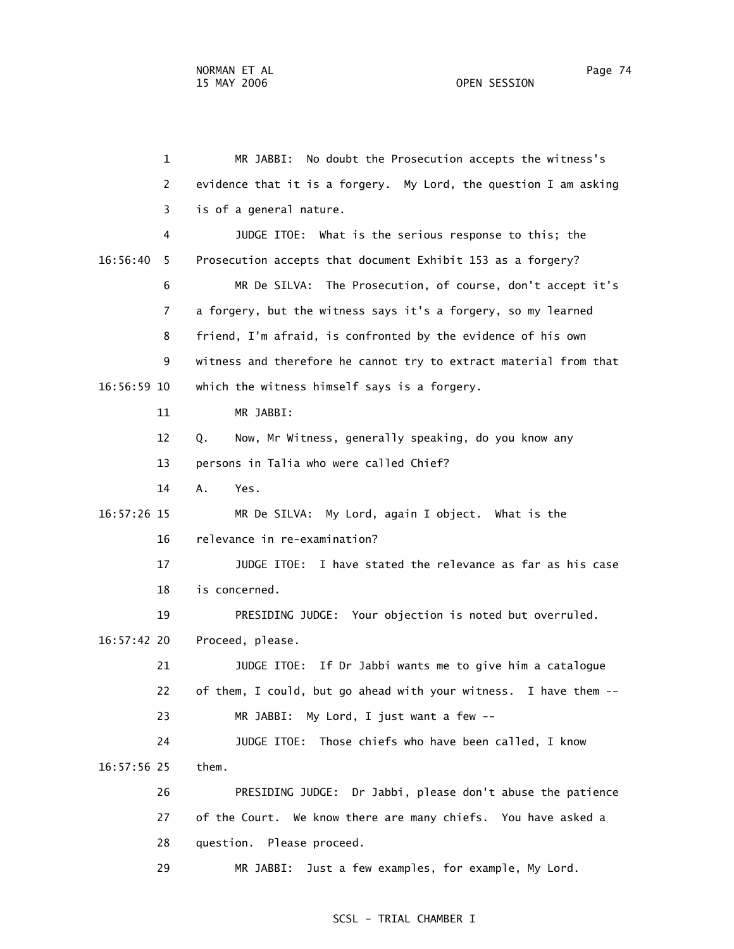1 MR JABBI: No doubt the Prosecution accepts the witness's 2 evidence that it is a forgery. My Lord, the question I am asking 3 is of a general nature. 4 JUDGE ITOE: What is the serious response to this; the 16:56:40 5 Prosecution accepts that document Exhibit 153 as a forgery? 6 MR De SILVA: The Prosecution, of course, don't accept it's 7 a forgery, but the witness says it's a forgery, so my learned 8 friend, I'm afraid, is confronted by the evidence of his own 9 witness and therefore he cannot try to extract material from that 16:56:59 10 which the witness himself says is a forgery. 11 MR JABBI: 12 Q. Now, Mr Witness, generally speaking, do you know any 13 persons in Talia who were called Chief? 14 A. Yes. 16:57:26 15 MR De SILVA: My Lord, again I object. What is the 16 relevance in re-examination? 17 JUDGE ITOE: I have stated the relevance as far as his case 18 is concerned. 19 PRESIDING JUDGE: Your objection is noted but overruled. 16:57:42 20 Proceed, please. 21 JUDGE ITOE: If Dr Jabbi wants me to give him a catalogue 22 of them, I could, but go ahead with your witness. I have them -- 23 MR JABBI: My Lord, I just want a few -- 24 JUDGE ITOE: Those chiefs who have been called, I know 16:57:56 25 them. 26 PRESIDING JUDGE: Dr Jabbi, please don't abuse the patience 27 of the Court. We know there are many chiefs. You have asked a 28 question. Please proceed. 29 MR JABBI: Just a few examples, for example, My Lord.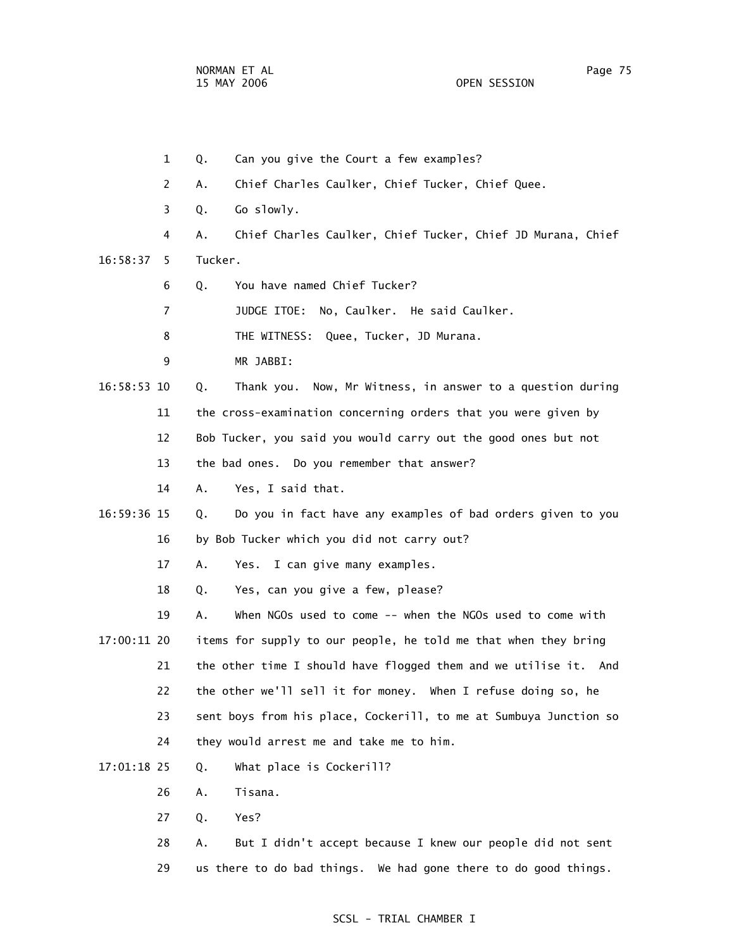|    |             | $\mathbf{1}$ | Q.<br>Can you give the Court a few examples?                      |
|----|-------------|--------------|-------------------------------------------------------------------|
|    |             | 2            | Chief Charles Caulker, Chief Tucker, Chief Quee.<br>Α.            |
|    |             | 3            | Go slowly.<br>Q.                                                  |
|    |             | 4            | Chief Charles Caulker, Chief Tucker, Chief JD Murana, Chief<br>Α. |
|    | 16:58:37    | 5            | Tucker.                                                           |
|    |             | 6            | You have named Chief Tucker?<br>Q.                                |
|    |             | 7            | JUDGE ITOE:<br>No, Caulker. He said Caulker.                      |
|    |             | 8            | THE WITNESS: Quee, Tucker, JD Murana.                             |
|    |             | 9            | MR JABBI:                                                         |
|    | 16:58:53 10 |              | Thank you. Now, Mr Witness, in answer to a question during<br>Q.  |
|    |             | 11           | the cross-examination concerning orders that you were given by    |
| 12 |             |              | Bob Tucker, you said you would carry out the good ones but not    |
|    |             | 13           | the bad ones. Do you remember that answer?                        |
|    |             | 14           | Yes, I said that.<br>А.                                           |
|    | 16:59:36 15 |              | Do you in fact have any examples of bad orders given to you<br>Q. |
|    |             | 16           | by Bob Tucker which you did not carry out?                        |
|    |             | 17           | Α.<br>I can give many examples.<br>Yes.                           |
|    |             | 18           | Yes, can you give a few, please?<br>Q.                            |
|    |             | 19           | When NGOs used to come -- when the NGOs used to come with<br>Α.   |
|    | 17:00:11 20 |              | items for supply to our people, he told me that when they bring   |
|    |             | 21           | the other time I should have flogged them and we utilise it. And  |
|    |             | 22           | the other we'll sell it for money. When I refuse doing so, he     |
|    |             | 23           | sent boys from his place, Cockerill, to me at Sumbuya Junction so |
|    |             | 24           | they would arrest me and take me to him.                          |
|    | 17:01:18 25 |              | What place is Cockerill?<br>Q.                                    |
|    |             | 26           | Tisana.<br>Α.                                                     |
|    |             | 27           | Yes?<br>Q.                                                        |
|    |             | 28           | But I didn't accept because I knew our people did not sent<br>Α.  |
|    |             | 29           | us there to do bad things. We had gone there to do good things.   |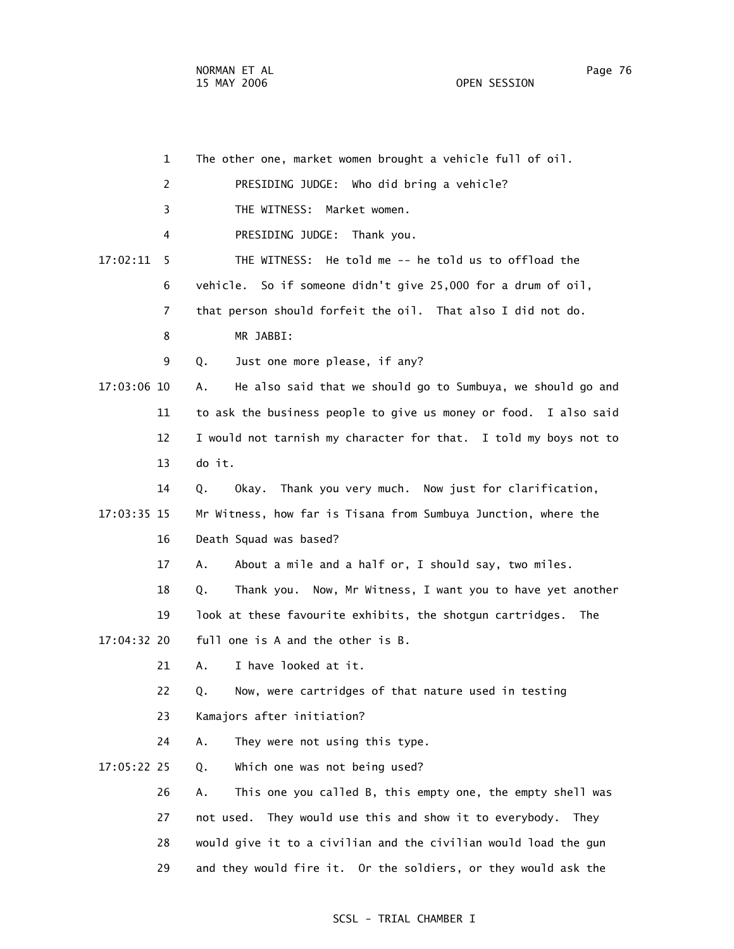|             | $\mathbf{1}$   | The other one, market women brought a vehicle full of oil.         |
|-------------|----------------|--------------------------------------------------------------------|
|             | $\overline{c}$ | PRESIDING JUDGE: Who did bring a vehicle?                          |
|             | 3              | THE WITNESS: Market women.                                         |
|             | 4              | PRESIDING JUDGE: Thank you.                                        |
| 17:02:11    | 5              | THE WITNESS: He told me -- he told us to offload the               |
|             | 6              | vehicle. So if someone didn't give 25,000 for a drum of oil,       |
|             | 7              | that person should forfeit the oil. That also I did not do.        |
|             | 8              | MR JABBI:                                                          |
|             | 9              | Just one more please, if any?<br>Q.                                |
| 17:03:06 10 |                | He also said that we should go to Sumbuya, we should go and<br>Α.  |
|             | 11             | to ask the business people to give us money or food. I also said   |
|             | 12             | I would not tarnish my character for that. I told my boys not to   |
|             | 13             | do it.                                                             |
|             | 14             | Okay. Thank you very much. Now just for clarification,<br>Q.       |
| 17:03:35 15 |                | Mr Witness, how far is Tisana from Sumbuya Junction, where the     |
|             | 16             | Death Squad was based?                                             |
|             | 17             | About a mile and a half or, I should say, two miles.<br>А.         |
|             | 18             | Thank you. Now, Mr Witness, I want you to have yet another<br>Q.   |
|             | 19             | look at these favourite exhibits, the shotgun cartridges.<br>The   |
| 17:04:32 20 |                | full one is A and the other is B.                                  |
|             | 21             | I have looked at it.<br>А.                                         |
|             | 22             | Now, were cartridges of that nature used in testing<br>Q.          |
|             | 23             | Kamajors after initiation?                                         |
|             | 24             | Α.<br>They were not using this type.                               |
| 17:05:22 25 |                | Which one was not being used?<br>Q.                                |
|             | 26             | This one you called B, this empty one, the empty shell was<br>Α.   |
|             | 27             | They would use this and show it to everybody.<br>not used.<br>Thev |
|             | 28             | would give it to a civilian and the civilian would load the gun    |
|             | 29             | and they would fire it. Or the soldiers, or they would ask the     |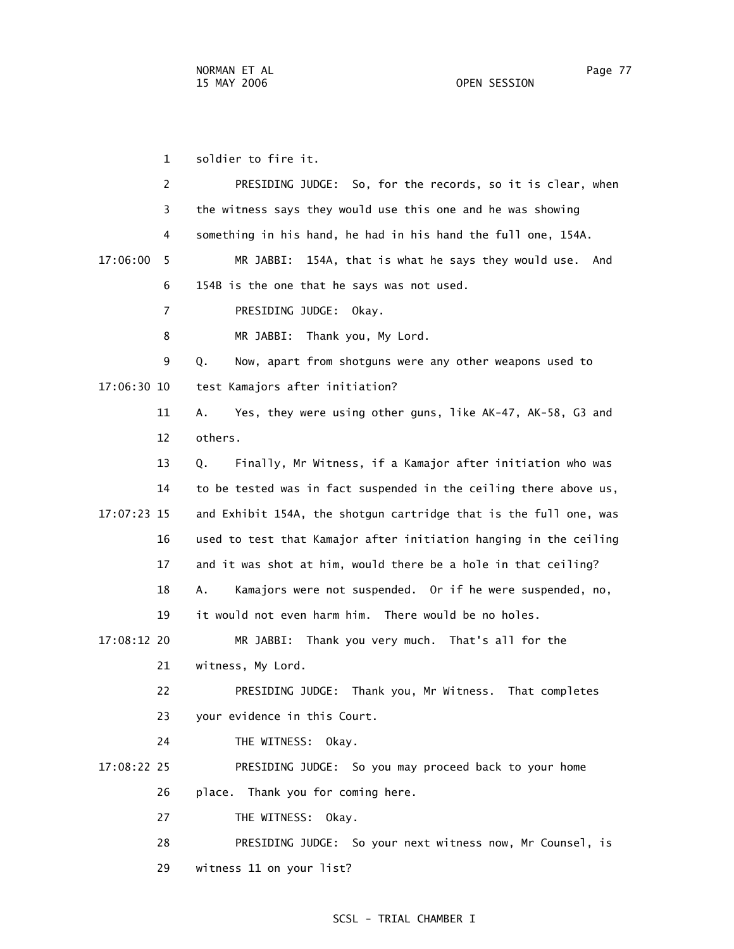1 soldier to fire it.

 2 PRESIDING JUDGE: So, for the records, so it is clear, when 3 the witness says they would use this one and he was showing 4 something in his hand, he had in his hand the full one, 154A. 17:06:00 5 MR JABBI: 154A, that is what he says they would use. And 6 154B is the one that he says was not used. 7 PRESIDING JUDGE: Okay. 8 MR JABBI: Thank you, My Lord. 9 Q. Now, apart from shotguns were any other weapons used to 17:06:30 10 test Kamajors after initiation? 11 A. Yes, they were using other guns, like AK-47, AK-58, G3 and 12 others. 13 Q. Finally, Mr Witness, if a Kamajor after initiation who was 14 to be tested was in fact suspended in the ceiling there above us, 17:07:23 15 and Exhibit 154A, the shotgun cartridge that is the full one, was 16 used to test that Kamajor after initiation hanging in the ceiling 17 and it was shot at him, would there be a hole in that ceiling? 18 A. Kamajors were not suspended. Or if he were suspended, no, 19 it would not even harm him. There would be no holes. 17:08:12 20 MR JABBI: Thank you very much. That's all for the 21 witness, My Lord. 22 PRESIDING JUDGE: Thank you, Mr Witness. That completes 23 your evidence in this Court. 24 THE WITNESS: Okay. 17:08:22 25 PRESIDING JUDGE: So you may proceed back to your home 26 place. Thank you for coming here. 27 THE WITNESS: Okay. 28 PRESIDING JUDGE: So your next witness now, Mr Counsel, is 29 witness 11 on your list?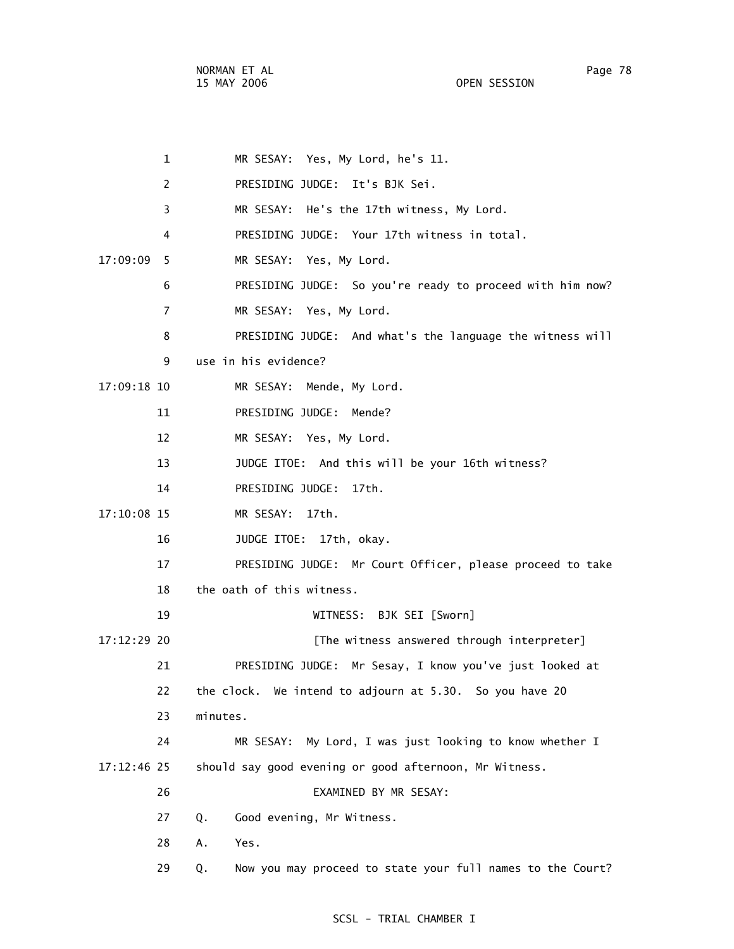1 MR SESAY: Yes, My Lord, he's 11. 2 PRESIDING JUDGE: It's BJK Sei. 3 MR SESAY: He's the 17th witness, My Lord. 4 PRESIDING JUDGE: Your 17th witness in total. 17:09:09 5 MR SESAY: Yes, My Lord. 6 PRESIDING JUDGE: So you're ready to proceed with him now? 7 MR SESAY: Yes, My Lord. 8 PRESIDING JUDGE: And what's the language the witness will 9 use in his evidence? 17:09:18 10 MR SESAY: Mende, My Lord. 11 PRESIDING JUDGE: Mende? 12 MR SESAY: Yes, My Lord. 13 JUDGE ITOE: And this will be your 16th witness? 14 PRESIDING JUDGE: 17th. 17:10:08 15 MR SESAY: 17th. 16 JUDGE ITOE: 17th, okay. 17 PRESIDING JUDGE: Mr Court Officer, please proceed to take 18 the oath of this witness. 19 WITNESS: BJK SEI [Sworn] 17:12:29 20 [The witness answered through interpreter] 21 PRESIDING JUDGE: Mr Sesay, I know you've just looked at 22 the clock. We intend to adjourn at 5.30. So you have 20 23 minutes. 24 MR SESAY: My Lord, I was just looking to know whether I 17:12:46 25 should say good evening or good afternoon, Mr Witness. 26 EXAMINED BY MR SESAY: 27 Q. Good evening, Mr Witness. 28 A. Yes. 29 Q. Now you may proceed to state your full names to the Court?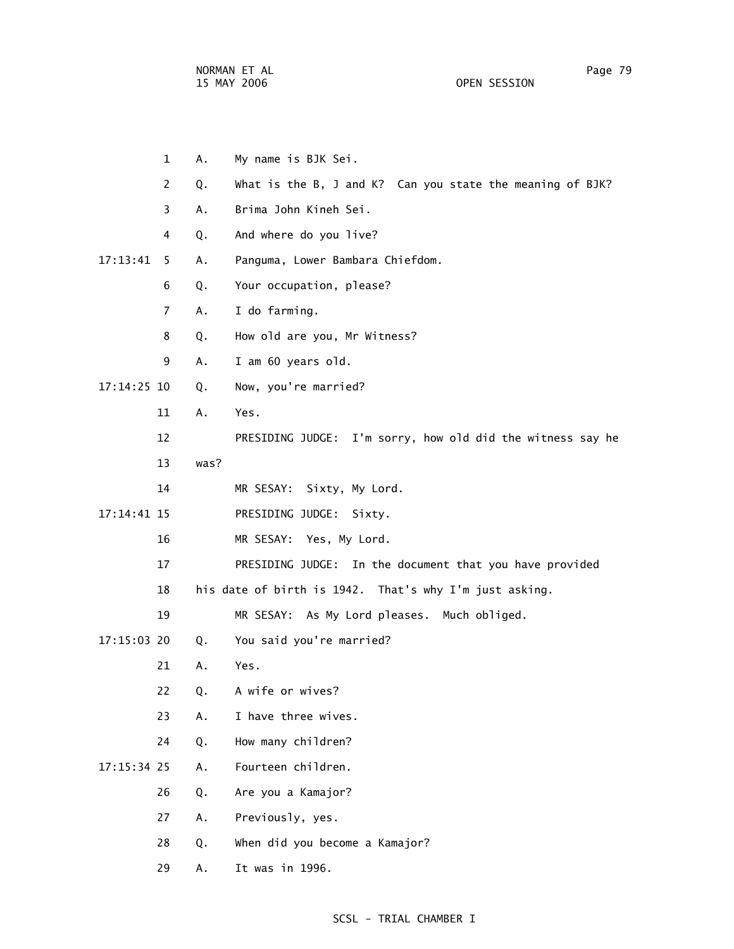NORMAN ET AL Page 79

OPEN SESSION

|             | $\mathbf{1}$   | Α.                                                     | My name is BJK Sei.                                        |  |  |
|-------------|----------------|--------------------------------------------------------|------------------------------------------------------------|--|--|
|             | 2              | Q.                                                     | What is the B, J and K? Can you state the meaning of BJK?  |  |  |
|             | 3              | Α.                                                     | Brima John Kineh Sei.                                      |  |  |
|             | 4              | Q.                                                     | And where do you live?                                     |  |  |
| 17:13:41    | 5              | Α.                                                     | Panguma, Lower Bambara Chiefdom.                           |  |  |
|             | 6              | Q.                                                     | Your occupation, please?                                   |  |  |
|             | $\overline{7}$ | Α.                                                     | I do farming.                                              |  |  |
|             | 8              | Q.                                                     | How old are you, Mr Witness?                               |  |  |
|             | 9              | Α.                                                     | I am 60 years old.                                         |  |  |
| 17:14:25 10 |                | Q.                                                     | Now, you're married?                                       |  |  |
|             | 11             | Α.                                                     | Yes.                                                       |  |  |
|             | 12             |                                                        | PRESIDING JUDGE: I'm sorry, how old did the witness say he |  |  |
|             | 13             | was?                                                   |                                                            |  |  |
|             | 14             |                                                        | MR SESAY: Sixty, My Lord.                                  |  |  |
| 17:14:41 15 |                |                                                        | PRESIDING JUDGE:<br>Sixty.                                 |  |  |
|             | 16             |                                                        | MR SESAY: Yes, My Lord.                                    |  |  |
|             | 17             |                                                        | PRESIDING JUDGE: In the document that you have provided    |  |  |
|             | 18             | his date of birth is 1942. That's why I'm just asking. |                                                            |  |  |
|             | 19             |                                                        | MR SESAY: As My Lord pleases. Much obliged.                |  |  |
| 17:15:03 20 |                | Q.                                                     | You said you're married?                                   |  |  |
|             | 21             | Α.                                                     | Yes.                                                       |  |  |
|             | 22             | Q.                                                     | A wife or wives?                                           |  |  |
|             | 23             | Α.                                                     | I have three wives.                                        |  |  |
|             | 24             | Q.                                                     | How many children?                                         |  |  |
| 17:15:34 25 |                | Α.                                                     | Fourteen children.                                         |  |  |
|             | 26             | Q.                                                     | Are you a Kamajor?                                         |  |  |
|             | 27             | Α.                                                     | Previously, yes.                                           |  |  |
|             | 28             | Q.                                                     | When did you become a Kamajor?                             |  |  |
|             | 29             | Α.                                                     | It was in 1996.                                            |  |  |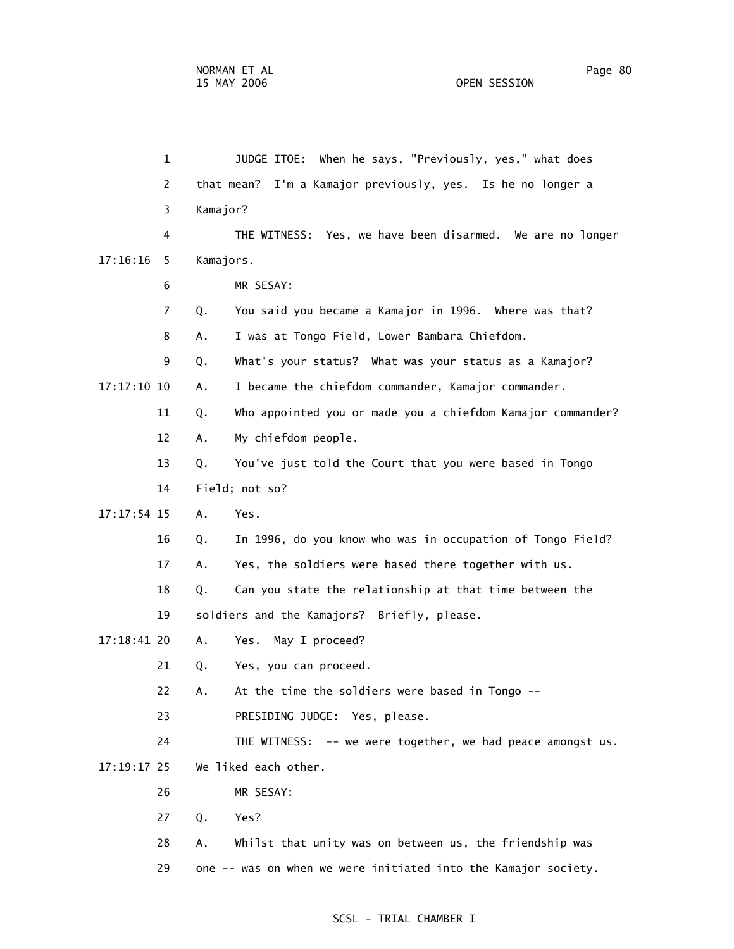1 JUDGE ITOE: When he says, "Previously, yes," what does 2 that mean? I'm a Kamajor previously, yes. Is he no longer a 3 Kamajor? 4 THE WITNESS: Yes, we have been disarmed. We are no longer 17:16:16 5 Kamajors. 6 MR SESAY: 7 Q. You said you became a Kamajor in 1996. Where was that? 8 A. I was at Tongo Field, Lower Bambara Chiefdom. 9 Q. What's your status? What was your status as a Kamajor? 17:17:10 10 A. I became the chiefdom commander, Kamajor commander. 11 Q. Who appointed you or made you a chiefdom Kamajor commander? 12 A. My chiefdom people. 13 Q. You've just told the Court that you were based in Tongo 14 Field; not so? 17:17:54 15 A. Yes. 16 Q. In 1996, do you know who was in occupation of Tongo Field? 17 A. Yes, the soldiers were based there together with us. 18 Q. Can you state the relationship at that time between the 19 soldiers and the Kamajors? Briefly, please. 17:18:41 20 A. Yes. May I proceed? 21 Q. Yes, you can proceed. 22 A. At the time the soldiers were based in Tongo -- 23 PRESIDING JUDGE: Yes, please. 24 THE WITNESS: -- we were together, we had peace amongst us. 17:19:17 25 We liked each other. 26 MR SESAY: 27 Q. Yes? 28 A. Whilst that unity was on between us, the friendship was 29 one -- was on when we were initiated into the Kamajor society.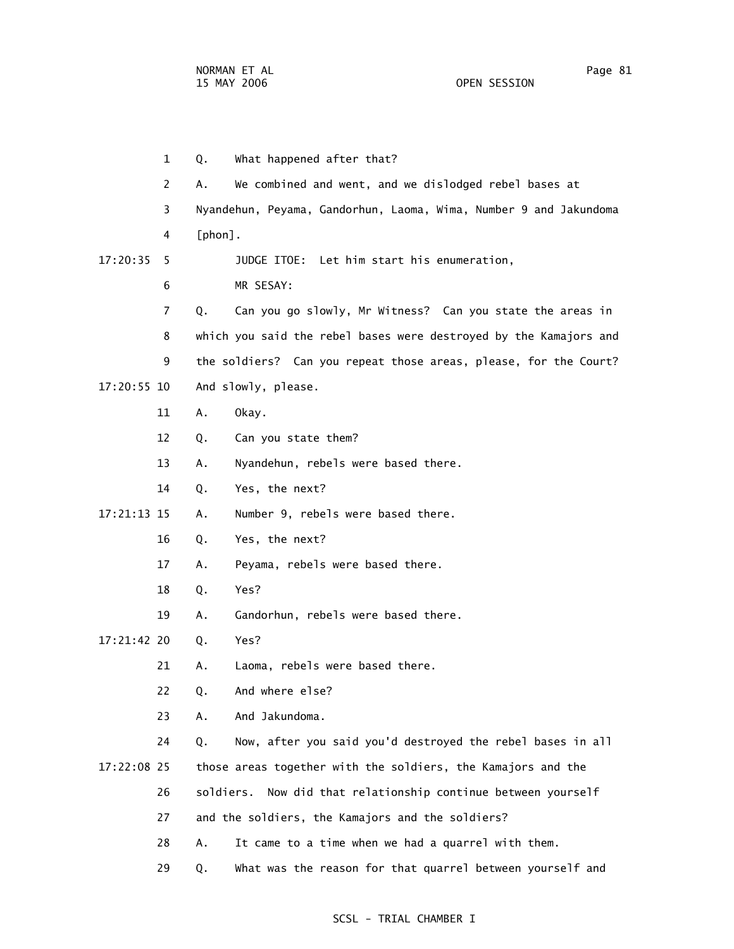1 Q. What happened after that? 2 A. We combined and went, and we dislodged rebel bases at 3 Nyandehun, Peyama, Gandorhun, Laoma, Wima, Number 9 and Jakundoma 17:20:35 5 JUDGE ITOE: Let him start his enumeration, 7 Q. Can you go slowly, Mr Witness? Can you state the areas in 8 which you said the rebel bases were destroyed by the Kamajors and 9 the soldiers? Can you repeat those areas, please, for the Court?

17:20:55 10 And slowly, please.

4 [phon].

6 MR SESAY:

- 11 A. Okay.
- 12 Q. Can you state them?
- 13 A. Nyandehun, rebels were based there.
- 14 Q. Yes, the next?

17:21:13 15 A. Number 9, rebels were based there.

- 16 Q. Yes, the next?
- 17 A. Peyama, rebels were based there.
- 18 Q. Yes?
- 19 A. Gandorhun, rebels were based there.

17:21:42 20 Q. Yes?

- 21 A. Laoma, rebels were based there.
- 22 Q. And where else?
- 23 A. And Jakundoma.

 24 Q. Now, after you said you'd destroyed the rebel bases in all 17:22:08 25 those areas together with the soldiers, the Kamajors and the

- 26 soldiers. Now did that relationship continue between yourself
- 27 and the soldiers, the Kamajors and the soldiers?
- 28 A. It came to a time when we had a quarrel with them.
- 29 Q. What was the reason for that quarrel between yourself and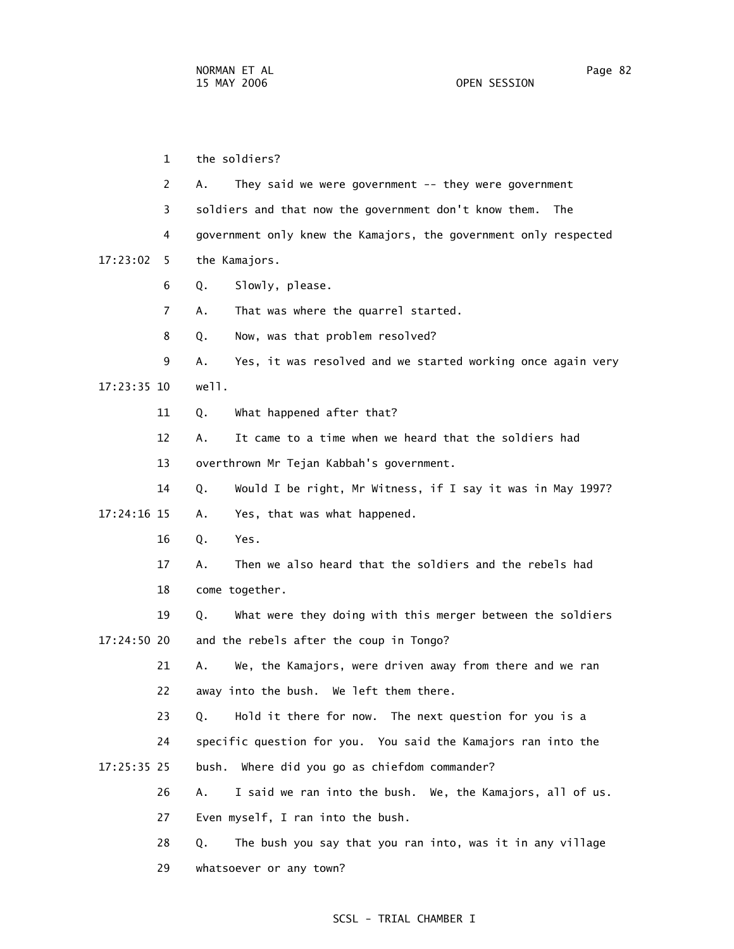1 the soldiers? 2 A. They said we were government -- they were government 3 soldiers and that now the government don't know them. The 4 government only knew the Kamajors, the government only respected 17:23:02 5 the Kamajors. 6 Q. Slowly, please. 7 A. That was where the quarrel started. 8 Q. Now, was that problem resolved? 9 A. Yes, it was resolved and we started working once again very 17:23:35 10 well. 11 Q. What happened after that? 12 A. It came to a time when we heard that the soldiers had 13 overthrown Mr Tejan Kabbah's government. 14 Q. Would I be right, Mr Witness, if I say it was in May 1997? 17:24:16 15 A. Yes, that was what happened. 16 Q. Yes. 17 A. Then we also heard that the soldiers and the rebels had 18 come together. 19 Q. What were they doing with this merger between the soldiers 17:24:50 20 and the rebels after the coup in Tongo? 21 A. We, the Kamajors, were driven away from there and we ran 22 away into the bush. We left them there. 23 Q. Hold it there for now. The next question for you is a 24 specific question for you. You said the Kamajors ran into the 17:25:35 25 bush. Where did you go as chiefdom commander? 26 A. I said we ran into the bush. We, the Kamajors, all of us. 27 Even myself, I ran into the bush. 28 Q. The bush you say that you ran into, was it in any village

SCSL - TRIAL CHAMBER I

29 whatsoever or any town?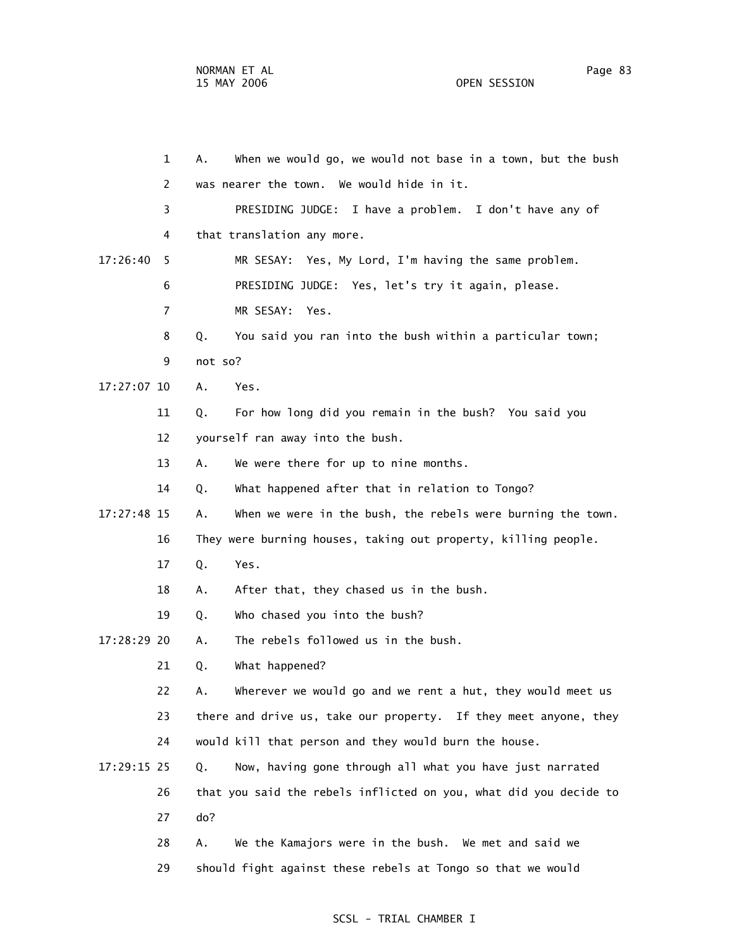1 A. When we would go, we would not base in a town, but the bush 2 was nearer the town. We would hide in it. 3 PRESIDING JUDGE: I have a problem. I don't have any of 4 that translation any more. 17:26:40 5 MR SESAY: Yes, My Lord, I'm having the same problem. 6 PRESIDING JUDGE: Yes, let's try it again, please. 7 MR SESAY: Yes. 8 Q. You said you ran into the bush within a particular town; 9 not so? 17:27:07 10 A. Yes. 11 Q. For how long did you remain in the bush? You said you 12 yourself ran away into the bush. 13 A. We were there for up to nine months. 14 Q. What happened after that in relation to Tongo? 17:27:48 15 A. When we were in the bush, the rebels were burning the town. 16 They were burning houses, taking out property, killing people. 17 Q. Yes. 18 A. After that, they chased us in the bush. 19 Q. Who chased you into the bush? 17:28:29 20 A. The rebels followed us in the bush. 21 Q. What happened? 22 A. Wherever we would go and we rent a hut, they would meet us 23 there and drive us, take our property. If they meet anyone, they 24 would kill that person and they would burn the house. 17:29:15 25 Q. Now, having gone through all what you have just narrated 26 that you said the rebels inflicted on you, what did you decide to 27 do? 28 A. We the Kamajors were in the bush. We met and said we

#### SCSL - TRIAL CHAMBER I

29 should fight against these rebels at Tongo so that we would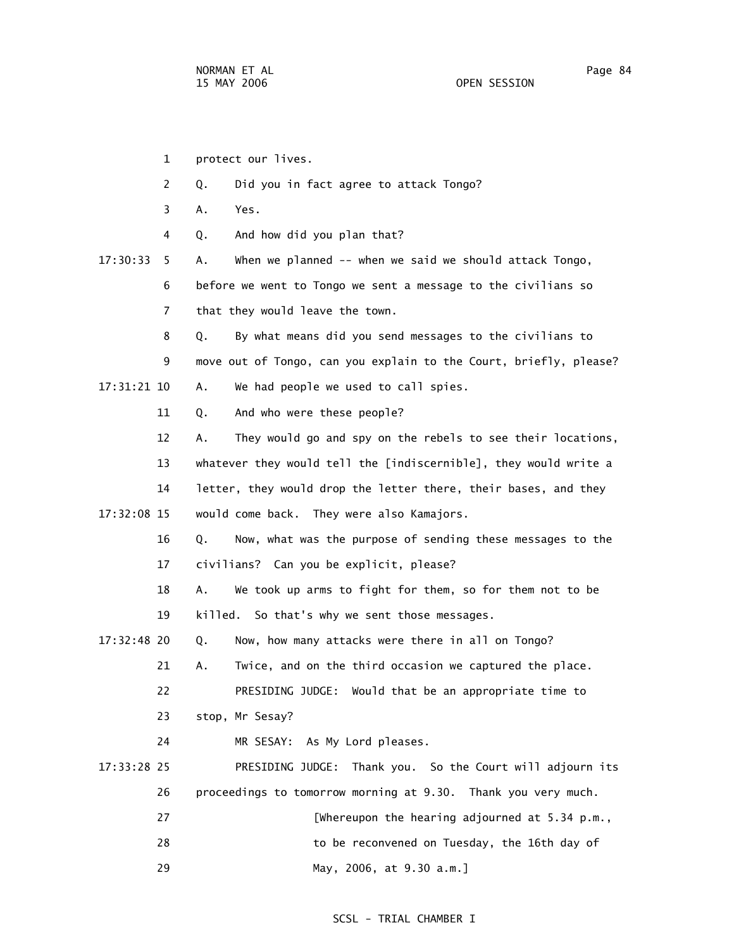1 protect our lives. 2 Q. Did you in fact agree to attack Tongo? 3 A. Yes. 4 Q. And how did you plan that? 17:30:33 5 A. When we planned -- when we said we should attack Tongo, 6 before we went to Tongo we sent a message to the civilians so 7 that they would leave the town. 8 Q. By what means did you send messages to the civilians to 9 move out of Tongo, can you explain to the Court, briefly, please? 17:31:21 10 A. We had people we used to call spies. 11 Q. And who were these people? 12 A. They would go and spy on the rebels to see their locations, 13 whatever they would tell the [indiscernible], they would write a 14 letter, they would drop the letter there, their bases, and they 17:32:08 15 would come back. They were also Kamajors. 16 Q. Now, what was the purpose of sending these messages to the 17 civilians? Can you be explicit, please? 18 A. We took up arms to fight for them, so for them not to be 19 killed. So that's why we sent those messages. 17:32:48 20 Q. Now, how many attacks were there in all on Tongo? 21 A. Twice, and on the third occasion we captured the place. 22 PRESIDING JUDGE: Would that be an appropriate time to 23 stop, Mr Sesay? 24 MR SESAY: As My Lord pleases. 17:33:28 25 PRESIDING JUDGE: Thank you. So the Court will adjourn its 26 proceedings to tomorrow morning at 9.30. Thank you very much. 27 [Whereupon the hearing adjourned at 5.34 p.m., 28 to be reconvened on Tuesday, the 16th day of 29 May, 2006, at 9.30 a.m.]